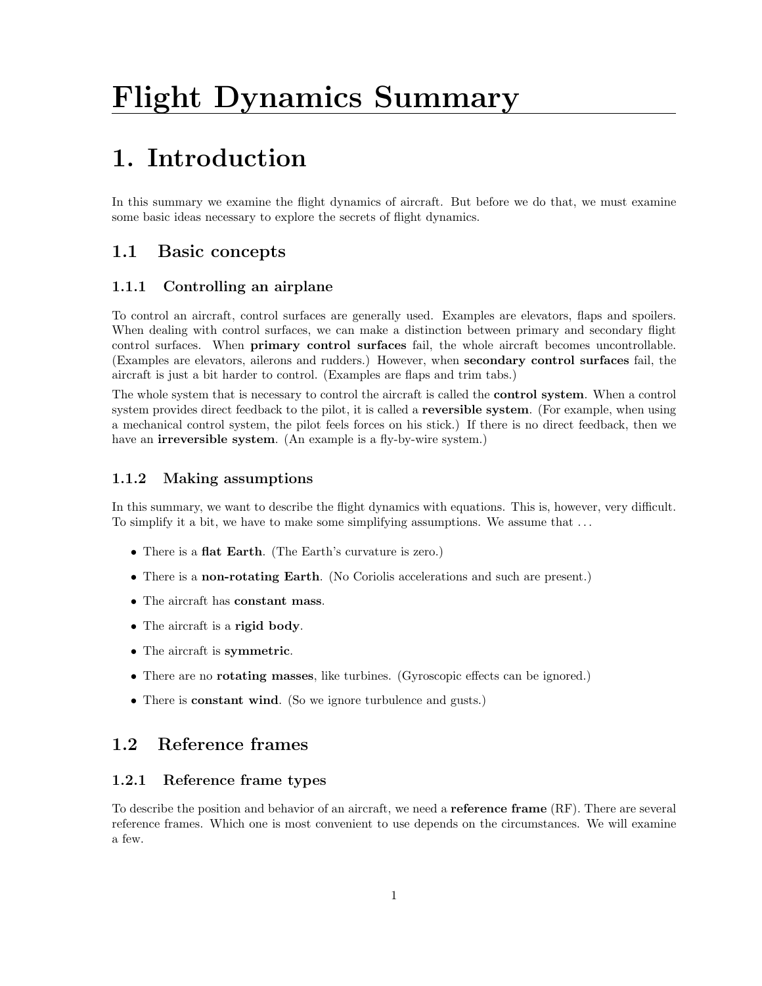# Flight Dynamics Summary

## 1. Introduction

In this summary we examine the flight dynamics of aircraft. But before we do that, we must examine some basic ideas necessary to explore the secrets of flight dynamics.

## 1.1 Basic concepts

## 1.1.1 Controlling an airplane

To control an aircraft, control surfaces are generally used. Examples are elevators, flaps and spoilers. When dealing with control surfaces, we can make a distinction between primary and secondary flight control surfaces. When primary control surfaces fail, the whole aircraft becomes uncontrollable. (Examples are elevators, ailerons and rudders.) However, when secondary control surfaces fail, the aircraft is just a bit harder to control. (Examples are flaps and trim tabs.)

The whole system that is necessary to control the aircraft is called the control system. When a control system provides direct feedback to the pilot, it is called a **reversible system**. (For example, when using a mechanical control system, the pilot feels forces on his stick.) If there is no direct feedback, then we have an **irreversible system**. (An example is a fly-by-wire system.)

## 1.1.2 Making assumptions

In this summary, we want to describe the flight dynamics with equations. This is, however, very difficult. To simplify it a bit, we have to make some simplifying assumptions. We assume that ...

- There is a **flat Earth**. (The Earth's curvature is zero.)
- There is a non-rotating Earth. (No Coriolis accelerations and such are present.)
- The aircraft has constant mass.
- The aircraft is a **rigid body**.
- The aircraft is symmetric.
- There are no rotating masses, like turbines. (Gyroscopic effects can be ignored.)
- There is **constant wind**. (So we ignore turbulence and gusts.)

## 1.2 Reference frames

### 1.2.1 Reference frame types

To describe the position and behavior of an aircraft, we need a **reference frame** (RF). There are several reference frames. Which one is most convenient to use depends on the circumstances. We will examine a few.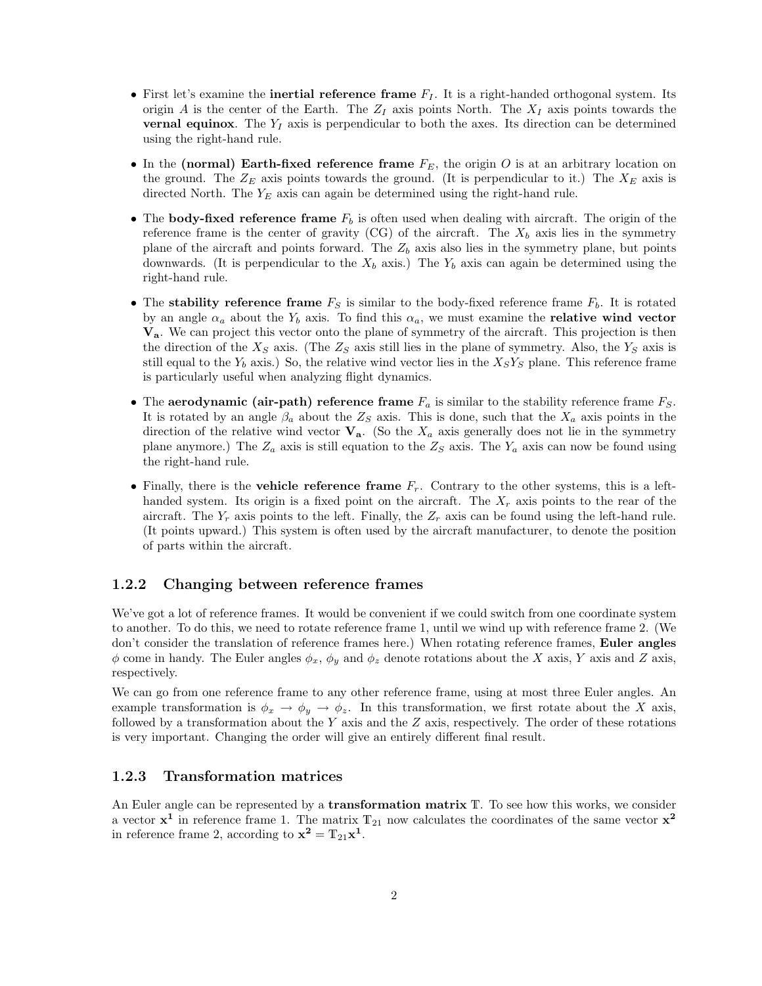- First let's examine the **inertial reference frame**  $F_I$ . It is a right-handed orthogonal system. Its origin A is the center of the Earth. The  $Z_I$  axis points North. The  $X_I$  axis points towards the **vernal equinox**. The  $Y_I$  axis is perpendicular to both the axes. Its direction can be determined using the right-hand rule.
- In the (normal) Earth-fixed reference frame  $F_E$ , the origin O is at an arbitrary location on the ground. The  $Z_E$  axis points towards the ground. (It is perpendicular to it.) The  $X_E$  axis is directed North. The  $Y_E$  axis can again be determined using the right-hand rule.
- The body-fixed reference frame  $F_b$  is often used when dealing with aircraft. The origin of the reference frame is the center of gravity (CG) of the aircraft. The  $X_b$  axis lies in the symmetry plane of the aircraft and points forward. The  $Z_b$  axis also lies in the symmetry plane, but points downwards. (It is perpendicular to the  $X_b$  axis.) The  $Y_b$  axis can again be determined using the right-hand rule.
- The stability reference frame  $F_S$  is similar to the body-fixed reference frame  $F_b$ . It is rotated by an angle  $\alpha_a$  about the Y<sub>b</sub> axis. To find this  $\alpha_a$ , we must examine the **relative wind vector** Va. We can project this vector onto the plane of symmetry of the aircraft. This projection is then the direction of the  $X_S$  axis. (The  $Z_S$  axis still lies in the plane of symmetry. Also, the  $Y_S$  axis is still equal to the  $Y_b$  axis.) So, the relative wind vector lies in the  $X_S Y_S$  plane. This reference frame is particularly useful when analyzing flight dynamics.
- The aerodynamic (air-path) reference frame  $F_a$  is similar to the stability reference frame  $F_S$ . It is rotated by an angle  $\beta_a$  about the  $Z_s$  axis. This is done, such that the  $X_a$  axis points in the direction of the relative wind vector  $V_a$ . (So the  $X_a$  axis generally does not lie in the symmetry plane anymore.) The  $Z_a$  axis is still equation to the  $Z_s$  axis. The  $Y_a$  axis can now be found using the right-hand rule.
- Finally, there is the **vehicle reference frame**  $F_r$ . Contrary to the other systems, this is a lefthanded system. Its origin is a fixed point on the aircraft. The  $X_r$  axis points to the rear of the aircraft. The  $Y_r$  axis points to the left. Finally, the  $Z_r$  axis can be found using the left-hand rule. (It points upward.) This system is often used by the aircraft manufacturer, to denote the position of parts within the aircraft.

#### 1.2.2 Changing between reference frames

We've got a lot of reference frames. It would be convenient if we could switch from one coordinate system to another. To do this, we need to rotate reference frame 1, until we wind up with reference frame 2. (We don't consider the translation of reference frames here.) When rotating reference frames, **Euler angles**  $\phi$  come in handy. The Euler angles  $\phi_x$ ,  $\phi_y$  and  $\phi_z$  denote rotations about the X axis, Y axis and Z axis, respectively.

We can go from one reference frame to any other reference frame, using at most three Euler angles. An example transformation is  $\phi_x \to \phi_y \to \phi_z$ . In this transformation, we first rotate about the X axis, followed by a transformation about the Y axis and the Z axis, respectively. The order of these rotations is very important. Changing the order will give an entirely different final result.

#### 1.2.3 Transformation matrices

An Euler angle can be represented by a **transformation matrix** T. To see how this works, we consider a vector  $x^1$  in reference frame 1. The matrix  $T_{21}$  now calculates the coordinates of the same vector  $x^2$ in reference frame 2, according to  $\mathbf{x}^2 = \mathbb{T}_{21}\mathbf{x}^1$ .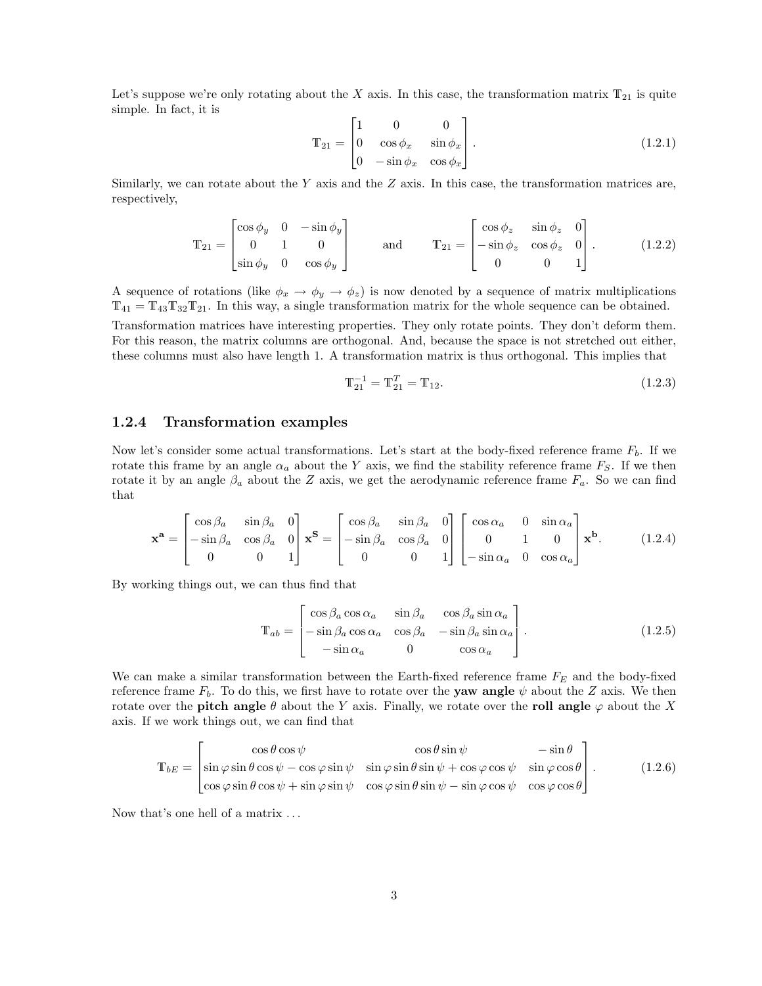Let's suppose we're only rotating about the X axis. In this case, the transformation matrix  $T_{21}$  is quite simple. In fact, it is

$$
\mathbf{T}_{21} = \begin{bmatrix} 1 & 0 & 0 \\ 0 & \cos \phi_x & \sin \phi_x \\ 0 & -\sin \phi_x & \cos \phi_x \end{bmatrix} . \tag{1.2.1}
$$

Similarly, we can rotate about the  $Y$  axis and the  $Z$  axis. In this case, the transformation matrices are, respectively,

$$
\mathbb{T}_{21} = \begin{bmatrix} \cos \phi_y & 0 & -\sin \phi_y \\ 0 & 1 & 0 \\ \sin \phi_y & 0 & \cos \phi_y \end{bmatrix} \qquad \text{and} \qquad \mathbb{T}_{21} = \begin{bmatrix} \cos \phi_z & \sin \phi_z & 0 \\ -\sin \phi_z & \cos \phi_z & 0 \\ 0 & 0 & 1 \end{bmatrix} . \tag{1.2.2}
$$

A sequence of rotations (like  $\phi_x \to \phi_y \to \phi_z$ ) is now denoted by a sequence of matrix multiplications  $T_{41} = T_{43}T_{32}T_{21}$ . In this way, a single transformation matrix for the whole sequence can be obtained. Transformation matrices have interesting properties. They only rotate points. They don't deform them. For this reason, the matrix columns are orthogonal. And, because the space is not stretched out either, these columns must also have length 1. A transformation matrix is thus orthogonal. This implies that

$$
\mathbb{T}_{21}^{-1} = \mathbb{T}_{21}^T = \mathbb{T}_{12}.\tag{1.2.3}
$$

#### 1.2.4 Transformation examples

Now let's consider some actual transformations. Let's start at the body-fixed reference frame  $F_b$ . If we rotate this frame by an angle  $\alpha_a$  about the Y axis, we find the stability reference frame  $F_S$ . If we then rotate it by an angle  $\beta_a$  about the Z axis, we get the aerodynamic reference frame  $F_a$ . So we can find that

$$
\mathbf{x}^{\mathbf{a}} = \begin{bmatrix} \cos \beta_a & \sin \beta_a & 0 \\ -\sin \beta_a & \cos \beta_a & 0 \\ 0 & 0 & 1 \end{bmatrix} \mathbf{x}^{\mathbf{S}} = \begin{bmatrix} \cos \beta_a & \sin \beta_a & 0 \\ -\sin \beta_a & \cos \beta_a & 0 \\ 0 & 0 & 1 \end{bmatrix} \begin{bmatrix} \cos \alpha_a & 0 & \sin \alpha_a \\ 0 & 1 & 0 \\ -\sin \alpha_a & 0 & \cos \alpha_a \end{bmatrix} \mathbf{x}^{\mathbf{b}}.\tag{1.2.4}
$$

By working things out, we can thus find that

$$
\mathbf{T}_{ab} = \begin{bmatrix} \cos \beta_a \cos \alpha_a & \sin \beta_a & \cos \beta_a \sin \alpha_a \\ -\sin \beta_a \cos \alpha_a & \cos \beta_a & -\sin \beta_a \sin \alpha_a \\ -\sin \alpha_a & 0 & \cos \alpha_a \end{bmatrix} . \tag{1.2.5}
$$

We can make a similar transformation between the Earth-fixed reference frame  $F_E$  and the body-fixed reference frame  $F_b$ . To do this, we first have to rotate over the **yaw angle**  $\psi$  about the Z axis. We then rotate over the **pitch angle**  $\theta$  about the Y axis. Finally, we rotate over the roll angle  $\varphi$  about the X axis. If we work things out, we can find that

$$
\mathbf{T}_{bE} = \begin{bmatrix} \cos\theta\cos\psi & \cos\theta\sin\psi & -\sin\theta \\ \sin\varphi\sin\theta\cos\psi - \cos\varphi\sin\psi & \sin\varphi\sin\theta\sin\psi + \cos\varphi\cos\psi & \sin\varphi\cos\theta \\ \cos\varphi\sin\theta\cos\psi + \sin\varphi\sin\psi & \cos\varphi\sin\theta\sin\psi - \sin\varphi\cos\psi & \cos\varphi\cos\theta \end{bmatrix} .
$$
 (1.2.6)

Now that's one hell of a matrix . . .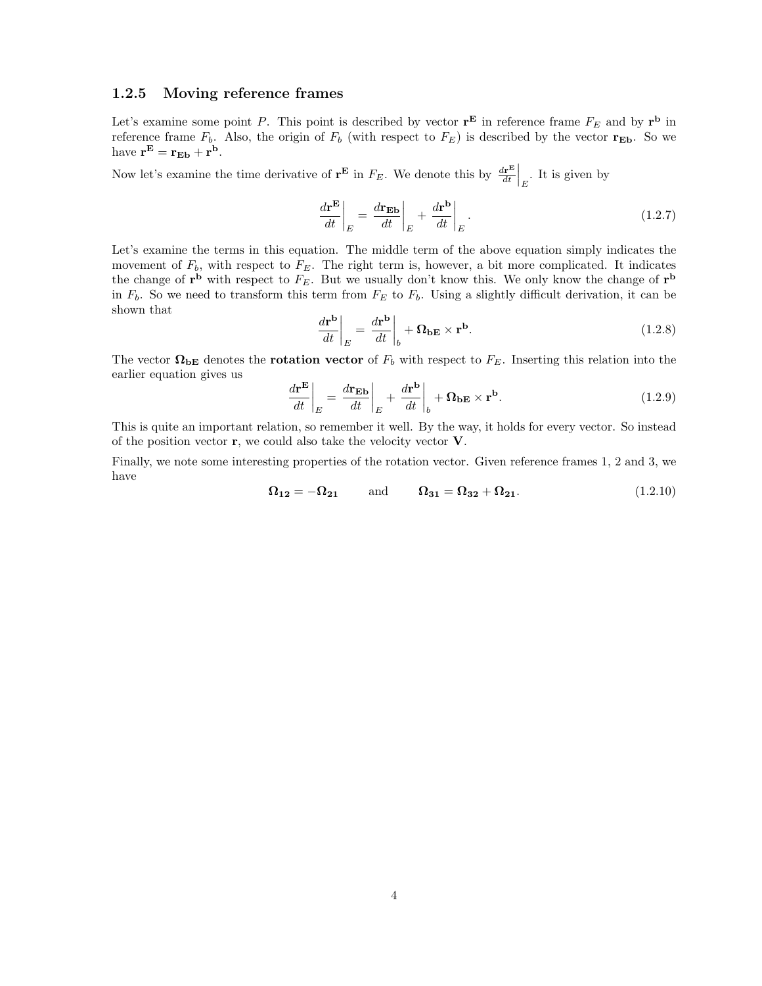#### 1.2.5 Moving reference frames

Let's examine some point P. This point is described by vector  $\mathbf{r}^{\mathbf{E}}$  in reference frame  $F_E$  and by  $\mathbf{r}^{\mathbf{b}}$  in reference frame  $F_b$ . Also, the origin of  $F_b$  (with respect to  $F_E$ ) is described by the vector  $\mathbf{r}_{E\mathbf{b}}$ . So we have  $\mathbf{r}^{\mathbf{E}} = \mathbf{r}_{\mathbf{E}\mathbf{b}} + \mathbf{r}^{\mathbf{b}}$ .

Now let's examine the time derivative of  $\mathbf{r}^{\mathbf{E}}$  in  $F_E$ . We denote this by  $\frac{d\mathbf{r}^{\mathbf{E}}}{dt}$  $\frac{d\mathbf{r}^{\mathbf{E}}}{dt}\Big|_{E}$ . It is given by

$$
\left. \frac{d\mathbf{r}^{\mathbf{E}}}{dt} \right|_{E} = \left. \frac{d\mathbf{r}_{\mathbf{E}\mathbf{b}}}{dt} \right|_{E} + \left. \frac{d\mathbf{r}^{\mathbf{b}}}{dt} \right|_{E}.
$$
\n(1.2.7)

Let's examine the terms in this equation. The middle term of the above equation simply indicates the movement of  $F_b$ , with respect to  $F_E$ . The right term is, however, a bit more complicated. It indicates the change of  $\mathbf{r}^{\mathbf{b}}$  with respect to  $F_E$ . But we usually don't know this. We only know the change of  $\mathbf{r}^{\mathbf{b}}$ in  $F_b$ . So we need to transform this term from  $F_E$  to  $F_b$ . Using a slightly difficult derivation, it can be shown that

$$
\left. \frac{d\mathbf{r}^{\mathbf{b}}}{dt} \right|_{E} = \left. \frac{d\mathbf{r}^{\mathbf{b}}}{dt} \right|_{b} + \Omega_{\mathbf{b}E} \times \mathbf{r}^{\mathbf{b}}.
$$
\n(1.2.8)

The vector  $\Omega_{\text{bE}}$  denotes the **rotation vector** of  $F_b$  with respect to  $F_E$ . Inserting this relation into the earlier equation gives us

$$
\left. \frac{d\mathbf{r}^{\mathbf{E}}}{dt} \right|_{E} = \left. \frac{d\mathbf{r}_{\mathbf{E}\mathbf{b}}}{dt} \right|_{E} + \left. \frac{d\mathbf{r}^{\mathbf{b}}}{dt} \right|_{b} + \Omega_{\mathbf{b}\mathbf{E}} \times \mathbf{r}^{\mathbf{b}}.
$$
\n(1.2.9)

This is quite an important relation, so remember it well. By the way, it holds for every vector. So instead of the position vector  $\mathbf{r}$ , we could also take the velocity vector  $\mathbf{V}$ .

Finally, we note some interesting properties of the rotation vector. Given reference frames 1, 2 and 3, we have

$$
\Omega_{12} = -\Omega_{21} \quad \text{and} \quad \Omega_{31} = \Omega_{32} + \Omega_{21}. \tag{1.2.10}
$$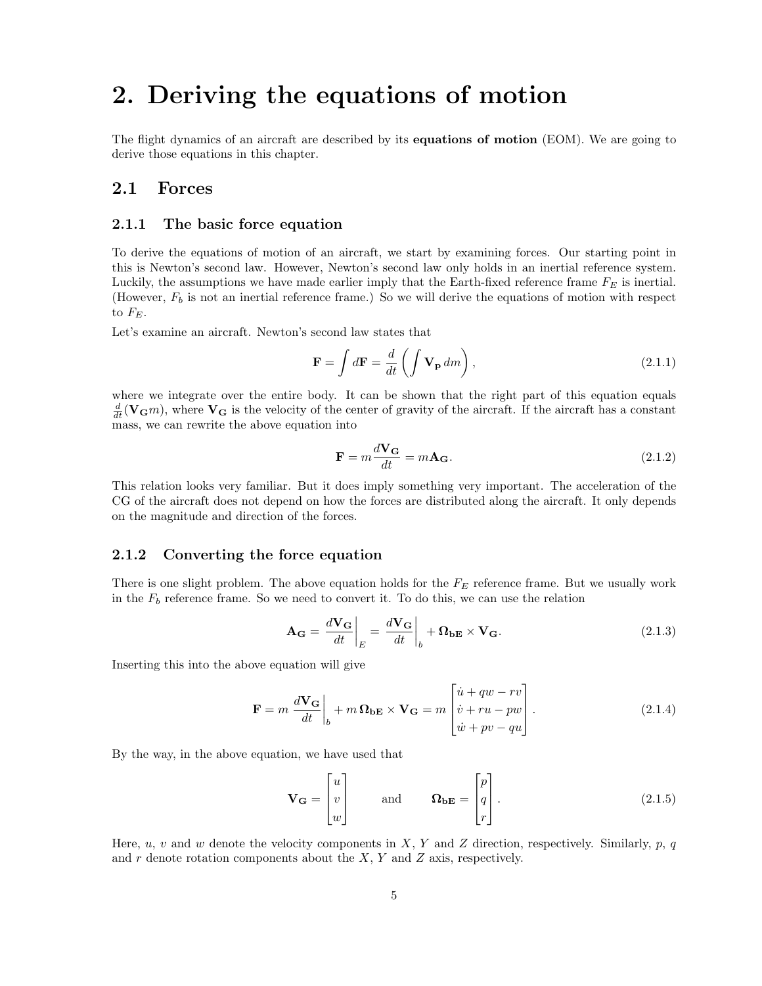## 2. Deriving the equations of motion

The flight dynamics of an aircraft are described by its equations of motion (EOM). We are going to derive those equations in this chapter.

### 2.1 Forces

#### 2.1.1 The basic force equation

To derive the equations of motion of an aircraft, we start by examining forces. Our starting point in this is Newton's second law. However, Newton's second law only holds in an inertial reference system. Luckily, the assumptions we have made earlier imply that the Earth-fixed reference frame  $F_E$  is inertial. (However,  $F_b$  is not an inertial reference frame.) So we will derive the equations of motion with respect to  $F_E$ .

Let's examine an aircraft. Newton's second law states that

$$
\mathbf{F} = \int d\mathbf{F} = \frac{d}{dt} \left( \int \mathbf{V}_{\mathbf{p}} \, dm \right), \tag{2.1.1}
$$

where we integrate over the entire body. It can be shown that the right part of this equation equals  $\frac{d}{dt}(\mathbf{V}_{\mathbf{G}}m)$ , where  $\mathbf{V}_{\mathbf{G}}$  is the velocity of the center of gravity of the aircraft. If the aircraft has a constant mass, we can rewrite the above equation into

$$
\mathbf{F} = m \frac{d\mathbf{V_G}}{dt} = m\mathbf{A_G}.
$$
 (2.1.2)

This relation looks very familiar. But it does imply something very important. The acceleration of the CG of the aircraft does not depend on how the forces are distributed along the aircraft. It only depends on the magnitude and direction of the forces.

#### 2.1.2 Converting the force equation

There is one slight problem. The above equation holds for the  $F_E$  reference frame. But we usually work in the  $F_b$  reference frame. So we need to convert it. To do this, we can use the relation

$$
\mathbf{A}_{\mathbf{G}} = \frac{d\mathbf{V}_{\mathbf{G}}}{dt}\bigg|_{E} = \frac{d\mathbf{V}_{\mathbf{G}}}{dt}\bigg|_{b} + \mathbf{\Omega}_{\mathbf{b}\mathbf{E}} \times \mathbf{V}_{\mathbf{G}}.\tag{2.1.3}
$$

Inserting this into the above equation will give

$$
\mathbf{F} = m \left. \frac{d\mathbf{V_G}}{dt} \right|_b + m \left. \mathbf{\Omega}_{bE} \times \mathbf{V_G} = m \left[ \begin{array}{c} \dot{u} + qw - rv \\ \dot{v} + ru - pw \\ \dot{w} + pv - qu \end{array} \right]. \tag{2.1.4}
$$

By the way, in the above equation, we have used that

$$
\mathbf{V}_{\mathbf{G}} = \begin{bmatrix} u \\ v \\ w \end{bmatrix} \quad \text{and} \quad \mathbf{\Omega}_{\mathbf{b}\mathbf{E}} = \begin{bmatrix} p \\ q \\ r \end{bmatrix} . \tag{2.1.5}
$$

Here, u, v and w denote the velocity components in X, Y and Z direction, respectively. Similarly, p, q and  $r$  denote rotation components about the  $X$ ,  $Y$  and  $Z$  axis, respectively.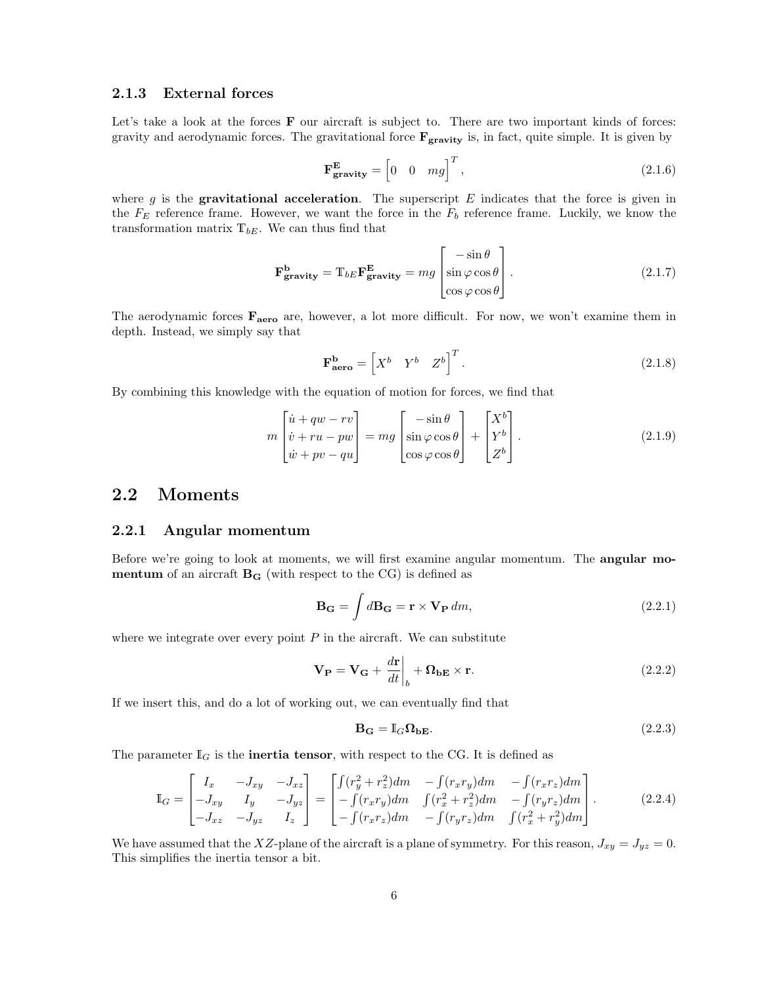#### 2.1.3 External forces

Let's take a look at the forces **F** our aircraft is subject to. There are two important kinds of forces: gravity and aerodynamic forces. The gravitational force  $\mathbf{F}_{\text{gravity}}$  is, in fact, quite simple. It is given by

$$
\mathbf{F}_{\mathbf{gravity}}^{\mathbf{E}} = \begin{bmatrix} 0 & 0 & mg \end{bmatrix}^T, \tag{2.1.6}
$$

where g is the **gravitational acceleration**. The superscript  $E$  indicates that the force is given in the  $F_E$  reference frame. However, we want the force in the  $F_b$  reference frame. Luckily, we know the transformation matrix  $T_{bE}$ . We can thus find that

$$
\mathbf{F}_{\mathbf{gravity}}^{\mathbf{b}} = \mathbb{T}_{bE} \mathbf{F}_{\mathbf{gravity}}^{\mathbf{E}} = mg \begin{bmatrix} -\sin \theta \\ \sin \varphi \cos \theta \\ \cos \varphi \cos \theta \end{bmatrix} . \tag{2.1.7}
$$

The aerodynamic forces  $\mathbf{F}_{\text{aero}}$  are, however, a lot more difficult. For now, we won't examine them in depth. Instead, we simply say that

$$
\mathbf{F_{aero}^{b}} = \begin{bmatrix} X^b & Y^b & Z^b \end{bmatrix}^T.
$$
 (2.1.8)

By combining this knowledge with the equation of motion for forces, we find that

$$
m\begin{bmatrix} \dot{u} + qw - rv \\ \dot{v} + ru - pw \\ \dot{w} + pv - qu \end{bmatrix} = mg\begin{bmatrix} -\sin\theta \\ \sin\varphi\cos\theta \\ \cos\varphi\cos\theta \end{bmatrix} + \begin{bmatrix} X^b \\ Y^b \\ Z^b \end{bmatrix}.
$$
 (2.1.9)

## 2.2 Moments

#### 2.2.1 Angular momentum

Before we're going to look at moments, we will first examine angular momentum. The **angular mo**mentum of an aircraft  $B_G$  (with respect to the CG) is defined as

$$
\mathbf{B}_{\mathbf{G}} = \int d\mathbf{B}_{\mathbf{G}} = \mathbf{r} \times \mathbf{V}_{\mathbf{P}} dm,
$$
\n(2.2.1)

where we integrate over every point  $P$  in the aircraft. We can substitute

$$
\mathbf{V}_{\mathbf{P}} = \mathbf{V}_{\mathbf{G}} + \left. \frac{d\mathbf{r}}{dt} \right|_{b} + \mathbf{\Omega}_{\mathbf{b}\mathbf{E}} \times \mathbf{r}.
$$
 (2.2.2)

If we insert this, and do a lot of working out, we can eventually find that

$$
\mathbf{B}_{\mathbf{G}} = \mathbb{I}_{G} \Omega_{\mathbf{b} \mathbf{E}}.\tag{2.2.3}
$$

The parameter  $\mathbb{I}_G$  is the **inertia tensor**, with respect to the CG. It is defined as

$$
\mathbb{I}_G = \begin{bmatrix} I_x & -J_{xy} & -J_{xz} \\ -J_{xy} & I_y & -J_{yz} \\ -J_{xz} & -J_{yz} & I_z \end{bmatrix} = \begin{bmatrix} \int (r_y^2 + r_z^2) dm & -\int (r_x r_y) dm & -\int (r_x r_z) dm \\ -\int (r_x r_y) dm & \int (r_x^2 + r_z^2) dm & -\int (r_y r_z) dm \\ -\int (r_x r_z) dm & -\int (r_y r_z) dm & \int (r_x^2 + r_y^2) dm \end{bmatrix}.
$$
 (2.2.4)

We have assumed that the XZ-plane of the aircraft is a plane of symmetry. For this reason,  $J_{xy} = J_{yz} = 0$ . This simplifies the inertia tensor a bit.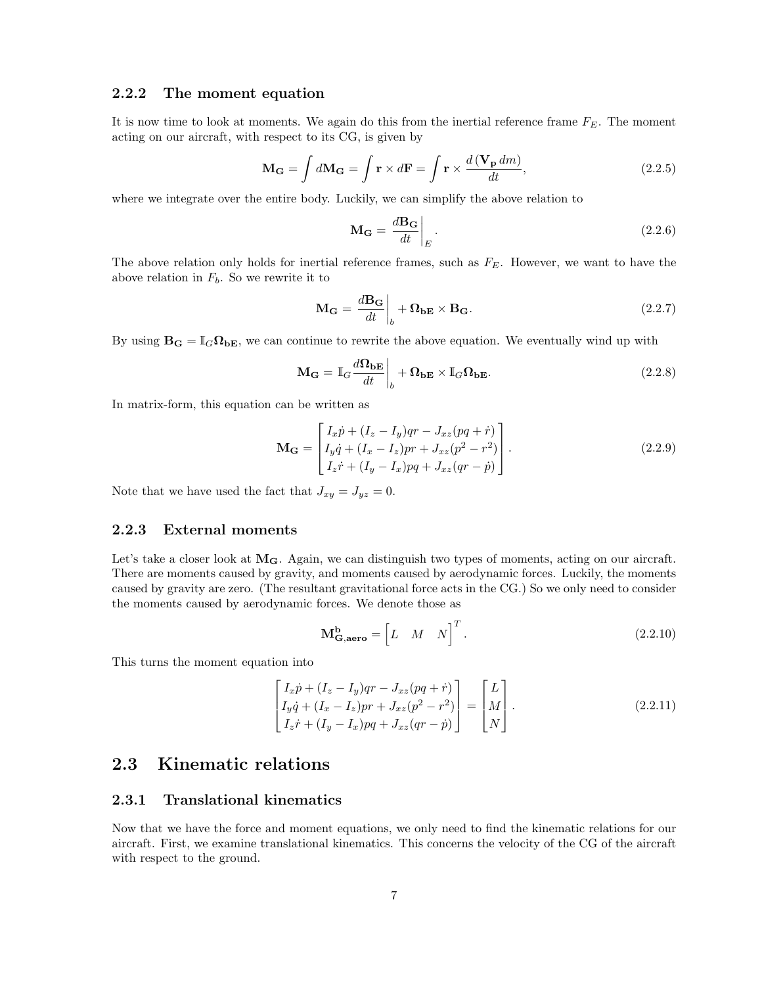#### 2.2.2 The moment equation

It is now time to look at moments. We again do this from the inertial reference frame  $F_E$ . The moment acting on our aircraft, with respect to its CG, is given by

$$
\mathbf{M}_{\mathbf{G}} = \int d\mathbf{M}_{\mathbf{G}} = \int \mathbf{r} \times d\mathbf{F} = \int \mathbf{r} \times \frac{d(\mathbf{V}_{\mathbf{p}} dm)}{dt},
$$
(2.2.5)

where we integrate over the entire body. Luckily, we can simplify the above relation to

$$
\mathbf{M}_{\mathbf{G}} = \frac{d\mathbf{B}_{\mathbf{G}}}{dt}\bigg|_{E}.
$$
\n(2.2.6)

The above relation only holds for inertial reference frames, such as  $F_E$ . However, we want to have the above relation in  $F_b$ . So we rewrite it to

$$
\mathbf{M}_{\mathbf{G}} = \frac{d\mathbf{B}_{\mathbf{G}}}{dt}\bigg|_{b} + \mathbf{\Omega}_{\mathbf{b}\mathbf{E}} \times \mathbf{B}_{\mathbf{G}}.
$$
\n(2.2.7)

By using  $B_G = I_G \Omega_{bE}$ , we can continue to rewrite the above equation. We eventually wind up with

$$
\mathbf{M}_{\mathbf{G}} = \mathbb{I}_{G} \frac{d\mathbf{\Omega}_{\mathbf{b} \mathbf{E}}}{dt} \bigg|_{b} + \mathbf{\Omega}_{\mathbf{b} \mathbf{E}} \times \mathbb{I}_{G} \mathbf{\Omega}_{\mathbf{b} \mathbf{E}}.
$$
 (2.2.8)

In matrix-form, this equation can be written as

$$
\mathbf{M}_{\mathbf{G}} = \begin{bmatrix} I_x \dot{p} + (I_z - I_y)qr - J_{xz}(pq + \dot{r}) \\ I_y \dot{q} + (I_x - I_z)pr + J_{xz}(p^2 - r^2) \\ I_z \dot{r} + (I_y - I_x)pq + J_{xz}(qr - \dot{p}) \end{bmatrix} .
$$
 (2.2.9)

Note that we have used the fact that  $J_{xy} = J_{yz} = 0$ .

#### 2.2.3 External moments

Let's take a closer look at  $M_G$ . Again, we can distinguish two types of moments, acting on our aircraft. There are moments caused by gravity, and moments caused by aerodynamic forces. Luckily, the moments caused by gravity are zero. (The resultant gravitational force acts in the CG.) So we only need to consider the moments caused by aerodynamic forces. We denote those as

$$
\mathbf{M}_{\mathbf{G},\mathbf{aero}}^{\mathbf{b}} = \begin{bmatrix} L & M & N \end{bmatrix}^T.
$$
 (2.2.10)

This turns the moment equation into

$$
\begin{bmatrix}\nI_x \dot{p} + (I_z - I_y)qr - J_{xz}(pq + \dot{r}) \\
I_y \dot{q} + (I_x - I_z)pr + J_{xz}(p^2 - r^2) \\
I_z \dot{r} + (I_y - I_x)pq + J_{xz}(qr - \dot{p})\n\end{bmatrix} = \begin{bmatrix}\nL \\
M \\
N\n\end{bmatrix}.
$$
\n(2.2.11)

## 2.3 Kinematic relations

#### 2.3.1 Translational kinematics

Now that we have the force and moment equations, we only need to find the kinematic relations for our aircraft. First, we examine translational kinematics. This concerns the velocity of the CG of the aircraft with respect to the ground.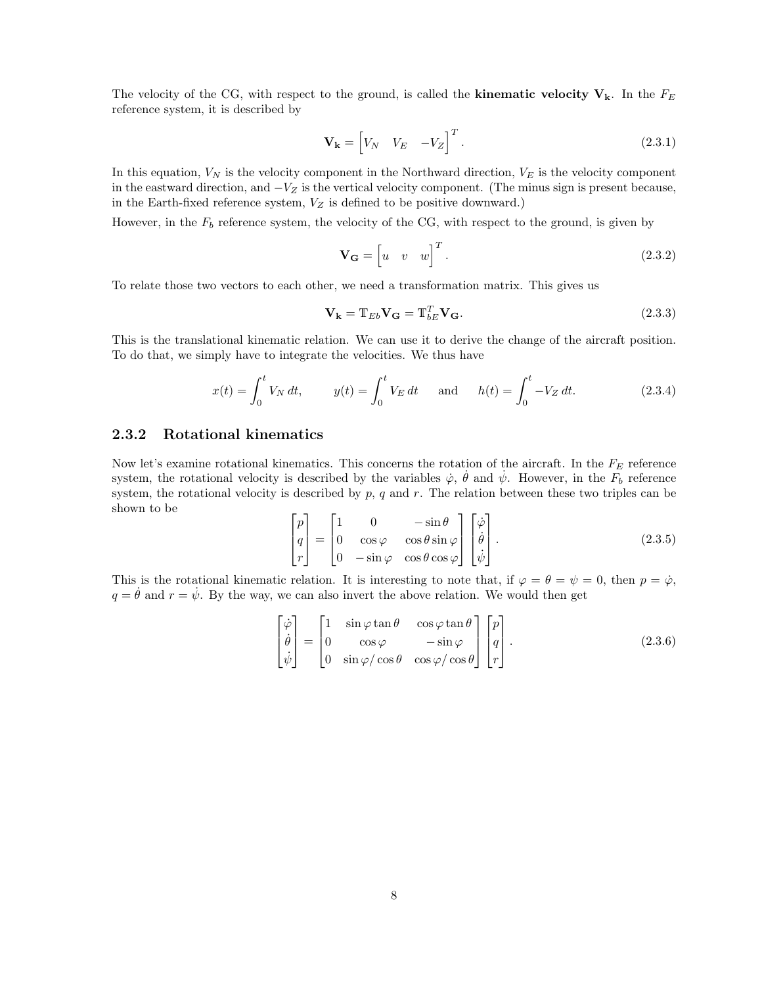The velocity of the CG, with respect to the ground, is called the **kinematic velocity**  $V_k$ . In the  $F_E$ reference system, it is described by

$$
\mathbf{V}_{\mathbf{k}} = \begin{bmatrix} V_N & V_E & -V_Z \end{bmatrix}^T.
$$
 (2.3.1)

In this equation,  $V_N$  is the velocity component in the Northward direction,  $V_E$  is the velocity component in the eastward direction, and  $-V_Z$  is the vertical velocity component. (The minus sign is present because, in the Earth-fixed reference system,  $V_Z$  is defined to be positive downward.)

However, in the  $F_b$  reference system, the velocity of the CG, with respect to the ground, is given by

$$
\mathbf{V}_{\mathbf{G}} = \begin{bmatrix} u & v & w \end{bmatrix}^T. \tag{2.3.2}
$$

To relate those two vectors to each other, we need a transformation matrix. This gives us

$$
\mathbf{V}_{\mathbf{k}} = \mathbf{T}_{Eb}\mathbf{V}_{\mathbf{G}} = \mathbf{T}_{bE}^T\mathbf{V}_{\mathbf{G}}.\tag{2.3.3}
$$

This is the translational kinematic relation. We can use it to derive the change of the aircraft position. To do that, we simply have to integrate the velocities. We thus have

$$
x(t) = \int_0^t V_N dt, \qquad y(t) = \int_0^t V_E dt \quad \text{and} \quad h(t) = \int_0^t -V_Z dt. \tag{2.3.4}
$$

#### 2.3.2 Rotational kinematics

Now let's examine rotational kinematics. This concerns the rotation of the aircraft. In the  $F_E$  reference system, the rotational velocity is described by the variables  $\dot{\varphi}$ ,  $\dot{\theta}$  and  $\dot{\psi}$ . However, in the  $F_b$  reference system, the rotational velocity is described by  $p$ ,  $q$  and  $r$ . The relation between these two triples can be shown to be

$$
\begin{bmatrix} p \\ q \\ r \end{bmatrix} = \begin{bmatrix} 1 & 0 & -\sin \theta \\ 0 & \cos \varphi & \cos \theta \sin \varphi \\ 0 & -\sin \varphi & \cos \theta \cos \varphi \end{bmatrix} \begin{bmatrix} \dot{\varphi} \\ \dot{\theta} \\ \dot{\psi} \end{bmatrix} .
$$
 (2.3.5)

This is the rotational kinematic relation. It is interesting to note that, if  $\varphi = \theta = \psi = 0$ , then  $p = \dot{\varphi}$ ,  $q = \dot{\theta}$  and  $r = \dot{\psi}$ . By the way, we can also invert the above relation. We would then get

$$
\begin{bmatrix} \dot{\varphi} \\ \dot{\theta} \\ \dot{\psi} \end{bmatrix} = \begin{bmatrix} 1 & \sin\varphi \tan\theta & \cos\varphi \tan\theta \\ 0 & \cos\varphi & -\sin\varphi \\ 0 & \sin\varphi/\cos\theta & \cos\varphi/\cos\theta \end{bmatrix} \begin{bmatrix} p \\ q \\ r \end{bmatrix}.
$$
 (2.3.6)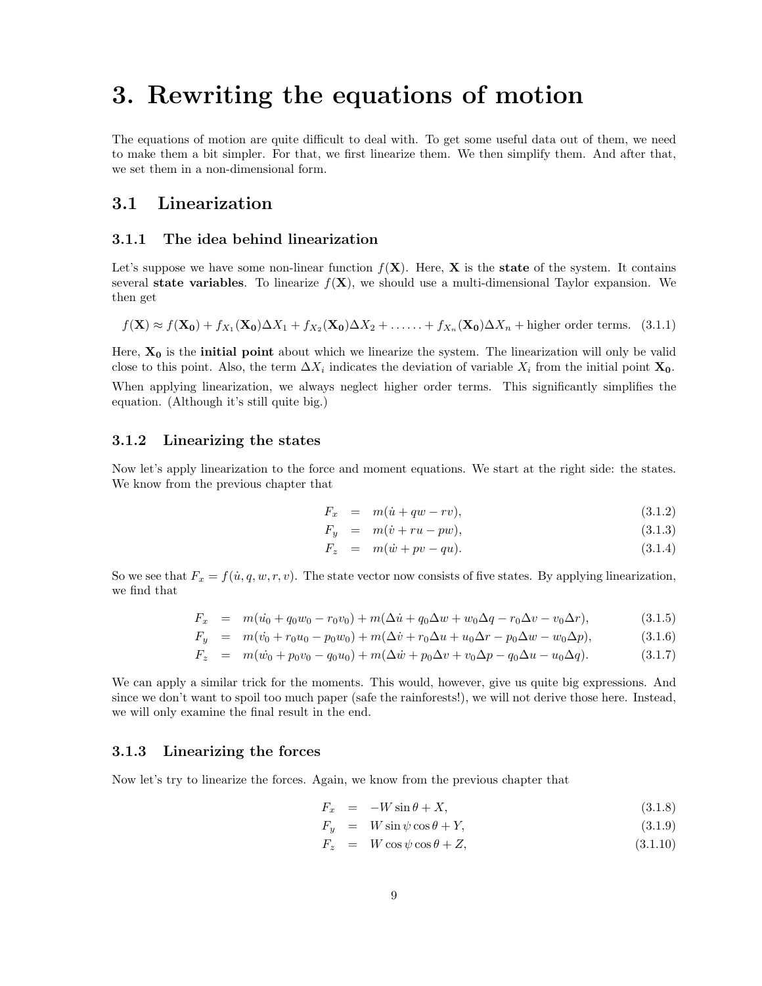## 3. Rewriting the equations of motion

The equations of motion are quite difficult to deal with. To get some useful data out of them, we need to make them a bit simpler. For that, we first linearize them. We then simplify them. And after that, we set them in a non-dimensional form.

## 3.1 Linearization

### 3.1.1 The idea behind linearization

Let's suppose we have some non-linear function  $f(\mathbf{X})$ . Here,  $\mathbf{X}$  is the state of the system. It contains several state variables. To linearize  $f(X)$ , we should use a multi-dimensional Taylor expansion. We then get

$$
f(\mathbf{X}) \approx f(\mathbf{X_0}) + f_{X_1}(\mathbf{X_0})\Delta X_1 + f_{X_2}(\mathbf{X_0})\Delta X_2 + \ldots + f_{X_n}(\mathbf{X_0})\Delta X_n + \text{higher order terms.} \quad (3.1.1)
$$

Here,  $X_0$  is the **initial point** about which we linearize the system. The linearization will only be valid close to this point. Also, the term  $\Delta X_i$  indicates the deviation of variable  $X_i$  from the initial point  $\mathbf{X_0}$ .

When applying linearization, we always neglect higher order terms. This significantly simplifies the equation. (Although it's still quite big.)

#### 3.1.2 Linearizing the states

Now let's apply linearization to the force and moment equations. We start at the right side: the states. We know from the previous chapter that

$$
F_x = m(\dot{u} + qw - rv), \qquad (3.1.2)
$$

$$
F_y = m(\dot{v} + ru - pw), \qquad (3.1.3)
$$

$$
F_z = m(\dot{w} + pv - qu). \tag{3.1.4}
$$

So we see that  $F_x = f(\dot{u}, q, w, r, v)$ . The state vector now consists of five states. By applying linearization, we find that

$$
F_x = m(\dot{u_0} + q_0 w_0 - r_0 v_0) + m(\Delta \dot{u} + q_0 \Delta w + w_0 \Delta q - r_0 \Delta v - v_0 \Delta r), \qquad (3.1.5)
$$

$$
F_y = m(v_0 + r_0u_0 - p_0w_0) + m(\Delta \dot{v} + r_0\Delta u + u_0\Delta r - p_0\Delta w - w_0\Delta p), \qquad (3.1.6)
$$

$$
F_z = m(\dot{w_0} + p_0 v_0 - q_0 u_0) + m(\Delta \dot{w} + p_0 \Delta v + v_0 \Delta p - q_0 \Delta u - u_0 \Delta q). \tag{3.1.7}
$$

We can apply a similar trick for the moments. This would, however, give us quite big expressions. And since we don't want to spoil too much paper (safe the rainforests!), we will not derive those here. Instead, we will only examine the final result in the end.

#### 3.1.3 Linearizing the forces

Now let's try to linearize the forces. Again, we know from the previous chapter that

$$
F_x = -W\sin\theta + X,\tag{3.1.8}
$$

$$
F_y = W \sin \psi \cos \theta + Y,\tag{3.1.9}
$$

$$
F_z = W \cos \psi \cos \theta + Z,\tag{3.1.10}
$$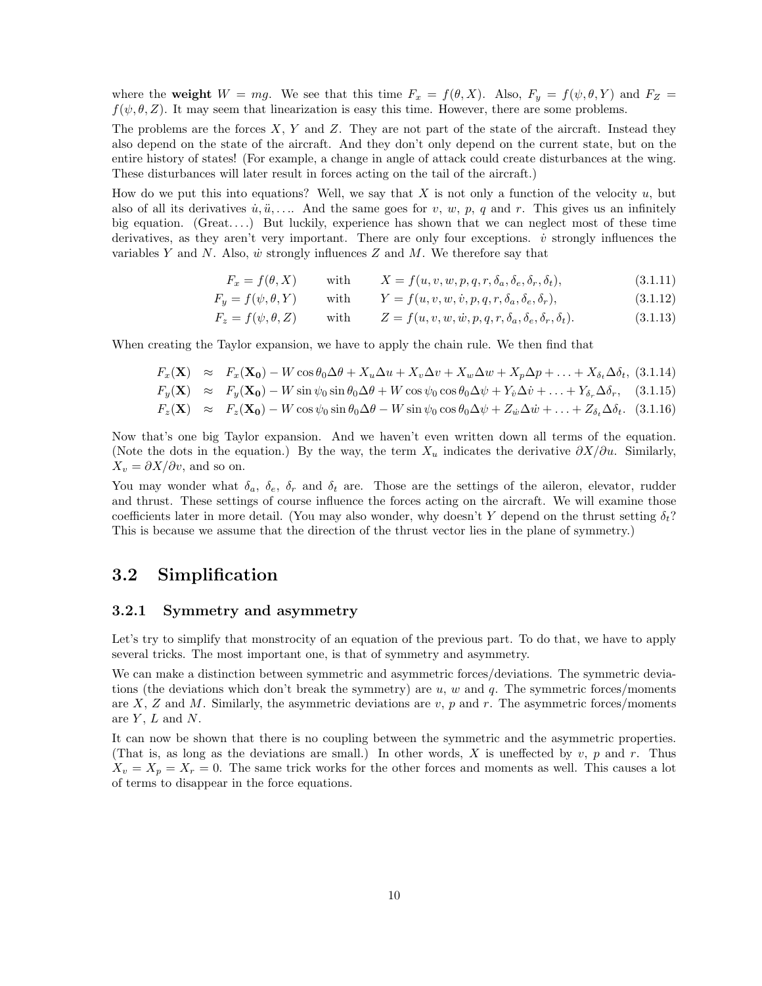where the weight  $W = mg$ . We see that this time  $F_x = f(\theta, X)$ . Also,  $F_y = f(\psi, \theta, Y)$  and  $F_z = f(\theta, X)$  $f(\psi, \theta, Z)$ . It may seem that linearization is easy this time. However, there are some problems.

The problems are the forces  $X, Y$  and  $Z$ . They are not part of the state of the aircraft. Instead they also depend on the state of the aircraft. And they don't only depend on the current state, but on the entire history of states! (For example, a change in angle of attack could create disturbances at the wing. These disturbances will later result in forces acting on the tail of the aircraft.)

How do we put this into equations? Well, we say that X is not only a function of the velocity  $u$ , but also of all its derivatives  $\dot{u}, \ddot{u}, \ldots$  And the same goes for v, w, p, q and r. This gives us an infinitely big equation. (Great....) But luckily, experience has shown that we can neglect most of these time derivatives, as they aren't very important. There are only four exceptions.  $\dot{v}$  strongly influences the variables Y and N. Also,  $\dot{w}$  strongly influences Z and M. We therefore say that

$$
F_x = f(\theta, X) \quad \text{with} \quad X = f(u, v, w, p, q, r, \delta_a, \delta_e, \delta_r, \delta_t), \tag{3.1.11}
$$

$$
F_y = f(\psi, \theta, Y) \quad \text{with} \quad Y = f(u, v, w, \dot{v}, p, q, r, \delta_a, \delta_e, \delta_r), \tag{3.1.12}
$$

$$
F_z = f(\psi, \theta, Z) \quad \text{with} \quad Z = f(u, v, w, \dot{w}, p, q, r, \delta_a, \delta_e, \delta_r, \delta_t). \tag{3.1.13}
$$

When creating the Taylor expansion, we have to apply the chain rule. We then find that

$$
F_x(\mathbf{X}) \approx F_x(\mathbf{X_0}) - W \cos \theta_0 \Delta \theta + X_u \Delta u + X_v \Delta v + X_w \Delta w + X_p \Delta p + \ldots + X_{\delta_t} \Delta \delta_t, (3.1.14)
$$

$$
F_y(\mathbf{X}) \approx F_y(\mathbf{X_0}) - W \sin \psi_0 \sin \theta_0 \Delta \theta + W \cos \psi_0 \cos \theta_0 \Delta \psi + Y_\psi \Delta \dot{v} + \dots + Y_{\delta_r} \Delta \delta_r, \quad (3.1.15)
$$

$$
F_z(\mathbf{X}) \approx F_z(\mathbf{X_0}) - W \cos \psi_0 \sin \theta_0 \Delta \theta - W \sin \psi_0 \cos \theta_0 \Delta \psi + Z_{\dot{w}} \Delta \dot{w} + \dots + Z_{\delta_t} \Delta \delta_t. \tag{3.1.16}
$$

Now that's one big Taylor expansion. And we haven't even written down all terms of the equation. (Note the dots in the equation.) By the way, the term  $X_u$  indicates the derivative  $\partial X/\partial u$ . Similarly,  $X_v = \partial X / \partial v$ , and so on.

You may wonder what  $\delta_a$ ,  $\delta_e$ ,  $\delta_r$  and  $\delta_t$  are. Those are the settings of the aileron, elevator, rudder and thrust. These settings of course influence the forces acting on the aircraft. We will examine those coefficients later in more detail. (You may also wonder, why doesn't Y depend on the thrust setting  $\delta_t$ ? This is because we assume that the direction of the thrust vector lies in the plane of symmetry.)

## 3.2 Simplification

#### 3.2.1 Symmetry and asymmetry

Let's try to simplify that monstrocity of an equation of the previous part. To do that, we have to apply several tricks. The most important one, is that of symmetry and asymmetry.

We can make a distinction between symmetric and asymmetric forces/deviations. The symmetric deviations (the deviations which don't break the symmetry) are  $u, w$  and  $q$ . The symmetric forces/moments are X, Z and M. Similarly, the asymmetric deviations are  $v, p$  and r. The asymmetric forces/moments are  $Y, L$  and  $N$ .

It can now be shown that there is no coupling between the symmetric and the asymmetric properties. (That is, as long as the deviations are small.) In other words, X is uneffected by  $v, p$  and  $r$ . Thus  $X_v = X_p = X_r = 0$ . The same trick works for the other forces and moments as well. This causes a lot of terms to disappear in the force equations.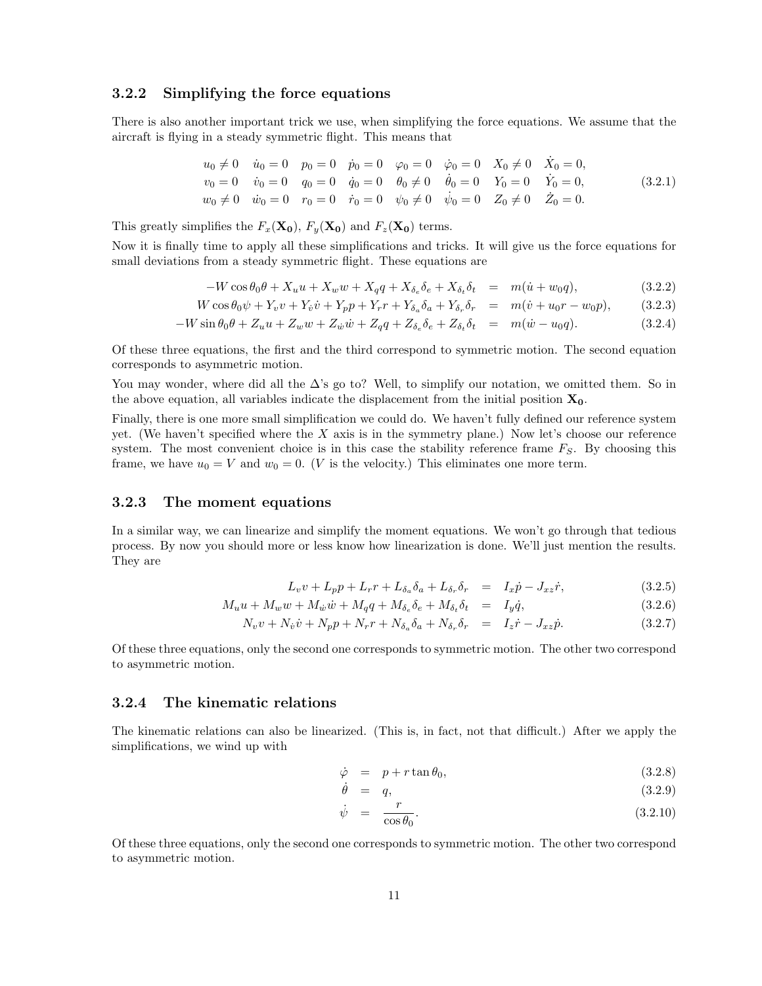#### 3.2.2 Simplifying the force equations

There is also another important trick we use, when simplifying the force equations. We assume that the aircraft is flying in a steady symmetric flight. This means that

$$
u_0 \neq 0 \quad \dot{u}_0 = 0 \quad p_0 = 0 \quad \dot{p}_0 = 0 \quad \varphi_0 = 0 \quad \dot{\varphi}_0 = 0 \quad X_0 \neq 0 \quad \dot{X}_0 = 0,
$$
  
\n
$$
v_0 = 0 \quad \dot{v}_0 = 0 \quad q_0 = 0 \quad \dot{q}_0 = 0 \quad \theta_0 \neq 0 \quad \dot{\theta}_0 = 0 \quad Y_0 = 0 \quad \dot{Y}_0 = 0,
$$
  
\n
$$
w_0 \neq 0 \quad \dot{w}_0 = 0 \quad r_0 = 0 \quad \dot{r}_0 = 0 \quad \psi_0 \neq 0 \quad \dot{\psi}_0 = 0 \quad Z_0 \neq 0 \quad \dot{Z}_0 = 0.
$$
\n(3.2.1)

This greatly simplifies the  $F_x(\mathbf{X_0})$ ,  $F_y(\mathbf{X_0})$  and  $F_z(\mathbf{X_0})$  terms.

Now it is finally time to apply all these simplifications and tricks. It will give us the force equations for small deviations from a steady symmetric flight. These equations are

$$
-W\cos\theta_0\theta + X_u u + X_w w + X_q q + X_{\delta_e} \delta_e + X_{\delta_t} \delta_t = m(\dot{u} + w_0 q), \qquad (3.2.2)
$$

$$
W\cos\theta_0\psi + Y_v v + Y_{\dot{v}}\dot{v} + Y_p p + Y_r r + Y_{\delta_a}\delta_a + Y_{\delta_r}\delta_r = m(\dot{v} + u_0r - w_0p), \qquad (3.2.3)
$$

$$
-W\sin\theta_0\theta + Z_u u + Z_w w + Z_{\dot{w}}\dot{w} + Z_q q + Z_{\delta_e}\delta_e + Z_{\delta_t}\delta_t = m(\dot{w} - u_0 q). \tag{3.2.4}
$$

Of these three equations, the first and the third correspond to symmetric motion. The second equation corresponds to asymmetric motion.

You may wonder, where did all the  $\Delta$ 's go to? Well, to simplify our notation, we omitted them. So in the above equation, all variables indicate the displacement from the initial position  $X_0$ .

Finally, there is one more small simplification we could do. We haven't fully defined our reference system yet. (We haven't specified where the  $X$  axis is in the symmetry plane.) Now let's choose our reference system. The most convenient choice is in this case the stability reference frame  $F_S$ . By choosing this frame, we have  $u_0 = V$  and  $w_0 = 0$ . (*V* is the velocity.) This eliminates one more term.

#### 3.2.3 The moment equations

In a similar way, we can linearize and simplify the moment equations. We won't go through that tedious process. By now you should more or less know how linearization is done. We'll just mention the results. They are

$$
L_v v + L_p p + L_r r + L_{\delta_a} \delta_a + L_{\delta_r} \delta_r = I_x \dot{p} - J_{xz} \dot{r}, \qquad (3.2.5)
$$

$$
M_u u + M_w w + M_{\dot{w}} \dot{w} + M_q q + M_{\delta_e} \delta_e + M_{\delta_t} \delta_t = I_y \dot{q}, \qquad (3.2.6)
$$

$$
N_v v + N_{\dot{v}} \dot{v} + N_p p + N_r r + N_{\delta_a} \delta_a + N_{\delta_r} \delta_r = I_z \dot{r} - J_{xz} \dot{p}.
$$
\n(3.2.7)

Of these three equations, only the second one corresponds to symmetric motion. The other two correspond to asymmetric motion.

#### 3.2.4 The kinematic relations

The kinematic relations can also be linearized. (This is, in fact, not that difficult.) After we apply the simplifications, we wind up with

$$
\dot{\varphi} = p + r \tan \theta_0, \qquad (3.2.8)
$$

$$
\dot{\theta} = q, \tag{3.2.9}
$$

$$
\dot{\psi} = \frac{r}{\cos \theta_0}.\tag{3.2.10}
$$

Of these three equations, only the second one corresponds to symmetric motion. The other two correspond to asymmetric motion.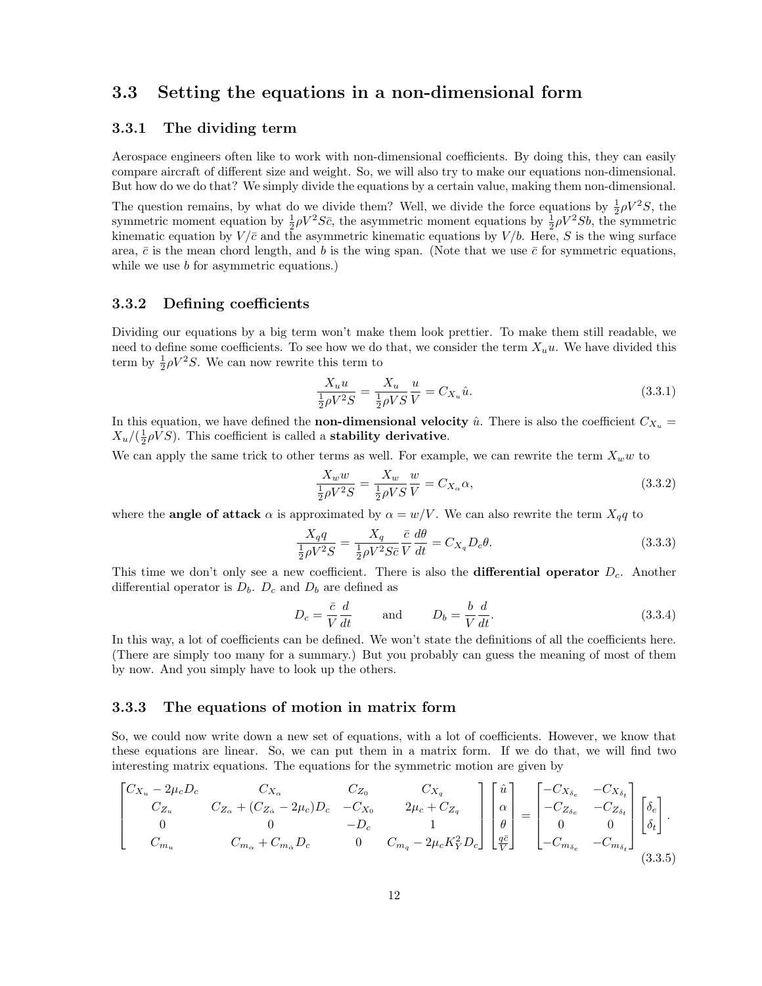## 3.3 Setting the equations in a non-dimensional form

#### 3.3.1 The dividing term

Aerospace engineers often like to work with non-dimensional coefficients. By doing this, they can easily compare aircraft of different size and weight. So, we will also try to make our equations non-dimensional. But how do we do that? We simply divide the equations by a certain value, making them non-dimensional.

The question remains, by what do we divide them? Well, we divide the force equations by  $\frac{1}{2}\rho V^2S$ , the symmetric moment equation by  $\frac{1}{2}\rho V^2 S\bar{c}$ , the asymmetric moment equations by  $\frac{1}{2}\rho V^2 Sb$ , the symmetric kinematic equation by  $V/\bar{c}$  and the asymmetric kinematic equations by  $V/b$ . Here, S is the wing surface area,  $\bar{c}$  is the mean chord length, and b is the wing span. (Note that we use  $\bar{c}$  for symmetric equations, while we use *b* for asymmetric equations.)

#### 3.3.2 Defining coefficients

Dividing our equations by a big term won't make them look prettier. To make them still readable, we need to define some coefficients. To see how we do that, we consider the term  $X_u u$ . We have divided this term by  $\frac{1}{2}\rho V^2 S$ . We can now rewrite this term to

$$
\frac{X_u u}{\frac{1}{2}\rho V^2 S} = \frac{X_u}{\frac{1}{2}\rho V S} \frac{u}{V} = C_{X_u} \hat{u}.
$$
\n(3.3.1)

In this equation, we have defined the **non-dimensional velocity**  $\hat{u}$ . There is also the coefficient  $C_{X_u}$  =  $X_u/(\frac{1}{2}\rho VS)$ . This coefficient is called a **stability derivative**.

We can apply the same trick to other terms as well. For example, we can rewrite the term  $X_w w$  to

$$
\frac{X_w w}{\frac{1}{2}\rho V^2 S} = \frac{X_w}{\frac{1}{2}\rho V S} \frac{w}{V} = C_{X_\alpha} \alpha,
$$
\n(3.3.2)

where the **angle of attack**  $\alpha$  is approximated by  $\alpha = w/V$ . We can also rewrite the term  $X_q q$  to

$$
\frac{X_q q}{\frac{1}{2}\rho V^2 S} = \frac{X_q}{\frac{1}{2}\rho V^2 S \bar{c}} \frac{\bar{c}}{V} \frac{d\theta}{dt} = C_{X_q} D_c \theta.
$$
\n(3.3.3)

This time we don't only see a new coefficient. There is also the **differential operator**  $D_c$ . Another differential operator is  $D_b$ .  $D_c$  and  $D_b$  are defined as

$$
D_c = \frac{\bar{c}}{V} \frac{d}{dt} \quad \text{and} \quad D_b = \frac{b}{V} \frac{d}{dt}.
$$
 (3.3.4)

In this way, a lot of coefficients can be defined. We won't state the definitions of all the coefficients here. (There are simply too many for a summary.) But you probably can guess the meaning of most of them by now. And you simply have to look up the others.

#### 3.3.3 The equations of motion in matrix form

So, we could now write down a new set of equations, with a lot of coefficients. However, we know that these equations are linear. So, we can put them in a matrix form. If we do that, we will find two interesting matrix equations. The equations for the symmetric motion are given by

$$
\begin{bmatrix} C_{X_u} - 2\mu_c D_c & C_{X_{\alpha}} & C_{Z_0} & C_{X_q} \\ C_{Z_u} & C_{Z_{\alpha}} + (C_{Z_{\alpha}} - 2\mu_c)D_c & -C_{X_0} & 2\mu_c + C_{Z_q} \\ 0 & 0 & -D_c & 1 \\ C_{m_u} & C_{m_{\alpha}} + C_{m_{\alpha}}D_c & 0 & C_{m_q} - 2\mu_c K_Y^2 D_c \end{bmatrix} \begin{bmatrix} \hat{u} \\ \alpha \\ \theta \\ \frac{q\bar{c}}{\bar{V}} \end{bmatrix} = \begin{bmatrix} -C_{X_{\delta_e}} & -C_{X_{\delta_t}} \\ -C_{Z_{\delta_e}} & -C_{Z_{\delta_t}} \\ 0 & 0 \\ -C_{m_{\delta_e}} & -C_{m_{\delta_t}} \end{bmatrix} \begin{bmatrix} \delta_e \\ \delta_t \end{bmatrix}.
$$
\n(3.3.5)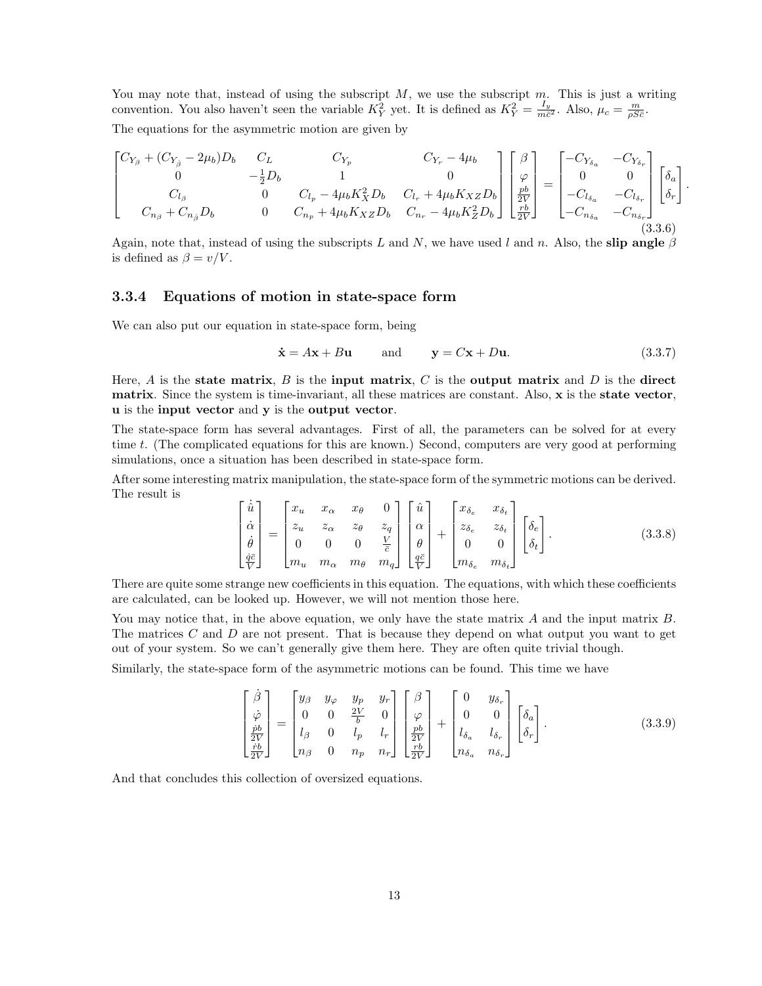You may note that, instead of using the subscript  $M$ , we use the subscript  $m$ . This is just a writing convention. You also haven't seen the variable  $K_Y^2$  yet. It is defined as  $K_Y^2 = \frac{I_y}{m\bar{c}^2}$ . Also,  $\mu_c = \frac{m}{\rho Sc}$ . The equations for the asymmetric motion are given by

$$
\begin{bmatrix}\nC_{Y_{\beta}} + (C_{Y_{\beta}} - 2\mu_b)D_b & C_L & C_{Y_p} & C_{Y_r} - 4\mu_b \\
0 & -\frac{1}{2}D_b & 1 & 0 \\
C_{l_{\beta}} & 0 & C_{l_p} - 4\mu_b K_X^2 D_b & C_{l_r} + 4\mu_b K_X z D_b \\
C_{n_{\beta}} + C_{n_{\beta}} D_b & 0 & C_{n_p} + 4\mu_b K_X z D_b & C_{n_r} - 4\mu_b K_Z^2 D_b\n\end{bmatrix}\n\begin{bmatrix}\n\beta \\
\varphi \\
\frac{pb}{2V}\n\end{bmatrix} =\n\begin{bmatrix}\n-C_{Y_{\delta_a}} & -C_{Y_{\delta_r}} \\
0 & 0 \\
-C_{l_{\delta_a}} & -C_{l_{\delta_r}} \\
-C_{n_{\delta_a}} & -C_{n_{\delta_r}}\n\end{bmatrix}\n\begin{bmatrix}\n\delta_a \\
\delta_r\n\end{bmatrix}
$$
\n(3.3.6)

Again, note that, instead of using the subscripts L and N, we have used l and n. Also, the slip angle  $\beta$ is defined as  $\beta = v/V$ .

#### 3.3.4 Equations of motion in state-space form

We can also put our equation in state-space form, being

$$
\dot{\mathbf{x}} = A\mathbf{x} + B\mathbf{u} \quad \text{and} \quad \mathbf{y} = C\mathbf{x} + D\mathbf{u}.\tag{3.3.7}
$$

.

Here,  $A$  is the state matrix,  $B$  is the input matrix,  $C$  is the output matrix and  $D$  is the direct matrix. Since the system is time-invariant, all these matrices are constant. Also, x is the state vector, u is the input vector and y is the output vector.

The state-space form has several advantages. First of all, the parameters can be solved for at every time t. (The complicated equations for this are known.) Second, computers are very good at performing simulations, once a situation has been described in state-space form.

After some interesting matrix manipulation, the state-space form of the symmetric motions can be derived. The result is

$$
\begin{bmatrix}\n\dot{\hat{u}} \\
\dot{\alpha} \\
\dot{\theta} \\
\frac{\dot{q}\bar{c}}{\bar{V}}\n\end{bmatrix} =\n\begin{bmatrix}\nx_u & x_\alpha & x_\theta & 0 \\
z_u & z_\alpha & z_\theta & z_q \\
0 & 0 & 0 & \frac{V}{\bar{c}} \\
m_u & m_\alpha & m_\theta & m_q\n\end{bmatrix}\n\begin{bmatrix}\n\hat{u} \\
\alpha \\
\theta \\
\frac{q\bar{c}}{V}\n\end{bmatrix} +\n\begin{bmatrix}\nx_{\delta_e} & x_{\delta_t} \\
z_{\delta_e} & z_{\delta_t} \\
0 & 0 \\
m_{\delta_e} & m_{\delta_t}\n\end{bmatrix}\n\begin{bmatrix}\n\delta_e \\
\delta_t\n\end{bmatrix}.
$$
\n(3.3.8)

There are quite some strange new coefficients in this equation. The equations, with which these coefficients are calculated, can be looked up. However, we will not mention those here.

You may notice that, in the above equation, we only have the state matrix  $A$  and the input matrix  $B$ . The matrices C and D are not present. That is because they depend on what output you want to get out of your system. So we can't generally give them here. They are often quite trivial though.

Similarly, the state-space form of the asymmetric motions can be found. This time we have

$$
\begin{bmatrix}\n\dot{\beta} \\
\dot{\varphi} \\
\frac{\dot{p}b}{2V}\n\end{bmatrix} = \begin{bmatrix}\ny_{\beta} & y_{\varphi} & y_{p} & y_{r} \\
0 & 0 & \frac{2V}{b} & 0 \\
l_{\beta} & 0 & l_{p} & l_{r} \\
n_{\beta} & 0 & n_{p} & n_{r}\n\end{bmatrix} \begin{bmatrix}\n\beta \\
\varphi \\
\frac{pb}{2V}\n\end{bmatrix} + \begin{bmatrix}\n0 & y_{\delta_{r}} \\
0 & 0 \\
l_{\delta_{a}} & l_{\delta_{r}} \\
n_{\delta_{a}} & n_{\delta_{r}}\n\end{bmatrix} \begin{bmatrix}\n\delta_{a} \\
\delta_{r}\n\end{bmatrix}.
$$
\n(3.3.9)

And that concludes this collection of oversized equations.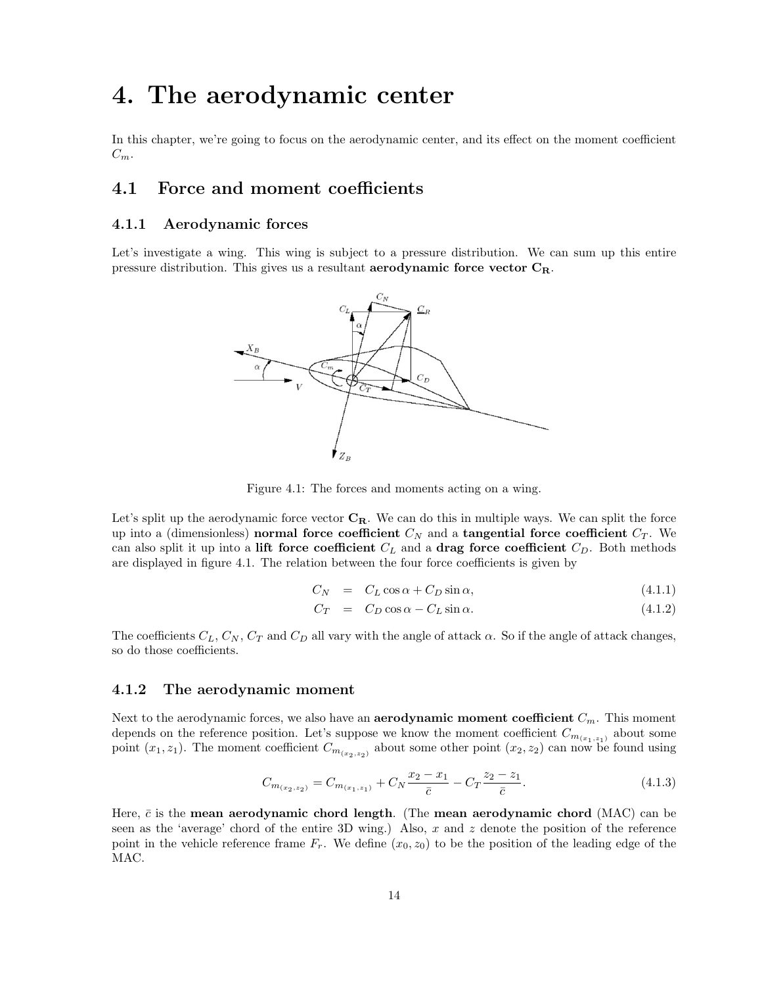## 4. The aerodynamic center

In this chapter, we're going to focus on the aerodynamic center, and its effect on the moment coefficient  $C_m$ .

## 4.1 Force and moment coefficients

#### 4.1.1 Aerodynamic forces

Let's investigate a wing. This wing is subject to a pressure distribution. We can sum up this entire pressure distribution. This gives us a resultant **aerodynamic force vector**  $C_R$ .



Figure 4.1: The forces and moments acting on a wing.

Let's split up the aerodynamic force vector  $C_R$ . We can do this in multiple ways. We can split the force up into a (dimensionless) normal force coefficient  $C_N$  and a tangential force coefficient  $C_T$ . We can also split it up into a lift force coefficient  $C<sub>L</sub>$  and a drag force coefficient  $C<sub>D</sub>$ . Both methods are displayed in figure 4.1. The relation between the four force coefficients is given by

$$
C_N = C_L \cos \alpha + C_D \sin \alpha, \qquad (4.1.1)
$$

$$
C_T = C_D \cos \alpha - C_L \sin \alpha. \tag{4.1.2}
$$

The coefficients  $C_L$ ,  $C_N$ ,  $C_T$  and  $C_D$  all vary with the angle of attack  $\alpha$ . So if the angle of attack changes, so do those coefficients.

#### 4.1.2 The aerodynamic moment

Next to the aerodynamic forces, we also have an **aerodynamic moment coefficient**  $C_m$ . This moment depends on the reference position. Let's suppose we know the moment coefficient  $C_{m_{(x_1,z_1)}}$  about some point  $(x_1, z_1)$ . The moment coefficient  $C_{m_{(x_2, z_2)}}$  about some other point  $(x_2, z_2)$  can now be found using

$$
C_{m_{(x_2,z_2)}} = C_{m_{(x_1,z_1)}} + C_N \frac{x_2 - x_1}{\bar{c}} - C_T \frac{z_2 - z_1}{\bar{c}}.
$$
\n(4.1.3)

Here,  $\bar{c}$  is the mean aerodynamic chord length. (The mean aerodynamic chord (MAC) can be seen as the 'average' chord of the entire 3D wing.) Also, x and z denote the position of the reference point in the vehicle reference frame  $F_r$ . We define  $(x_0, z_0)$  to be the position of the leading edge of the MAC.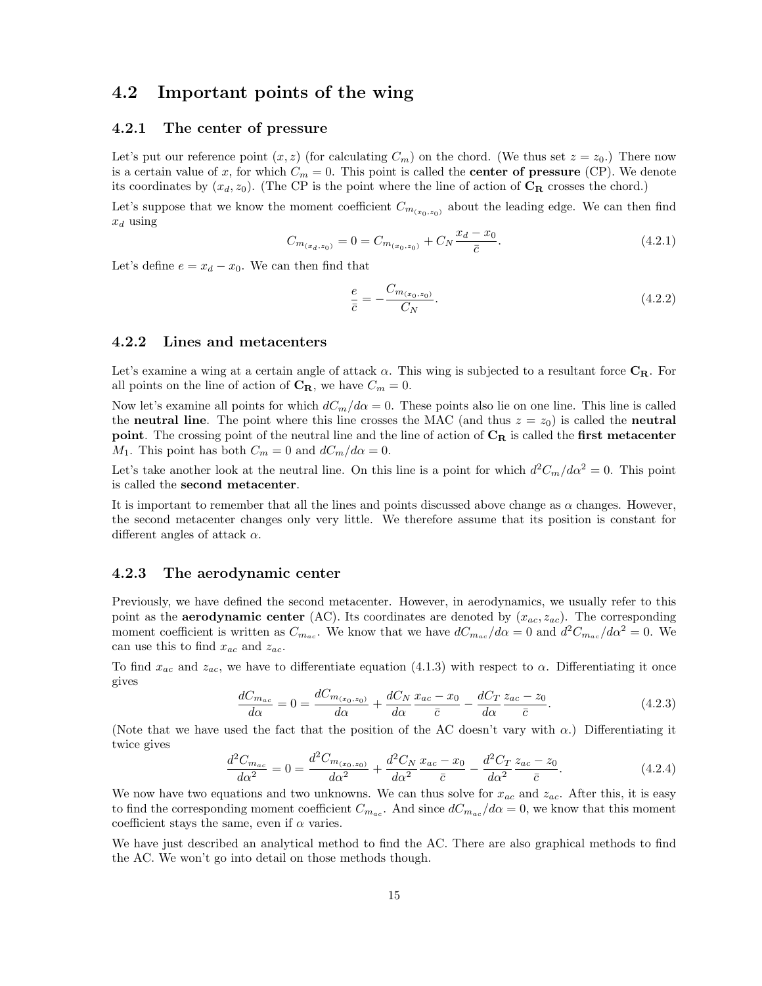## 4.2 Important points of the wing

#### 4.2.1 The center of pressure

Let's put our reference point  $(x, z)$  (for calculating  $C_m$ ) on the chord. (We thus set  $z = z_0$ .) There now is a certain value of x, for which  $C_m = 0$ . This point is called the **center of pressure** (CP). We denote its coordinates by  $(x_d, z_0)$ . (The CP is the point where the line of action of  $C_R$  crosses the chord.)

Let's suppose that we know the moment coefficient  $C_{m_{(x_0, z_0)}}$  about the leading edge. We can then find  $x_d$  using

$$
C_{m_{(x_d,z_0)}} = 0 = C_{m_{(x_0,z_0)}} + C_N \frac{x_d - x_0}{\bar{c}}.
$$
\n(4.2.1)

Let's define  $e = x_d - x_0$ . We can then find that

$$
\frac{e}{\bar{c}} = -\frac{C_{m_{(x_0, z_0)}}}{C_N}.\tag{4.2.2}
$$

#### 4.2.2 Lines and metacenters

Let's examine a wing at a certain angle of attack  $\alpha$ . This wing is subjected to a resultant force  $C_R$ . For all points on the line of action of  $\mathbf{C}_{\mathbf{R}}$ , we have  $C_m = 0$ .

Now let's examine all points for which  $dC_m/d\alpha = 0$ . These points also lie on one line. This line is called the neutral line. The point where this line crosses the MAC (and thus  $z = z<sub>0</sub>$ ) is called the neutral point. The crossing point of the neutral line and the line of action of  $C_R$  is called the first metacenter  $M_1$ . This point has both  $C_m = 0$  and  $dC_m/d\alpha = 0$ .

Let's take another look at the neutral line. On this line is a point for which  $d^2C_m/d\alpha^2 = 0$ . This point is called the second metacenter.

It is important to remember that all the lines and points discussed above change as  $\alpha$  changes. However, the second metacenter changes only very little. We therefore assume that its position is constant for different angles of attack  $\alpha$ .

#### 4.2.3 The aerodynamic center

Previously, we have defined the second metacenter. However, in aerodynamics, we usually refer to this point as the **aerodynamic center** (AC). Its coordinates are denoted by  $(x_{ac}, z_{ac})$ . The corresponding moment coefficient is written as  $C_{m_{ac}}$ . We know that we have  $dC_{m_{ac}}/d\alpha = 0$  and  $d^2C_{m_{ac}}/d\alpha^2 = 0$ . We can use this to find  $x_{ac}$  and  $z_{ac}$ .

To find  $x_{ac}$  and  $z_{ac}$ , we have to differentiate equation (4.1.3) with respect to  $\alpha$ . Differentiating it once gives

$$
\frac{dC_{m_{ac}}}{d\alpha} = 0 = \frac{dC_{m_{(x_0, z_0)}}}{d\alpha} + \frac{dC_N}{d\alpha} \frac{x_{ac} - x_0}{\bar{c}} - \frac{dC_T}{d\alpha} \frac{z_{ac} - z_0}{\bar{c}}.
$$
\n(4.2.3)

(Note that we have used the fact that the position of the AC doesn't vary with  $\alpha$ .) Differentiating it twice gives

$$
\frac{d^2C_{m_{ac}}}{d\alpha^2} = 0 = \frac{d^2C_{m_{(x_0, z_0)}}}{d\alpha^2} + \frac{d^2C_N}{d\alpha^2} \frac{x_{ac} - x_0}{\bar{c}} - \frac{d^2C_T}{d\alpha^2} \frac{z_{ac} - z_0}{\bar{c}}.
$$
\n(4.2.4)

We now have two equations and two unknowns. We can thus solve for  $x_{ac}$  and  $z_{ac}$ . After this, it is easy to find the corresponding moment coefficient  $C_{m_{ac}}$ . And since  $dC_{m_{ac}}/d\alpha = 0$ , we know that this moment coefficient stays the same, even if  $\alpha$  varies.

We have just described an analytical method to find the AC. There are also graphical methods to find the AC. We won't go into detail on those methods though.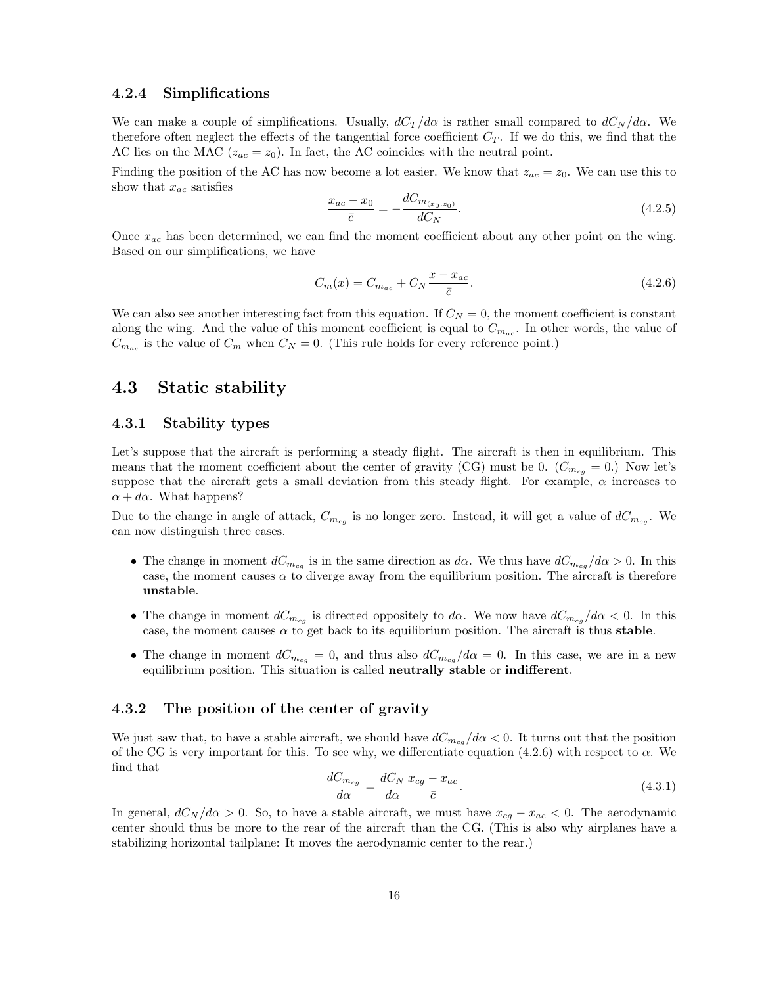#### 4.2.4 Simplifications

We can make a couple of simplifications. Usually,  $dC_T/d\alpha$  is rather small compared to  $dC_N/d\alpha$ . We therefore often neglect the effects of the tangential force coefficient  $C_T$ . If we do this, we find that the AC lies on the MAC ( $z_{ac} = z_0$ ). In fact, the AC coincides with the neutral point.

Finding the position of the AC has now become a lot easier. We know that  $z_{ac} = z_0$ . We can use this to show that  $x_{ac}$  satisfies

$$
\frac{x_{ac} - x_0}{\bar{c}} = -\frac{dC_{m_{(x_0, z_0)}}}{dC_N}.\tag{4.2.5}
$$

Once  $x_{ac}$  has been determined, we can find the moment coefficient about any other point on the wing. Based on our simplifications, we have

$$
C_m(x) = C_{m_{ac}} + C_N \frac{x - x_{ac}}{\bar{c}}.
$$
\n(4.2.6)

We can also see another interesting fact from this equation. If  $C<sub>N</sub> = 0$ , the moment coefficient is constant along the wing. And the value of this moment coefficient is equal to  $C_{m_{ac}}$ . In other words, the value of  $C_{m_{ac}}$  is the value of  $C_m$  when  $C_N = 0$ . (This rule holds for every reference point.)

## 4.3 Static stability

#### 4.3.1 Stability types

Let's suppose that the aircraft is performing a steady flight. The aircraft is then in equilibrium. This means that the moment coefficient about the center of gravity (CG) must be 0.  $(C_{m_{cq}} = 0)$ . Now let's suppose that the aircraft gets a small deviation from this steady flight. For example,  $\alpha$  increases to  $\alpha + d\alpha$ . What happens?

Due to the change in angle of attack,  $C_{m_{cg}}$  is no longer zero. Instead, it will get a value of  $dC_{m_{cg}}$ . We can now distinguish three cases.

- The change in moment  $dC_{m_{cg}}$  is in the same direction as  $d\alpha$ . We thus have  $dC_{m_{cg}}/d\alpha > 0$ . In this case, the moment causes  $\alpha$  to diverge away from the equilibrium position. The aircraft is therefore unstable.
- The change in moment  $dC_{m_{cg}}$  is directed oppositely to da. We now have  $dC_{m_{cg}}/d\alpha < 0$ . In this case, the moment causes  $\alpha$  to get back to its equilibrium position. The aircraft is thus **stable**.
- The change in moment  $dC_{m_{cg}} = 0$ , and thus also  $dC_{m_{cg}}/d\alpha = 0$ . In this case, we are in a new equilibrium position. This situation is called neutrally stable or indifferent.

#### 4.3.2 The position of the center of gravity

We just saw that, to have a stable aircraft, we should have  $dC_{m_{cg}}/d\alpha < 0$ . It turns out that the position of the CG is very important for this. To see why, we differentiate equation (4.2.6) with respect to  $\alpha$ . We find that

$$
\frac{dC_{m_{cg}}}{d\alpha} = \frac{dC_N}{d\alpha} \frac{x_{cg} - x_{ac}}{\bar{c}}.
$$
\n(4.3.1)

In general,  $dC_N/d\alpha > 0$ . So, to have a stable aircraft, we must have  $x_{cg} - x_{ac} < 0$ . The aerodynamic center should thus be more to the rear of the aircraft than the CG. (This is also why airplanes have a stabilizing horizontal tailplane: It moves the aerodynamic center to the rear.)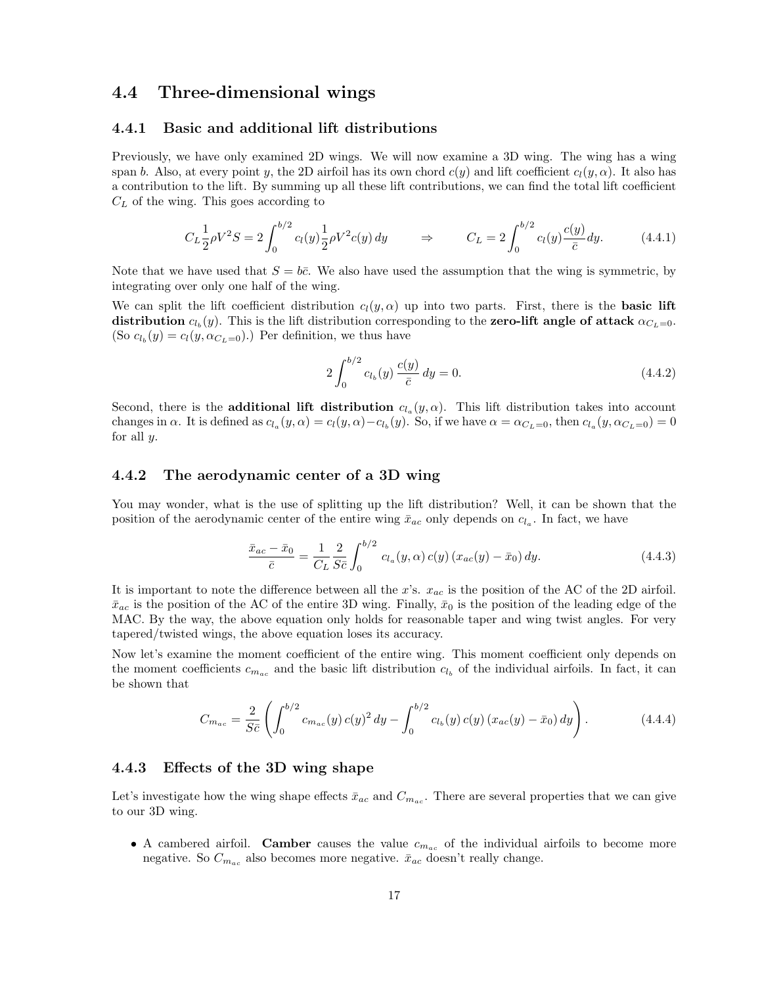## 4.4 Three-dimensional wings

#### 4.4.1 Basic and additional lift distributions

Previously, we have only examined 2D wings. We will now examine a 3D wing. The wing has a wing span b. Also, at every point y, the 2D airfoil has its own chord  $c(y)$  and lift coefficient  $c_l(y, \alpha)$ . It also has a contribution to the lift. By summing up all these lift contributions, we can find the total lift coefficient  $C_L$  of the wing. This goes according to

$$
C_L \frac{1}{2} \rho V^2 S = 2 \int_0^{b/2} c_l(y) \frac{1}{2} \rho V^2 c(y) dy \qquad \Rightarrow \qquad C_L = 2 \int_0^{b/2} c_l(y) \frac{c(y)}{\bar{c}} dy. \tag{4.4.1}
$$

Note that we have used that  $S = b\bar{c}$ . We also have used the assumption that the wing is symmetric, by integrating over only one half of the wing.

We can split the lift coefficient distribution  $c_l(y, \alpha)$  up into two parts. First, there is the **basic lift** distribution  $c_{l_b}(y)$ . This is the lift distribution corresponding to the zero-lift angle of attack  $\alpha_{C_L=0}$ . (So  $c_{l_b}(y) = c_l(y, \alpha_{C_L=0})$ .) Per definition, we thus have

$$
2\int_0^{b/2} c_{l_b}(y) \frac{c(y)}{\bar{c}} dy = 0.
$$
\n(4.4.2)

Second, there is the **additional lift distribution**  $c_{l_a}(y, \alpha)$ . This lift distribution takes into account changes in  $\alpha$ . It is defined as  $c_{l_a}(y,\alpha) = c_l(y,\alpha) - c_{l_b}(y)$ . So, if we have  $\alpha = \alpha_{C_L=0}$ , then  $c_{l_a}(y,\alpha_{C_L=0}) = 0$ for all  $y$ .

#### 4.4.2 The aerodynamic center of a 3D wing

You may wonder, what is the use of splitting up the lift distribution? Well, it can be shown that the position of the aerodynamic center of the entire wing  $\bar{x}_{ac}$  only depends on  $c_{l_a}$ . In fact, we have

$$
\frac{\bar{x}_{ac} - \bar{x}_0}{\bar{c}} = \frac{1}{C_L} \frac{2}{S\bar{c}} \int_0^{b/2} c_{l_a}(y, \alpha) c(y) \left(x_{ac}(y) - \bar{x}_0\right) dy.
$$
\n(4.4.3)

It is important to note the difference between all the x's.  $x_{ac}$  is the position of the AC of the 2D airfoil.  $\bar{x}_{ac}$  is the position of the AC of the entire 3D wing. Finally,  $\bar{x}_0$  is the position of the leading edge of the MAC. By the way, the above equation only holds for reasonable taper and wing twist angles. For very tapered/twisted wings, the above equation loses its accuracy.

Now let's examine the moment coefficient of the entire wing. This moment coefficient only depends on the moment coefficients  $c_{m_{ac}}$  and the basic lift distribution  $c_{l_b}$  of the individual airfoils. In fact, it can be shown that

$$
C_{m_{ac}} = \frac{2}{S\bar{c}} \left( \int_0^{b/2} c_{m_{ac}}(y) c(y)^2 dy - \int_0^{b/2} c_{l_b}(y) c(y) (x_{ac}(y) - \bar{x}_0) dy \right).
$$
 (4.4.4)

#### 4.4.3 Effects of the 3D wing shape

Let's investigate how the wing shape effects  $\bar{x}_{ac}$  and  $C_{m_{ac}}$ . There are several properties that we can give to our 3D wing.

• A cambered airfoil. Camber causes the value  $c_{m_{ac}}$  of the individual airfoils to become more negative. So  $C_{m_{ac}}$  also becomes more negative.  $\bar{x}_{ac}$  doesn't really change.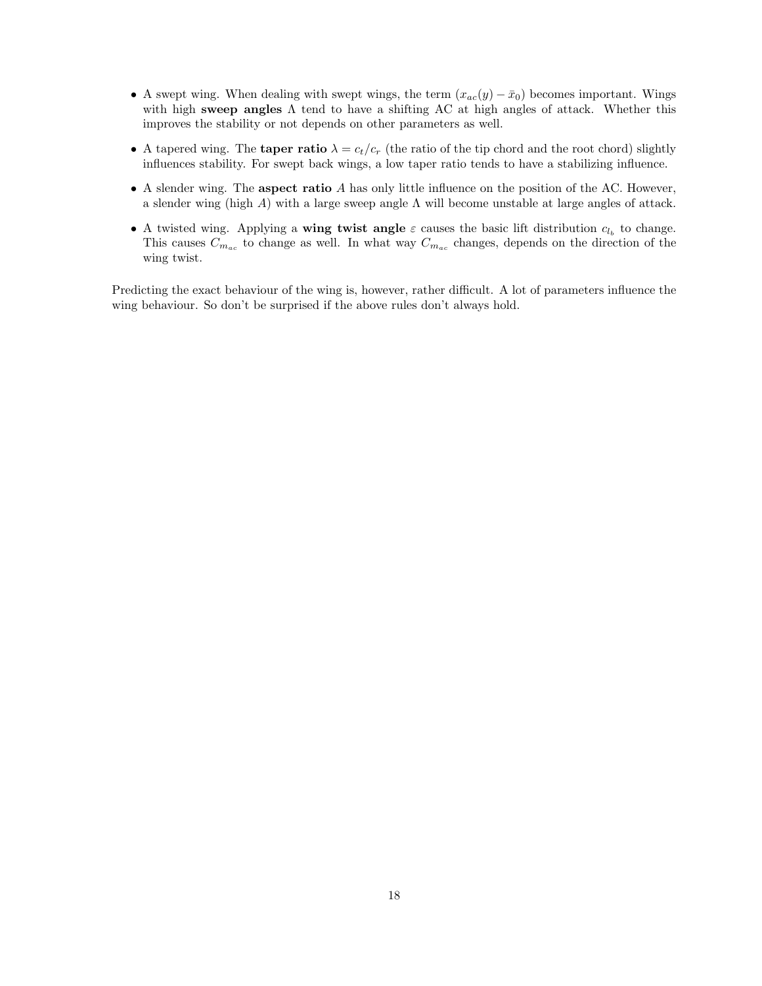- A swept wing. When dealing with swept wings, the term  $(x_{ac}(y) \bar{x}_0)$  becomes important. Wings with high sweep angles  $\Lambda$  tend to have a shifting AC at high angles of attack. Whether this improves the stability or not depends on other parameters as well.
- A tapered wing. The **taper ratio**  $\lambda = c_t/c_r$  (the ratio of the tip chord and the root chord) slightly influences stability. For swept back wings, a low taper ratio tends to have a stabilizing influence.
- $\bullet$  A slender wing. The **aspect ratio** A has only little influence on the position of the AC. However, a slender wing (high A) with a large sweep angle  $\Lambda$  will become unstable at large angles of attack.
- A twisted wing. Applying a wing twist angle  $\varepsilon$  causes the basic lift distribution  $c_{l_b}$  to change. This causes  $C_{m_{ac}}$  to change as well. In what way  $C_{m_{ac}}$  changes, depends on the direction of the wing twist.

Predicting the exact behaviour of the wing is, however, rather difficult. A lot of parameters influence the wing behaviour. So don't be surprised if the above rules don't always hold.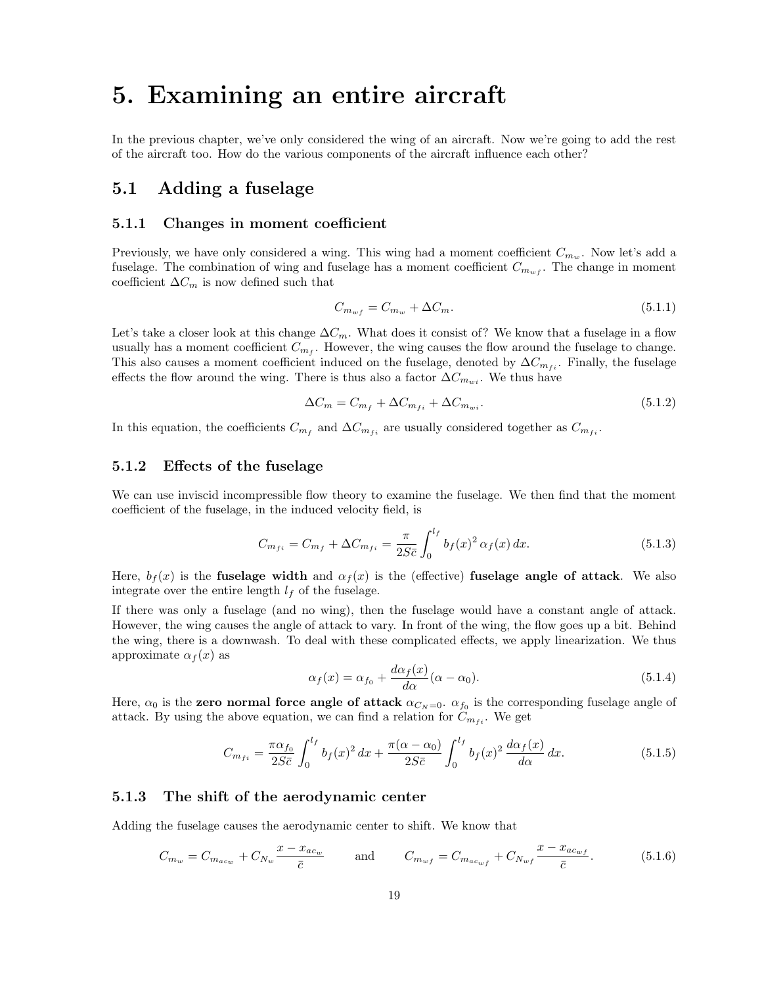## 5. Examining an entire aircraft

In the previous chapter, we've only considered the wing of an aircraft. Now we're going to add the rest of the aircraft too. How do the various components of the aircraft influence each other?

## 5.1 Adding a fuselage

#### 5.1.1 Changes in moment coefficient

Previously, we have only considered a wing. This wing had a moment coefficient  $C_{m_w}$ . Now let's add a fuselage. The combination of wing and fuselage has a moment coefficient  $C_{m_{wf}}$ . The change in moment coefficient  $\Delta C_m$  is now defined such that

$$
C_{m_{wf}} = C_{m_w} + \Delta C_m. \tag{5.1.1}
$$

Let's take a closer look at this change  $\Delta C_m$ . What does it consist of? We know that a fuselage in a flow usually has a moment coefficient  $C_{m_f}$ . However, the wing causes the flow around the fuselage to change. This also causes a moment coefficient induced on the fuselage, denoted by  $\Delta C_{m_{fi}}$ . Finally, the fuselage effects the flow around the wing. There is thus also a factor  $\Delta C_{m_{wi}}$ . We thus have

$$
\Delta C_m = C_{m_f} + \Delta C_{m_{fi}} + \Delta C_{m_{wi}}.\tag{5.1.2}
$$

In this equation, the coefficients  $C_{m_f}$  and  $\Delta C_{m_{fi}}$  are usually considered together as  $C_{m_{fi}}$ .

#### 5.1.2 Effects of the fuselage

We can use inviscid incompressible flow theory to examine the fuselage. We then find that the moment coefficient of the fuselage, in the induced velocity field, is

$$
C_{m_{fi}} = C_{m_f} + \Delta C_{m_{fi}} = \frac{\pi}{2S\bar{c}} \int_0^{l_f} b_f(x)^2 \,\alpha_f(x) \,dx. \tag{5.1.3}
$$

Here,  $b_f(x)$  is the fuselage width and  $\alpha_f(x)$  is the (effective) fuselage angle of attack. We also integrate over the entire length  $l_f$  of the fuselage.

If there was only a fuselage (and no wing), then the fuselage would have a constant angle of attack. However, the wing causes the angle of attack to vary. In front of the wing, the flow goes up a bit. Behind the wing, there is a downwash. To deal with these complicated effects, we apply linearization. We thus approximate  $\alpha_f(x)$  as

$$
\alpha_f(x) = \alpha_{f_0} + \frac{d\alpha_f(x)}{d\alpha}(\alpha - \alpha_0). \tag{5.1.4}
$$

Here,  $\alpha_0$  is the zero normal force angle of attack  $\alpha_{C_N=0}$ .  $\alpha_{f_0}$  is the corresponding fuselage angle of attack. By using the above equation, we can find a relation for  $C_{m_{fi}}$ . We get

$$
C_{m_{fi}} = \frac{\pi \alpha_{f_0}}{2S\bar{c}} \int_0^{l_f} b_f(x)^2 dx + \frac{\pi (\alpha - \alpha_0)}{2S\bar{c}} \int_0^{l_f} b_f(x)^2 \frac{d\alpha_f(x)}{d\alpha} dx.
$$
 (5.1.5)

#### 5.1.3 The shift of the aerodynamic center

Adding the fuselage causes the aerodynamic center to shift. We know that

$$
C_{m_w} = C_{m_{ac_w}} + C_{N_w} \frac{x - x_{ac_w}}{\bar{c}} \quad \text{and} \quad C_{m_{wf}} = C_{m_{ac_{wf}}} + C_{N_{wf}} \frac{x - x_{ac_{wf}}}{\bar{c}}.
$$
 (5.1.6)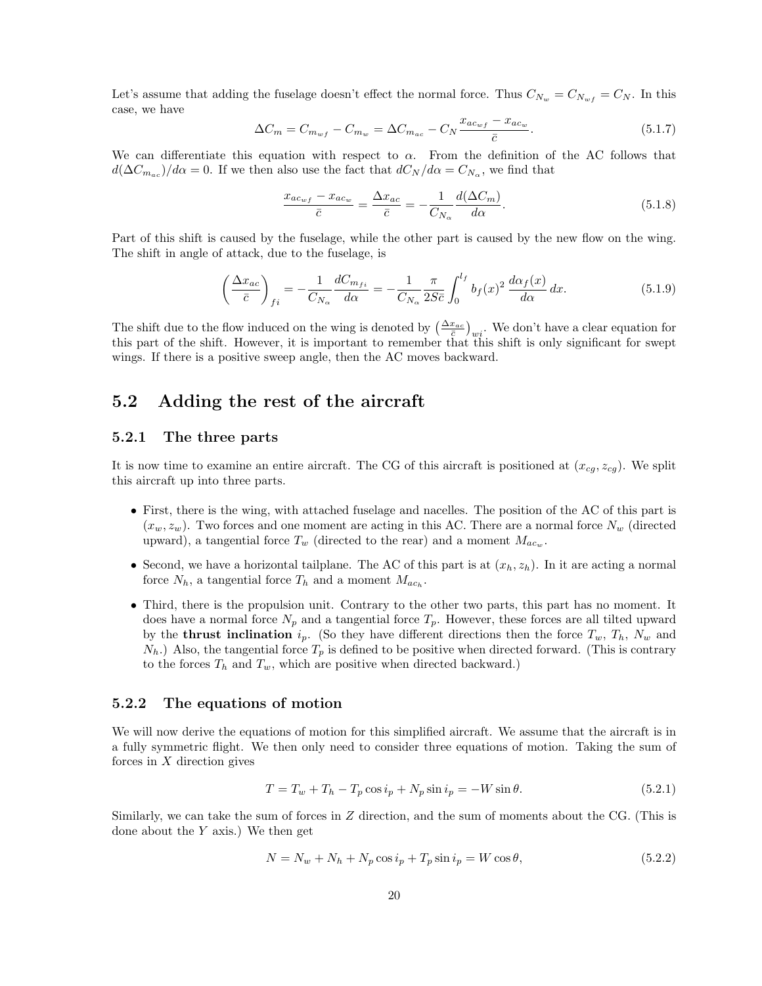Let's assume that adding the fuselage doesn't effect the normal force. Thus  $C_{N_w} = C_{N_w f} = C_N$ . In this case, we have

$$
\Delta C_m = C_{m_{wf}} - C_{m_w} = \Delta C_{m_{ac}} - C_N \frac{x_{ac_{wf}} - x_{ac_w}}{\bar{c}}.
$$
\n(5.1.7)

We can differentiate this equation with respect to  $\alpha$ . From the definition of the AC follows that  $d(\Delta C_{m_{ac}})/d\alpha = 0$ . If we then also use the fact that  $dC_N/d\alpha = C_{N_{\alpha}}$ , we find that

$$
\frac{x_{ac_{wf}} - x_{ac_w}}{\bar{c}} = \frac{\Delta x_{ac}}{\bar{c}} = -\frac{1}{C_{N_{\alpha}}} \frac{d(\Delta C_m)}{d\alpha}.
$$
\n(5.1.8)

Part of this shift is caused by the fuselage, while the other part is caused by the new flow on the wing. The shift in angle of attack, due to the fuselage, is

$$
\left(\frac{\Delta x_{ac}}{\bar{c}}\right)_{fi} = -\frac{1}{C_{N_{\alpha}}} \frac{dC_{m_{fi}}}{d\alpha} = -\frac{1}{C_{N_{\alpha}}} \frac{\pi}{2S\bar{c}} \int_0^{l_f} b_f(x)^2 \frac{d\alpha_f(x)}{d\alpha} dx.
$$
\n(5.1.9)

The shift due to the flow induced on the wing is denoted by  $\left(\frac{\Delta x_{ac}}{\bar{c}}\right)_{wi}$ . We don't have a clear equation for this part of the shift. However, it is important to remember that this shift is only significant for swept wings. If there is a positive sweep angle, then the AC moves backward.

## 5.2 Adding the rest of the aircraft

#### 5.2.1 The three parts

It is now time to examine an entire aircraft. The CG of this aircraft is positioned at  $(x_{cq}, z_{cq})$ . We split this aircraft up into three parts.

- First, there is the wing, with attached fuselage and nacelles. The position of the AC of this part is  $(x_w, z_w)$ . Two forces and one moment are acting in this AC. There are a normal force  $N_w$  (directed upward), a tangential force  $T_w$  (directed to the rear) and a moment  $M_{ac_w}$ .
- Second, we have a horizontal tailplane. The AC of this part is at  $(x_h, z_h)$ . In it are acting a normal force  $N_h$ , a tangential force  $T_h$  and a moment  $M_{ac_h}$ .
- Third, there is the propulsion unit. Contrary to the other two parts, this part has no moment. It does have a normal force  $N_p$  and a tangential force  $T_p$ . However, these forces are all tilted upward by the **thrust inclination**  $i_p$ . (So they have different directions then the force  $T_w$ ,  $T_h$ ,  $N_w$  and  $N_h$ .) Also, the tangential force  $T_p$  is defined to be positive when directed forward. (This is contrary to the forces  $T_h$  and  $T_w$ , which are positive when directed backward.)

#### 5.2.2 The equations of motion

We will now derive the equations of motion for this simplified aircraft. We assume that the aircraft is in a fully symmetric flight. We then only need to consider three equations of motion. Taking the sum of forces in  $X$  direction gives

$$
T = T_w + T_h - T_p \cos i_p + N_p \sin i_p = -W \sin \theta.
$$
\n
$$
(5.2.1)
$$

Similarly, we can take the sum of forces in Z direction, and the sum of moments about the CG. (This is done about the  $Y$  axis.) We then get

$$
N = N_w + N_h + N_p \cos i_p + T_p \sin i_p = W \cos \theta,
$$
\n
$$
(5.2.2)
$$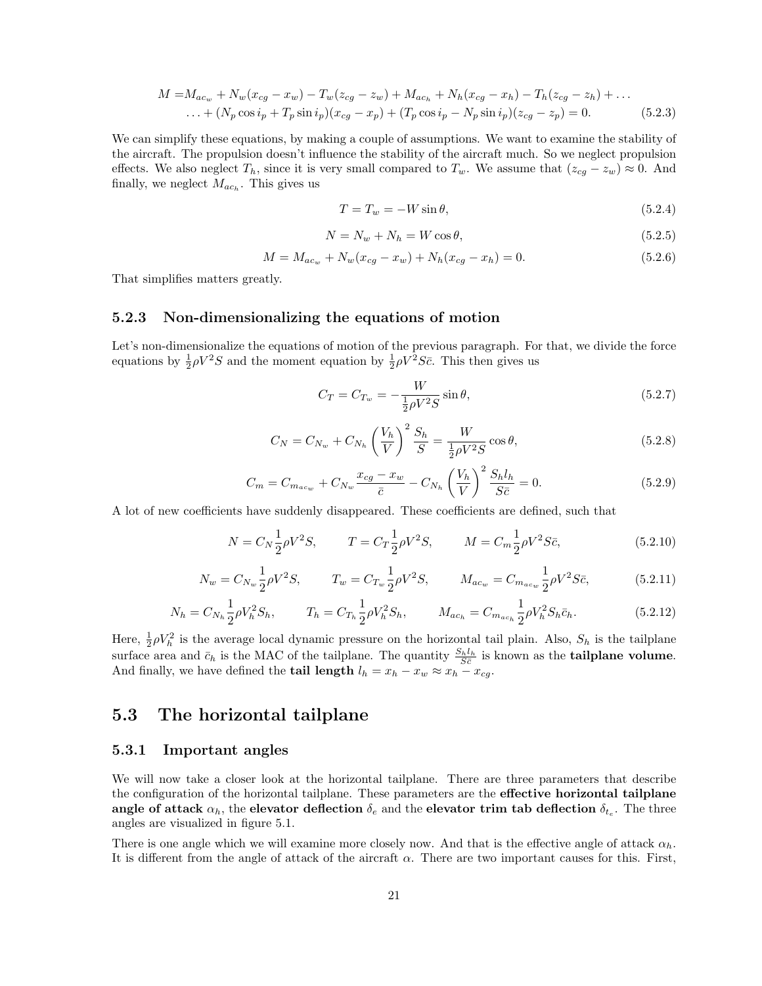$$
M = M_{ac_w} + N_w(x_{cg} - x_w) - T_w(z_{cg} - z_w) + M_{ac_h} + N_h(x_{cg} - x_h) - T_h(z_{cg} - z_h) + \dots
$$
  
... +  $(N_p \cos i_p + T_p \sin i_p)(x_{cg} - x_p) + (T_p \cos i_p - N_p \sin i_p)(z_{cg} - z_p) = 0.$  (5.2.3)

We can simplify these equations, by making a couple of assumptions. We want to examine the stability of the aircraft. The propulsion doesn't influence the stability of the aircraft much. So we neglect propulsion effects. We also neglect  $T_h$ , since it is very small compared to  $T_w$ . We assume that  $(z_{cg} - z_w) \approx 0$ . And finally, we neglect  $M_{ac_h}$ . This gives us

$$
T = T_w = -W\sin\theta,\tag{5.2.4}
$$

$$
N = N_w + N_h = W \cos \theta,\tag{5.2.5}
$$

$$
M = M_{ac_w} + N_w(x_{cg} - x_w) + N_h(x_{cg} - x_h) = 0.
$$
\n(5.2.6)

That simplifies matters greatly.

#### 5.2.3 Non-dimensionalizing the equations of motion

Let's non-dimensionalize the equations of motion of the previous paragraph. For that, we divide the force equations by  $\frac{1}{2}\rho V^2 S$  and the moment equation by  $\frac{1}{2}\rho V^2 S \bar{c}$ . This then gives us

$$
C_T = C_{T_w} = -\frac{W}{\frac{1}{2}\rho V^2 S} \sin \theta, \qquad (5.2.7)
$$

$$
C_N = C_{N_w} + C_{N_h} \left(\frac{V_h}{V}\right)^2 \frac{S_h}{S} = \frac{W}{\frac{1}{2}\rho V^2 S} \cos \theta, \tag{5.2.8}
$$

$$
C_m = C_{m_{ac_w}} + C_{N_w} \frac{x_{cg} - x_w}{\bar{c}} - C_{N_h} \left(\frac{V_h}{V}\right)^2 \frac{S_h l_h}{S \bar{c}} = 0.
$$
 (5.2.9)

A lot of new coefficients have suddenly disappeared. These coefficients are defined, such that

$$
N = C_N \frac{1}{2} \rho V^2 S, \qquad T = C_T \frac{1}{2} \rho V^2 S, \qquad M = C_m \frac{1}{2} \rho V^2 S \bar{c}, \qquad (5.2.10)
$$

$$
N_w = C_{N_w} \frac{1}{2} \rho V^2 S, \qquad T_w = C_{T_w} \frac{1}{2} \rho V^2 S, \qquad M_{ac_w} = C_{m_{ac_w}} \frac{1}{2} \rho V^2 S \bar{c}, \tag{5.2.11}
$$

$$
N_h = C_{N_h} \frac{1}{2} \rho V_h^2 S_h, \qquad T_h = C_{T_h} \frac{1}{2} \rho V_h^2 S_h, \qquad M_{ac_h} = C_{m_{ac_h}} \frac{1}{2} \rho V_h^2 S_h \bar{c}_h. \tag{5.2.12}
$$

Here,  $\frac{1}{2}\rho V_h^2$  is the average local dynamic pressure on the horizontal tail plain. Also,  $S_h$  is the tailplane surface area and  $\bar{c}_h$  is the MAC of the tailplane. The quantity  $\frac{S_h l_h}{S \bar{c}}$  is known as the **tailplane volume**. And finally, we have defined the **tail length**  $l_h = x_h - x_w \approx x_h - x_{cg}$ .

## 5.3 The horizontal tailplane

#### 5.3.1 Important angles

We will now take a closer look at the horizontal tailplane. There are three parameters that describe the configuration of the horizontal tailplane. These parameters are the **effective horizontal tailplane** angle of attack  $\alpha_h,$  the elevator deflection  $\delta_e$  and the elevator trim tab deflection  $\delta_{t_e}.$  The three angles are visualized in figure 5.1.

There is one angle which we will examine more closely now. And that is the effective angle of attack  $\alpha_h$ . It is different from the angle of attack of the aircraft  $\alpha$ . There are two important causes for this. First,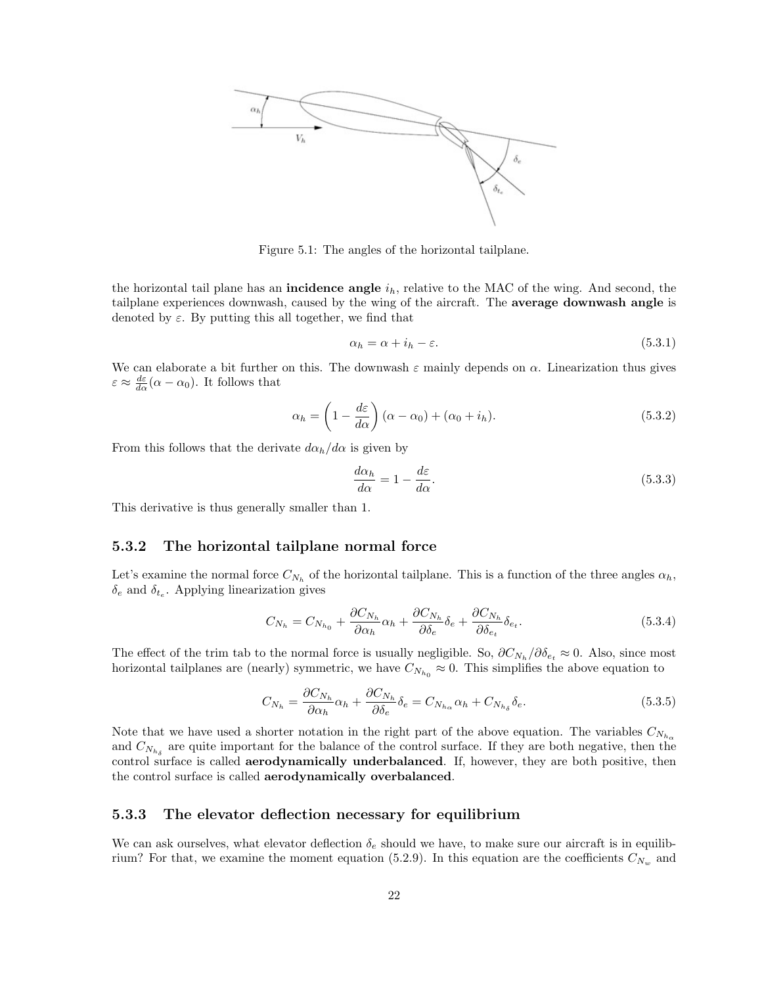

Figure 5.1: The angles of the horizontal tailplane.

the horizontal tail plane has an **incidence angle**  $i<sub>h</sub>$ , relative to the MAC of the wing. And second, the tailplane experiences downwash, caused by the wing of the aircraft. The average downwash angle is denoted by  $\varepsilon$ . By putting this all together, we find that

$$
\alpha_h = \alpha + i_h - \varepsilon. \tag{5.3.1}
$$

We can elaborate a bit further on this. The downwash  $\varepsilon$  mainly depends on  $\alpha$ . Linearization thus gives  $\varepsilon \approx \frac{d\varepsilon}{d\alpha}(\alpha - \alpha_0)$ . It follows that

$$
\alpha_h = \left(1 - \frac{d\varepsilon}{d\alpha}\right)(\alpha - \alpha_0) + (\alpha_0 + i_h). \tag{5.3.2}
$$

From this follows that the derivate  $d\alpha_h/d\alpha$  is given by

$$
\frac{d\alpha_h}{d\alpha} = 1 - \frac{d\varepsilon}{d\alpha}.\tag{5.3.3}
$$

This derivative is thus generally smaller than 1.

#### 5.3.2 The horizontal tailplane normal force

Let's examine the normal force  $C_{N_h}$  of the horizontal tailplane. This is a function of the three angles  $\alpha_h$ ,  $\delta_e$  and  $\delta_{t_e}$ . Applying linearization gives

$$
C_{N_h} = C_{N_{h_0}} + \frac{\partial C_{N_h}}{\partial \alpha_h} \alpha_h + \frac{\partial C_{N_h}}{\partial \delta_e} \delta_e + \frac{\partial C_{N_h}}{\partial \delta_{e_t}} \delta_{e_t}.
$$
\n(5.3.4)

The effect of the trim tab to the normal force is usually negligible. So,  $\partial C_{N_h}/\partial \delta_{e_t} \approx 0$ . Also, since most horizontal tailplanes are (nearly) symmetric, we have  $C_{N_{h_0}} \approx 0$ . This simplifies the above equation to

$$
C_{N_h} = \frac{\partial C_{N_h}}{\partial \alpha_h} \alpha_h + \frac{\partial C_{N_h}}{\partial \delta_e} \delta_e = C_{N_{h_\alpha}} \alpha_h + C_{N_{h_\delta}} \delta_e.
$$
\n(5.3.5)

Note that we have used a shorter notation in the right part of the above equation. The variables  $C_{N_{h_o}}$ and  $C_{N_{h_{\delta}}}$  are quite important for the balance of the control surface. If they are both negative, then the control surface is called aerodynamically underbalanced. If, however, they are both positive, then the control surface is called aerodynamically overbalanced.

#### 5.3.3 The elevator deflection necessary for equilibrium

We can ask ourselves, what elevator deflection  $\delta_e$  should we have, to make sure our aircraft is in equilibrium? For that, we examine the moment equation (5.2.9). In this equation are the coefficients  $C_{N_w}$  and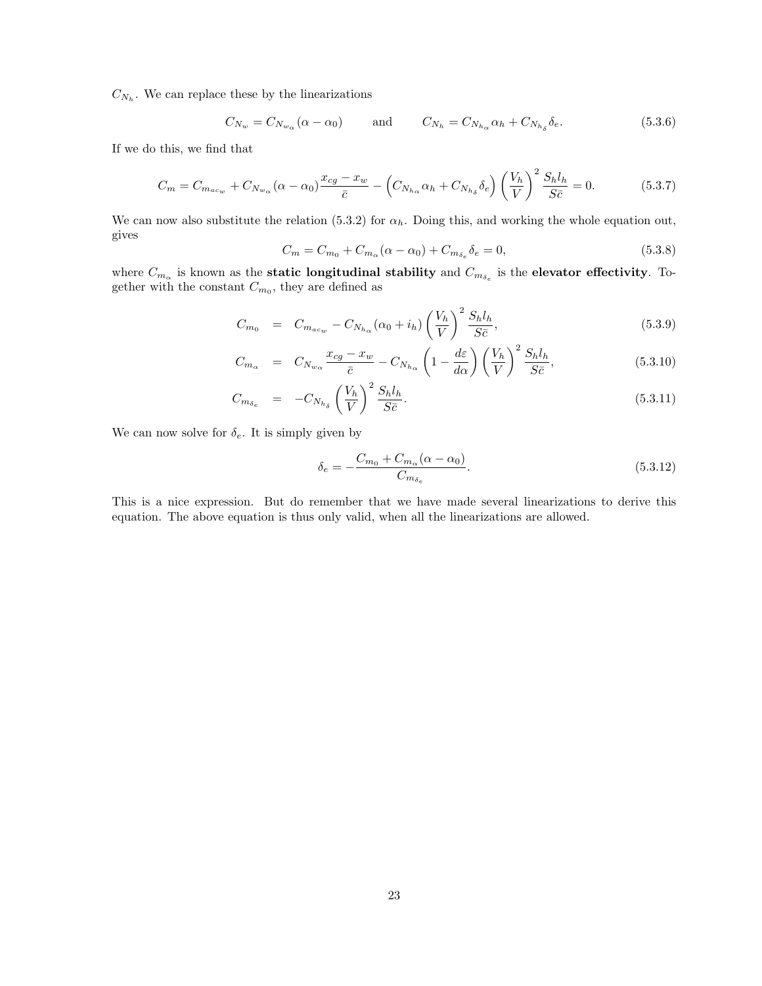$C_{N_h}$ . We can replace these by the linearizations

$$
C_{N_w} = C_{N_{w_\alpha}}(\alpha - \alpha_0) \quad \text{and} \quad C_{N_h} = C_{N_{h_\alpha}}\alpha_h + C_{N_{h_\delta}}\delta_e. \tag{5.3.6}
$$

If we do this, we find that

$$
C_m = C_{m_{ac_w}} + C_{N_{w_\alpha}} (\alpha - \alpha_0) \frac{x_{cg} - x_w}{\bar{c}} - \left( C_{N_{h_\alpha}} \alpha_h + C_{N_{h_\delta}} \delta_e \right) \left( \frac{V_h}{V} \right)^2 \frac{S_h l_h}{S \bar{c}} = 0. \tag{5.3.7}
$$

We can now also substitute the relation (5.3.2) for  $\alpha_h$ . Doing this, and working the whole equation out, gives

$$
C_m = C_{m_0} + C_{m_\alpha}(\alpha - \alpha_0) + C_{m_{\delta_e}}\delta_e = 0,
$$
\n(5.3.8)

where  $C_{m_\alpha}$  is known as the static longitudinal stability and  $C_{m_{\delta_e}}$  is the elevator effectivity. Together with the constant  $C_{m_0}$ , they are defined as

$$
C_{m_0} = C_{m_{ac_w}} - C_{N_{h_\alpha}} (\alpha_0 + i_h) \left(\frac{V_h}{V}\right)^2 \frac{S_h l_h}{S \bar{c}}, \tag{5.3.9}
$$

$$
C_{m_{\alpha}} = C_{N_{w_{\alpha}}} \frac{x_{cg} - x_w}{\bar{c}} - C_{N_{h_{\alpha}}} \left( 1 - \frac{d\varepsilon}{d\alpha} \right) \left( \frac{V_h}{V} \right)^2 \frac{S_h l_h}{S \bar{c}}, \tag{5.3.10}
$$

$$
C_{m_{\delta_e}} = -C_{N_{h_{\delta}}} \left(\frac{V_h}{V}\right)^2 \frac{S_h l_h}{S\bar{c}}.
$$
\n
$$
(5.3.11)
$$

We can now solve for  $\delta_e$ . It is simply given by

$$
\delta_e = -\frac{C_{m_0} + C_{m_\alpha}(\alpha - \alpha_0)}{C_{m_{\delta_e}}}.
$$
\n(5.3.12)

This is a nice expression. But do remember that we have made several linearizations to derive this equation. The above equation is thus only valid, when all the linearizations are allowed.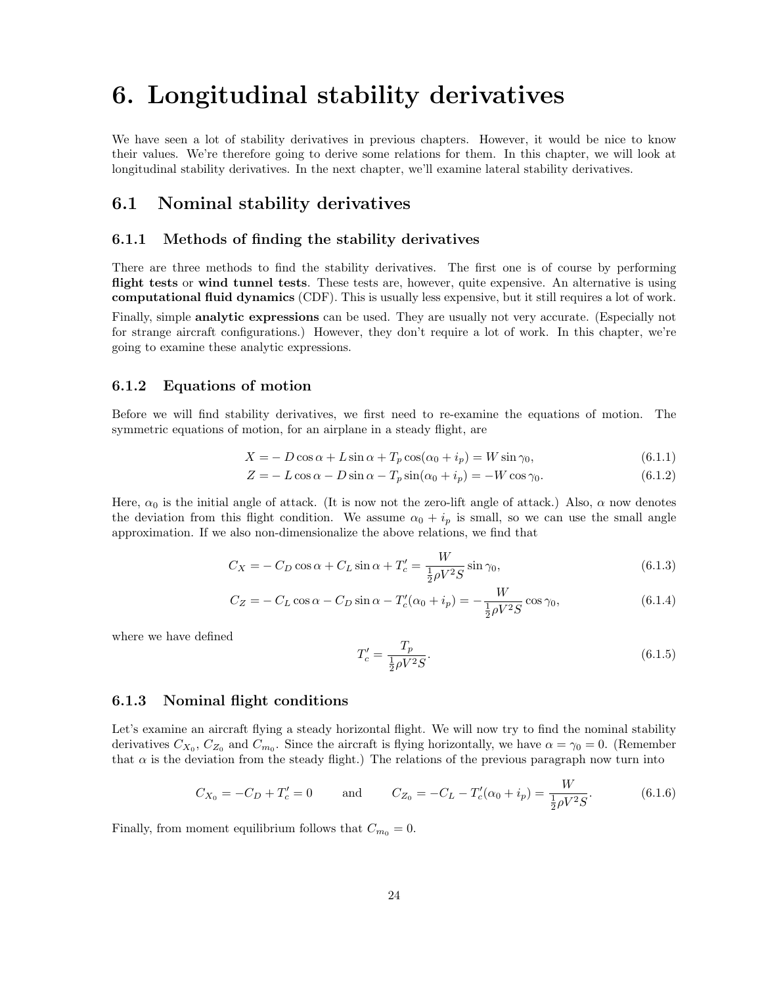## 6. Longitudinal stability derivatives

We have seen a lot of stability derivatives in previous chapters. However, it would be nice to know their values. We're therefore going to derive some relations for them. In this chapter, we will look at longitudinal stability derivatives. In the next chapter, we'll examine lateral stability derivatives.

## 6.1 Nominal stability derivatives

#### 6.1.1 Methods of finding the stability derivatives

There are three methods to find the stability derivatives. The first one is of course by performing flight tests or wind tunnel tests. These tests are, however, quite expensive. An alternative is using computational fluid dynamics (CDF). This is usually less expensive, but it still requires a lot of work.

Finally, simple **analytic expressions** can be used. They are usually not very accurate. (Especially not for strange aircraft configurations.) However, they don't require a lot of work. In this chapter, we're going to examine these analytic expressions.

#### 6.1.2 Equations of motion

Before we will find stability derivatives, we first need to re-examine the equations of motion. The symmetric equations of motion, for an airplane in a steady flight, are

$$
X = -D\cos\alpha + L\sin\alpha + T_p\cos(\alpha_0 + i_p) = W\sin\gamma_0,
$$
\n(6.1.1)

$$
Z = -L\cos\alpha - D\sin\alpha - T_p\sin(\alpha_0 + i_p) = -W\cos\gamma_0.
$$
\n(6.1.2)

Here,  $\alpha_0$  is the initial angle of attack. (It is now not the zero-lift angle of attack.) Also,  $\alpha$  now denotes the deviation from this flight condition. We assume  $\alpha_0 + i_p$  is small, so we can use the small angle approximation. If we also non-dimensionalize the above relations, we find that

$$
C_X = -C_D \cos \alpha + C_L \sin \alpha + T_c' = \frac{W}{\frac{1}{2}\rho V^2 S} \sin \gamma_0,
$$
\n(6.1.3)

$$
C_Z = -C_L \cos \alpha - C_D \sin \alpha - T_c'(\alpha_0 + i_p) = -\frac{W}{\frac{1}{2}\rho V^2 S} \cos \gamma_0,
$$
(6.1.4)

where we have defined

$$
T_c' = \frac{T_p}{\frac{1}{2}\rho V^2 S}.
$$
\n(6.1.5)

#### 6.1.3 Nominal flight conditions

Let's examine an aircraft flying a steady horizontal flight. We will now try to find the nominal stability derivatives  $C_{X_0}$ ,  $C_{Z_0}$  and  $C_{m_0}$ . Since the aircraft is flying horizontally, we have  $\alpha = \gamma_0 = 0$ . (Remember that  $\alpha$  is the deviation from the steady flight.) The relations of the previous paragraph now turn into

$$
C_{X_0} = -C_D + T'_c = 0 \quad \text{and} \quad C_{Z_0} = -C_L - T'_c(\alpha_0 + i_p) = \frac{W}{\frac{1}{2}\rho V^2 S}.
$$
 (6.1.6)

Finally, from moment equilibrium follows that  $C_{m_0} = 0$ .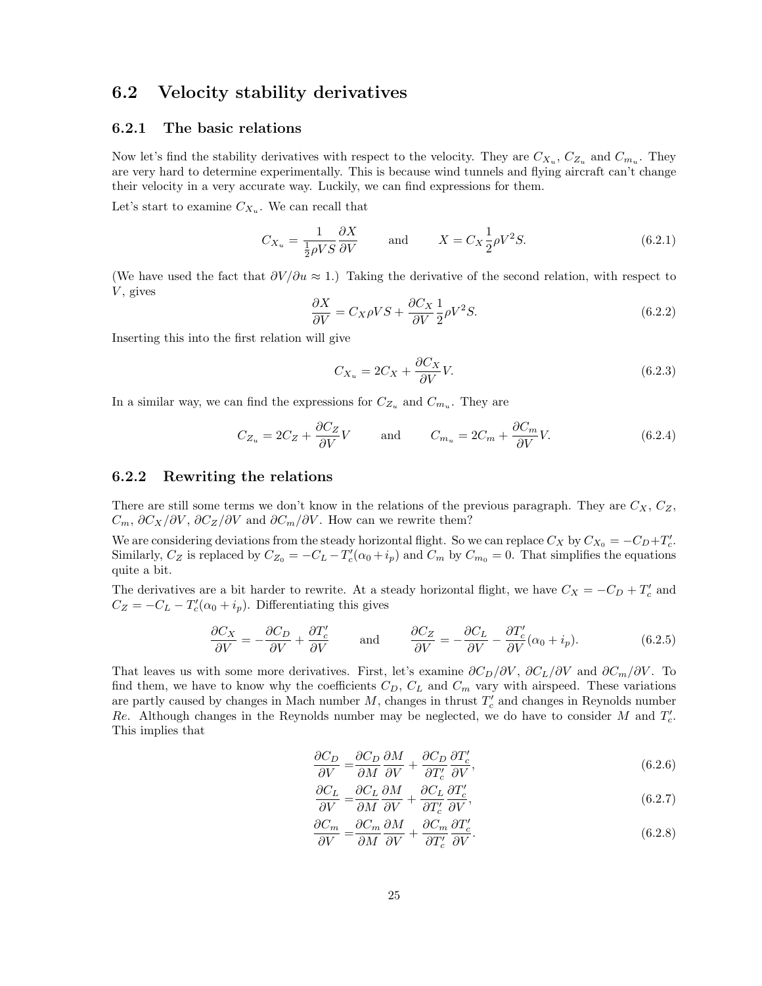## 6.2 Velocity stability derivatives

### 6.2.1 The basic relations

Now let's find the stability derivatives with respect to the velocity. They are  $C_{X_u}$ ,  $C_{Z_u}$  and  $C_{m_u}$ . They are very hard to determine experimentally. This is because wind tunnels and flying aircraft can't change their velocity in a very accurate way. Luckily, we can find expressions for them.

Let's start to examine  $C_{X_u}$ . We can recall that

$$
C_{X_u} = \frac{1}{\frac{1}{2}\rho V S} \frac{\partial X}{\partial V} \quad \text{and} \quad X = C_X \frac{1}{2}\rho V^2 S. \tag{6.2.1}
$$

(We have used the fact that  $\partial V/\partial u \approx 1$ .) Taking the derivative of the second relation, with respect to  $V$ , gives

$$
\frac{\partial X}{\partial V} = C_X \rho V S + \frac{\partial C_X}{\partial V} \frac{1}{2} \rho V^2 S. \tag{6.2.2}
$$

Inserting this into the first relation will give

$$
C_{X_u} = 2C_X + \frac{\partial C_X}{\partial V}V.
$$
\n(6.2.3)

In a similar way, we can find the expressions for  $C_{Z_u}$  and  $C_{m_u}$ . They are

$$
C_{Z_u} = 2C_Z + \frac{\partial C_Z}{\partial V}V \quad \text{and} \quad C_{m_u} = 2C_m + \frac{\partial C_m}{\partial V}V. \tag{6.2.4}
$$

#### 6.2.2 Rewriting the relations

There are still some terms we don't know in the relations of the previous paragraph. They are  $C_X$ ,  $C_Z$ ,  $C_m$ ,  $\partial C_X/\partial V$ ,  $\partial C_Z/\partial V$  and  $\partial C_m/\partial V$ . How can we rewrite them?

We are considering deviations from the steady horizontal flight. So we can replace  $C_X$  by  $C_{X_0} = -C_D + T'_c$ . Similarly,  $C_Z$  is replaced by  $C_{Z_0} = -C_L - T'_c(\alpha_0 + i_p)$  and  $C_m$  by  $C_{m_0} = 0$ . That simplifies the equations quite a bit.

The derivatives are a bit harder to rewrite. At a steady horizontal flight, we have  $C_X = -C_D + T'_c$  and  $C_Z = -C_L - T'_c(\alpha_0 + i_p)$ . Differentiating this gives

$$
\frac{\partial C_X}{\partial V} = -\frac{\partial C_D}{\partial V} + \frac{\partial T_c'}{\partial V} \quad \text{and} \quad \frac{\partial C_Z}{\partial V} = -\frac{\partial C_L}{\partial V} - \frac{\partial T_c'}{\partial V} (\alpha_0 + i_p). \tag{6.2.5}
$$

That leaves us with some more derivatives. First, let's examine  $\partial C_D/\partial V$ ,  $\partial C_L/\partial V$  and  $\partial C_m/\partial V$ . To find them, we have to know why the coefficients  $C_D$ ,  $C_L$  and  $C_m$  vary with airspeed. These variations are partly caused by changes in Mach number  $M$ , changes in thrust  $T_c'$  and changes in Reynolds number Re. Although changes in the Reynolds number may be neglected, we do have to consider M and  $T_c'$ . This implies that

$$
\frac{\partial C_D}{\partial V} = \frac{\partial C_D}{\partial M} \frac{\partial M}{\partial V} + \frac{\partial C_D}{\partial T_c'} \frac{\partial T_c'}{\partial V},\tag{6.2.6}
$$

$$
\frac{\partial C_L}{\partial V} = \frac{\partial C_L}{\partial M} \frac{\partial M}{\partial V} + \frac{\partial C_L}{\partial T_c'} \frac{\partial T_c'}{\partial V},\tag{6.2.7}
$$

$$
\frac{\partial C_m}{\partial V} = \frac{\partial C_m}{\partial M} \frac{\partial M}{\partial V} + \frac{\partial C_m}{\partial T_c'} \frac{\partial T_c'}{\partial V}.
$$
\n(6.2.8)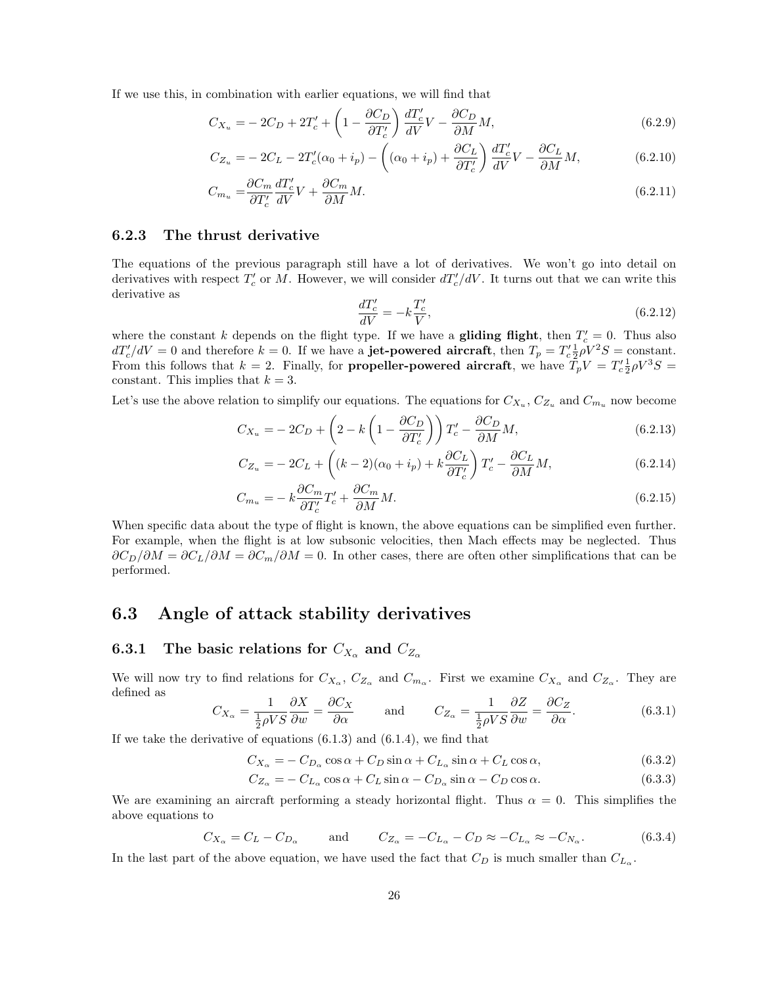If we use this, in combination with earlier equations, we will find that

$$
C_{X_u} = -2C_D + 2T_c' + \left(1 - \frac{\partial C_D}{\partial T_c'}\right) \frac{dT_c'}{dV}V - \frac{\partial C_D}{\partial M}M,\tag{6.2.9}
$$

$$
C_{Z_u} = -2C_L - 2T_c'(\alpha_0 + i_p) - \left( (\alpha_0 + i_p) + \frac{\partial C_L}{\partial T_c'} \right) \frac{dT_c'}{dV} - \frac{\partial C_L}{\partial M} M, \tag{6.2.10}
$$

$$
C_{m_u} = \frac{\partial C_m}{\partial T_c'} \frac{dT_c'}{dV} V + \frac{\partial C_m}{\partial M} M. \tag{6.2.11}
$$

#### 6.2.3 The thrust derivative

The equations of the previous paragraph still have a lot of derivatives. We won't go into detail on derivatives with respect  $T_c'$  or M. However, we will consider  $dT_c'/dV$ . It turns out that we can write this derivative as

$$
\frac{dT_c'}{dV} = -k \frac{T_c'}{V},\tag{6.2.12}
$$

where the constant k depends on the flight type. If we have a **gliding flight**, then  $T_c' = 0$ . Thus also  $dT'_c/dV = 0$  and therefore  $k = 0$ . If we have a **jet-powered aircraft**, then  $T_p = T'_c \frac{1}{2} \rho V^2 S = \text{constant}$ . From this follows that  $k = 2$ . Finally, for **propeller-powered aircraft**, we have  $\tilde{T}_p V = T_c^{\prime} \frac{1}{2} \rho V^3 S =$ constant. This implies that  $k = 3$ .

Let's use the above relation to simplify our equations. The equations for  $C_{X_u}$ ,  $C_{Z_u}$  and  $C_{m_u}$  now become

$$
C_{X_u} = -2C_D + \left(2 - k\left(1 - \frac{\partial C_D}{\partial T_c'}\right)\right)T_c' - \frac{\partial C_D}{\partial M}M,\tag{6.2.13}
$$

$$
C_{Z_u} = -2C_L + \left( (k-2)(\alpha_0 + i_p) + k \frac{\partial C_L}{\partial T_c'} \right) T_c' - \frac{\partial C_L}{\partial M} M, \tag{6.2.14}
$$

$$
C_{m_u} = -k \frac{\partial C_m}{\partial T_c'} T_c' + \frac{\partial C_m}{\partial M} M. \tag{6.2.15}
$$

When specific data about the type of flight is known, the above equations can be simplified even further. For example, when the flight is at low subsonic velocities, then Mach effects may be neglected. Thus  $\partial C_D/\partial M = \partial C_L/\partial M = \partial C_m/\partial M = 0$ . In other cases, there are often other simplifications that can be performed.

## 6.3 Angle of attack stability derivatives

## 6.3.1 The basic relations for  $C_{X_\alpha}$  and  $C_{Z_\alpha}$

We will now try to find relations for  $C_{X_\alpha}$ ,  $C_{Z_\alpha}$  and  $C_{m_\alpha}$ . First we examine  $C_{X_\alpha}$  and  $C_{Z_\alpha}$ . They are defined as

$$
C_{X_{\alpha}} = \frac{1}{\frac{1}{2}\rho V S} \frac{\partial X}{\partial w} = \frac{\partial C_X}{\partial \alpha} \quad \text{and} \quad C_{Z_{\alpha}} = \frac{1}{\frac{1}{2}\rho V S} \frac{\partial Z}{\partial w} = \frac{\partial C_Z}{\partial \alpha}.
$$
 (6.3.1)

If we take the derivative of equations  $(6.1.3)$  and  $(6.1.4)$ , we find that

$$
C_{X_{\alpha}} = -C_{D_{\alpha}} \cos \alpha + C_D \sin \alpha + C_{L_{\alpha}} \sin \alpha + C_L \cos \alpha, \tag{6.3.2}
$$

$$
C_{Z_{\alpha}} = -C_{L_{\alpha}} \cos \alpha + C_{L} \sin \alpha - C_{D_{\alpha}} \sin \alpha - C_{D} \cos \alpha.
$$
 (6.3.3)

We are examining an aircraft performing a steady horizontal flight. Thus  $\alpha = 0$ . This simplifies the above equations to

$$
C_{X_{\alpha}} = C_L - C_{D_{\alpha}} \quad \text{and} \quad C_{Z_{\alpha}} = -C_{L_{\alpha}} - C_D \approx -C_{L_{\alpha}} \approx -C_{N_{\alpha}}.
$$
 (6.3.4)

In the last part of the above equation, we have used the fact that  $C_D$  is much smaller than  $C_{L_{\alpha}}$ .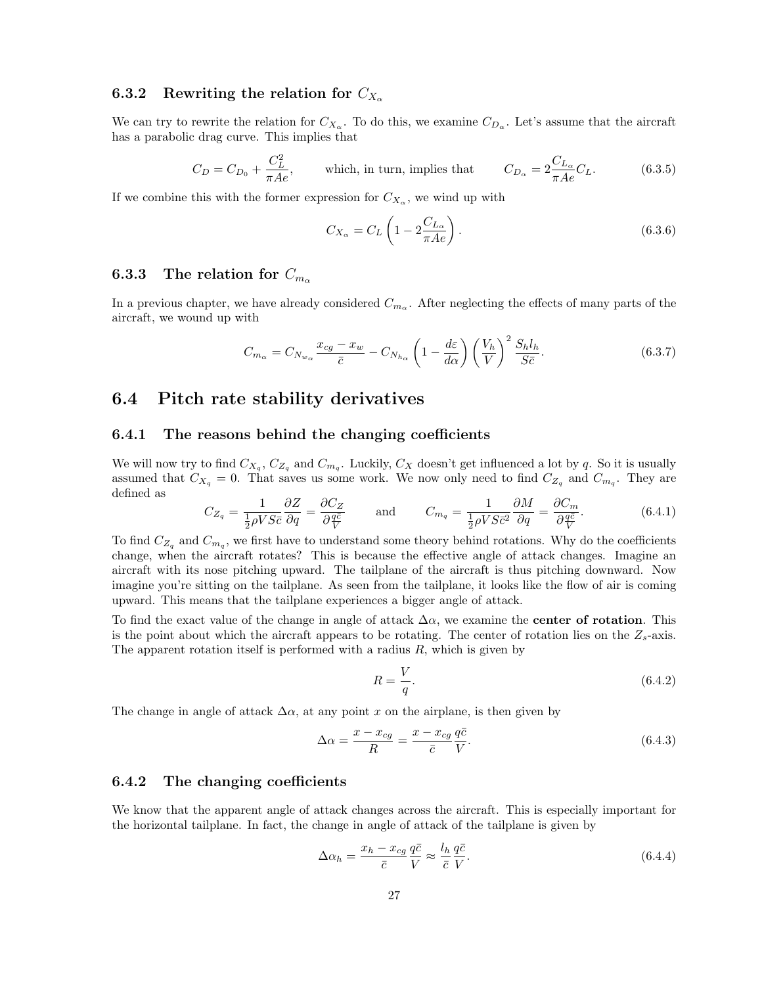## 6.3.2 Rewriting the relation for  $C_{X_\alpha}$

We can try to rewrite the relation for  $C_{X_\alpha}$ . To do this, we examine  $C_{D_\alpha}$ . Let's assume that the aircraft has a parabolic drag curve. This implies that

$$
C_D = C_{D_0} + \frac{C_L^2}{\pi A e}, \qquad \text{which, in turn, implies that} \qquad C_{D_\alpha} = 2 \frac{C_{L_\alpha}}{\pi A e} C_L. \tag{6.3.5}
$$

If we combine this with the former expression for  $C_{X_\alpha}$ , we wind up with

$$
C_{X_{\alpha}} = C_L \left( 1 - 2 \frac{C_{L_{\alpha}}}{\pi A e} \right). \tag{6.3.6}
$$

#### 6.3.3 The relation for  $C_{m_{\alpha}}$

In a previous chapter, we have already considered  $C_{m_\alpha}$ . After neglecting the effects of many parts of the aircraft, we wound up with

$$
C_{m_{\alpha}} = C_{N_{w_{\alpha}}} \frac{x_{cg} - x_w}{\bar{c}} - C_{N_{h_{\alpha}}} \left( 1 - \frac{d\varepsilon}{d\alpha} \right) \left( \frac{V_h}{V} \right)^2 \frac{S_h l_h}{S \bar{c}}.
$$
 (6.3.7)

## 6.4 Pitch rate stability derivatives

#### 6.4.1 The reasons behind the changing coefficients

We will now try to find  $C_{X_q}$ ,  $C_{Z_q}$  and  $C_{m_q}$ . Luckily,  $C_X$  doesn't get influenced a lot by q. So it is usually assumed that  $C_{X_q} = 0$ . That saves us some work. We now only need to find  $C_{Z_q}$  and  $C_{m_q}$ . They are defined as

$$
C_{Z_q} = \frac{1}{\frac{1}{2}\rho V S \bar{c}} \frac{\partial Z}{\partial q} = \frac{\partial C_Z}{\partial \frac{q \bar{c}}{V}} \quad \text{and} \quad C_{m_q} = \frac{1}{\frac{1}{2}\rho V S \bar{c}^2} \frac{\partial M}{\partial q} = \frac{\partial C_m}{\partial \frac{q \bar{c}}{V}}.
$$
 (6.4.1)

To find  $C_{Z_q}$  and  $C_{m_q}$ , we first have to understand some theory behind rotations. Why do the coefficients change, when the aircraft rotates? This is because the effective angle of attack changes. Imagine an aircraft with its nose pitching upward. The tailplane of the aircraft is thus pitching downward. Now imagine you're sitting on the tailplane. As seen from the tailplane, it looks like the flow of air is coming upward. This means that the tailplane experiences a bigger angle of attack.

To find the exact value of the change in angle of attack  $\Delta \alpha$ , we examine the **center of rotation**. This is the point about which the aircraft appears to be rotating. The center of rotation lies on the  $Z_s$ -axis. The apparent rotation itself is performed with a radius  $R$ , which is given by

$$
R = \frac{V}{q}.\tag{6.4.2}
$$

The change in angle of attack  $\Delta \alpha$ , at any point x on the airplane, is then given by

$$
\Delta \alpha = \frac{x - x_{cg}}{R} = \frac{x - x_{cg}}{\bar{c}} \frac{q\bar{c}}{V}.
$$
\n(6.4.3)

#### 6.4.2 The changing coefficients

We know that the apparent angle of attack changes across the aircraft. This is especially important for the horizontal tailplane. In fact, the change in angle of attack of the tailplane is given by

$$
\Delta \alpha_h = \frac{x_h - x_{cg}}{\bar{c}} \frac{q\bar{c}}{V} \approx \frac{l_h}{\bar{c}} \frac{q\bar{c}}{V}.
$$
\n(6.4.4)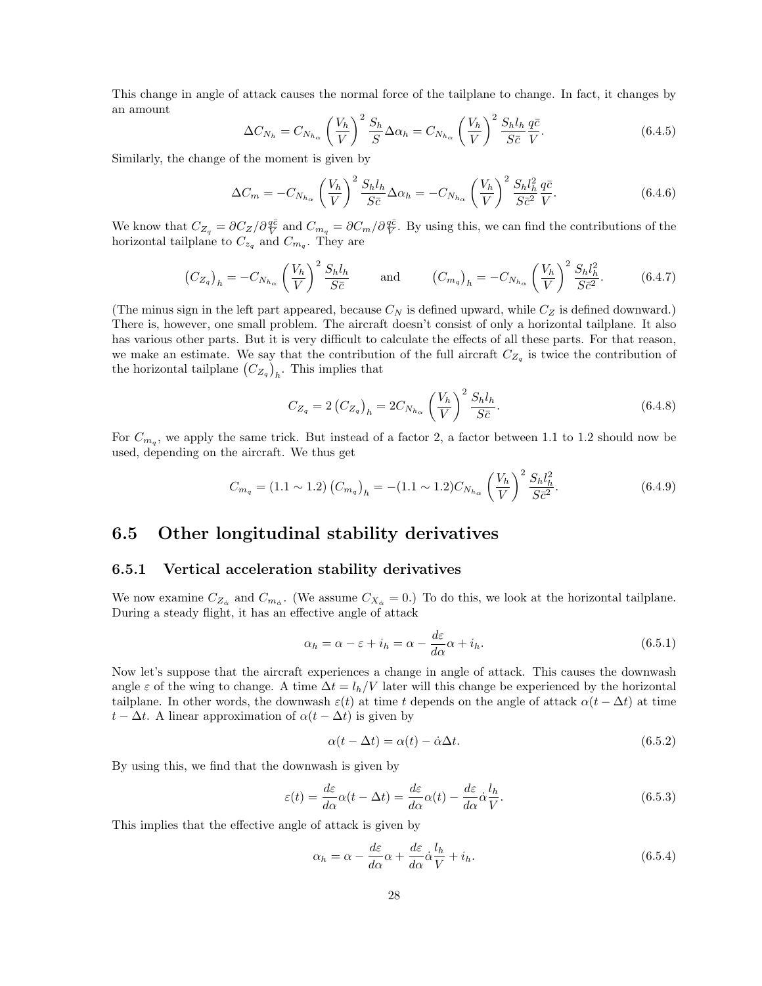This change in angle of attack causes the normal force of the tailplane to change. In fact, it changes by an amount

$$
\Delta C_{N_h} = C_{N_{h_\alpha}} \left(\frac{V_h}{V}\right)^2 \frac{S_h}{S} \Delta \alpha_h = C_{N_{h_\alpha}} \left(\frac{V_h}{V}\right)^2 \frac{S_h l_h}{S \bar{c}} \frac{q \bar{c}}{V}.
$$
\n(6.4.5)

Similarly, the change of the moment is given by

$$
\Delta C_m = -C_{N_{h_\alpha}} \left(\frac{V_h}{V}\right)^2 \frac{S_h l_h}{S \bar{c}} \Delta \alpha_h = -C_{N_{h_\alpha}} \left(\frac{V_h}{V}\right)^2 \frac{S_h l_h^2}{S \bar{c}^2} \frac{q \bar{c}}{V}.
$$
\n(6.4.6)

We know that  $C_{Z_q} = \partial C_Z/\partial \frac{q\bar{c}}{V}$  and  $C_{m_q} = \partial C_m/\partial \frac{q\bar{c}}{V}$ . By using this, we can find the contributions of the horizontal tailplane to  $C_{z_q}$  and  $C_{m_q}$ . They are

$$
\left(C_{Z_q}\right)_h = -C_{N_{h_\alpha}} \left(\frac{V_h}{V}\right)^2 \frac{S_h l_h}{S \bar{c}} \quad \text{and} \quad \left(C_{m_q}\right)_h = -C_{N_{h_\alpha}} \left(\frac{V_h}{V}\right)^2 \frac{S_h l_h^2}{S \bar{c}^2}.
$$
 (6.4.7)

(The minus sign in the left part appeared, because  $C_N$  is defined upward, while  $C_Z$  is defined downward.) There is, however, one small problem. The aircraft doesn't consist of only a horizontal tailplane. It also has various other parts. But it is very difficult to calculate the effects of all these parts. For that reason, we make an estimate. We say that the contribution of the full aircraft  $C_{Z_q}$  is twice the contribution of the horizontal tailplane  $(C_{Z_q})_h$ . This implies that

$$
C_{Z_q} = 2\left(C_{Z_q}\right)_h = 2C_{N_{h_\alpha}} \left(\frac{V_h}{V}\right)^2 \frac{S_h l_h}{S\bar{c}}.\tag{6.4.8}
$$

For  $C_{m_q}$ , we apply the same trick. But instead of a factor 2, a factor between 1.1 to 1.2 should now be used, depending on the aircraft. We thus get

$$
C_{m_q} = (1.1 \sim 1.2) \left( C_{m_q} \right)_h = -(1.1 \sim 1.2) C_{N_{h_\alpha}} \left( \frac{V_h}{V} \right)^2 \frac{S_h l_h^2}{S \bar{c}^2}.
$$
 (6.4.9)

## 6.5 Other longitudinal stability derivatives

#### 6.5.1 Vertical acceleration stability derivatives

We now examine  $C_{Z_{\alpha}}$  and  $C_{m_{\alpha}}$ . (We assume  $C_{X_{\alpha}} = 0$ .) To do this, we look at the horizontal tailplane. During a steady flight, it has an effective angle of attack

$$
\alpha_h = \alpha - \varepsilon + i_h = \alpha - \frac{d\varepsilon}{d\alpha}\alpha + i_h.
$$
\n(6.5.1)

Now let's suppose that the aircraft experiences a change in angle of attack. This causes the downwash angle  $\varepsilon$  of the wing to change. A time  $\Delta t = l_h/V$  later will this change be experienced by the horizontal tailplane. In other words, the downwash  $\varepsilon(t)$  at time t depends on the angle of attack  $\alpha(t - \Delta t)$  at time  $t - \Delta t$ . A linear approximation of  $\alpha(t - \Delta t)$  is given by

$$
\alpha(t - \Delta t) = \alpha(t) - \dot{\alpha}\Delta t. \tag{6.5.2}
$$

By using this, we find that the downwash is given by

$$
\varepsilon(t) = \frac{d\varepsilon}{d\alpha}\alpha(t - \Delta t) = \frac{d\varepsilon}{d\alpha}\alpha(t) - \frac{d\varepsilon}{d\alpha}\dot{\alpha}\frac{l_h}{V}.
$$
\n(6.5.3)

This implies that the effective angle of attack is given by

$$
\alpha_h = \alpha - \frac{d\varepsilon}{d\alpha}\alpha + \frac{d\varepsilon}{d\alpha}\dot{\alpha}\frac{l_h}{V} + i_h.
$$
\n(6.5.4)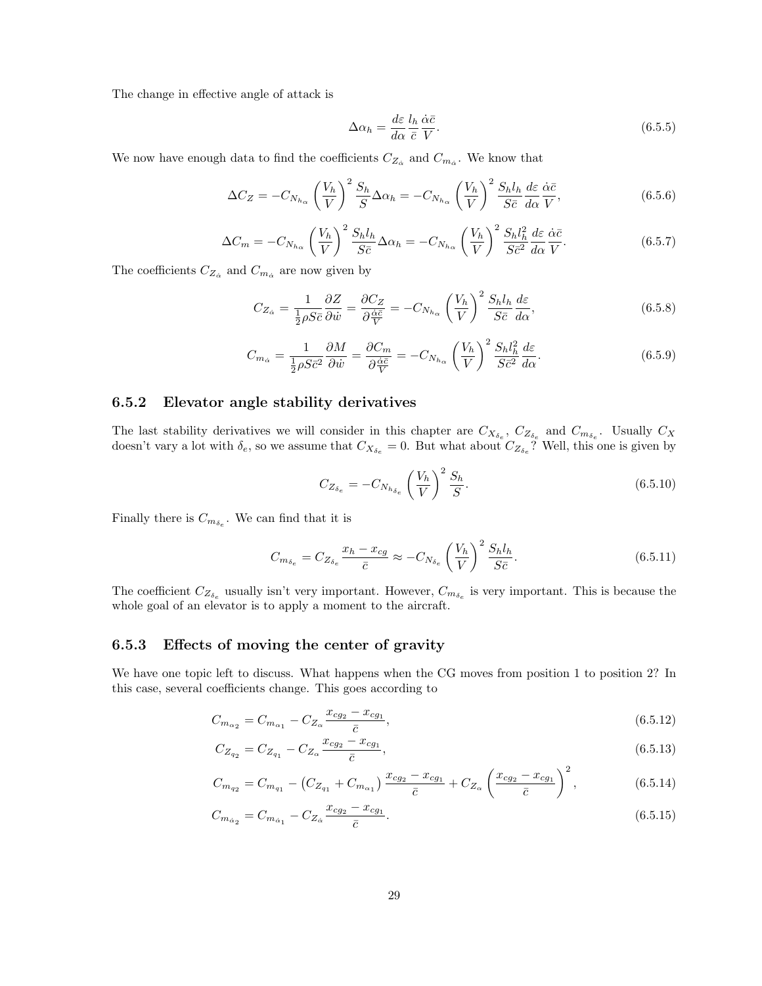The change in effective angle of attack is

$$
\Delta \alpha_h = \frac{d\varepsilon}{d\alpha} \frac{l_h}{\bar{c}} \frac{\dot{\alpha}\bar{c}}{V}.
$$
\n(6.5.5)

We now have enough data to find the coefficients  $C_{Z_{\alpha}}$  and  $C_{m_{\alpha}}$ . We know that

$$
\Delta C_Z = -C_{N_{h_\alpha}} \left(\frac{V_h}{V}\right)^2 \frac{S_h}{S} \Delta \alpha_h = -C_{N_{h_\alpha}} \left(\frac{V_h}{V}\right)^2 \frac{S_h l_h}{S \bar{c}} \frac{d\varepsilon}{d\alpha} \frac{\dot{\alpha} \bar{c}}{V},\tag{6.5.6}
$$

$$
\Delta C_m = -C_{N_{h_\alpha}} \left(\frac{V_h}{V}\right)^2 \frac{S_h l_h}{S\bar{c}} \Delta \alpha_h = -C_{N_{h_\alpha}} \left(\frac{V_h}{V}\right)^2 \frac{S_h l_h^2}{S\bar{c}^2} \frac{d\varepsilon}{d\alpha} \frac{\dot{\alpha}\bar{c}}{V}.
$$
\n(6.5.7)

The coefficients  $C_{Z_{\dot{\alpha}}}$  and  $C_{m_{\dot{\alpha}}}$  are now given by

$$
C_{Z_{\alpha}} = \frac{1}{\frac{1}{2}\rho S\bar{c}} \frac{\partial Z}{\partial \dot{w}} = \frac{\partial C_Z}{\partial \frac{\dot{\alpha}\bar{c}}{V}} = -C_{N_{h_{\alpha}}} \left(\frac{V_h}{V}\right)^2 \frac{S_h l_h}{S\bar{c}} \frac{d\varepsilon}{d\alpha},\tag{6.5.8}
$$

$$
C_{m_{\dot{\alpha}}} = \frac{1}{\frac{1}{2}\rho S \bar{c}^2} \frac{\partial M}{\partial \dot{w}} = \frac{\partial C_m}{\partial \frac{\dot{\alpha}\bar{c}}{\bar{V}}} = -C_{N_{h_{\alpha}}} \left(\frac{V_h}{V}\right)^2 \frac{S_h l_h^2}{S \bar{c}^2} \frac{d\varepsilon}{d\alpha}.
$$
\n(6.5.9)

#### 6.5.2 Elevator angle stability derivatives

The last stability derivatives we will consider in this chapter are  $C_{X_{\delta_e}}$ ,  $C_{Z_{\delta_e}}$  and  $C_{m_{\delta_e}}$ . Usually  $C_X$ doesn't vary a lot with  $\delta_e$ , so we assume that  $C_{X_{\delta_e}} = 0$ . But what about  $C_{Z_{\delta_e}}$ ? Well, this one is given by

$$
C_{Z_{\delta_e}} = -C_{N_{h_{\delta_e}}}\left(\frac{V_h}{V}\right)^2 \frac{S_h}{S}.
$$
\n(6.5.10)

Finally there is  $C_{m_{\delta_e}}$ . We can find that it is

$$
C_{m_{\delta_e}} = C_{Z_{\delta_e}} \frac{x_h - x_{cg}}{\bar{c}} \approx -C_{N_{\delta_e}} \left(\frac{V_h}{V}\right)^2 \frac{S_h l_h}{S \bar{c}}.
$$
\n(6.5.11)

The coefficient  $C_{Z_{\delta_e}}$  usually isn't very important. However,  $C_{m_{\delta_e}}$  is very important. This is because the whole goal of an elevator is to apply a moment to the aircraft.

#### 6.5.3 Effects of moving the center of gravity

We have one topic left to discuss. What happens when the CG moves from position 1 to position 2? In this case, several coefficients change. This goes according to

$$
C_{m_{\alpha_2}} = C_{m_{\alpha_1}} - C_{Z_{\alpha}} \frac{x_{cg_2} - x_{cg_1}}{\bar{c}},
$$
\n(6.5.12)

$$
C_{Z_{q_2}} = C_{Z_{q_1}} - C_{Z_{\alpha}} \frac{x_{cg_2} - x_{cg_1}}{\bar{c}},\tag{6.5.13}
$$

$$
C_{m_{q_2}} = C_{m_{q_1}} - \left(C_{Z_{q_1}} + C_{m_{\alpha_1}}\right) \frac{x_{cg_2} - x_{cg_1}}{\bar{c}} + C_{Z_{\alpha}} \left(\frac{x_{cg_2} - x_{cg_1}}{\bar{c}}\right)^2, \tag{6.5.14}
$$

$$
C_{m_{\dot{\alpha}_2}} = C_{m_{\dot{\alpha}_1}} - C_{Z_{\dot{\alpha}}} \frac{x_{cg_2} - x_{cg_1}}{\bar{c}}.
$$
\n(6.5.15)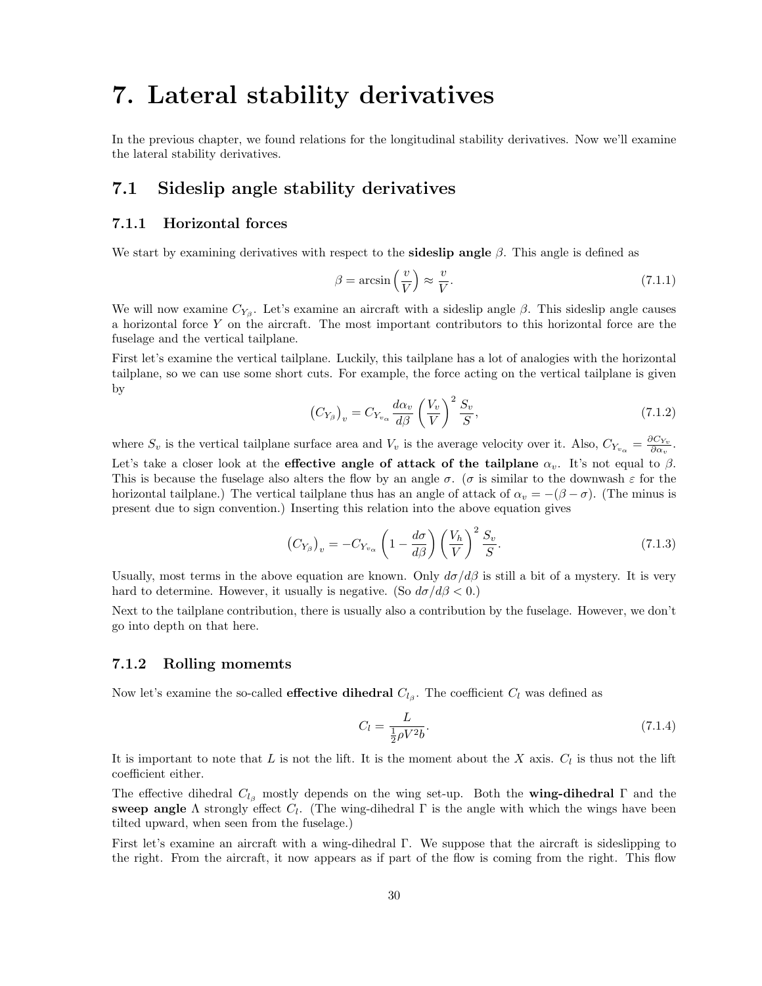## 7. Lateral stability derivatives

In the previous chapter, we found relations for the longitudinal stability derivatives. Now we'll examine the lateral stability derivatives.

## 7.1 Sideslip angle stability derivatives

#### 7.1.1 Horizontal forces

We start by examining derivatives with respect to the **sideslip angle**  $\beta$ . This angle is defined as

$$
\beta = \arcsin\left(\frac{v}{V}\right) \approx \frac{v}{V}.\tag{7.1.1}
$$

We will now examine  $C_{Y_\beta}$ . Let's examine an aircraft with a sideslip angle  $\beta$ . This sideslip angle causes a horizontal force Y on the aircraft. The most important contributors to this horizontal force are the fuselage and the vertical tailplane.

First let's examine the vertical tailplane. Luckily, this tailplane has a lot of analogies with the horizontal tailplane, so we can use some short cuts. For example, the force acting on the vertical tailplane is given by

$$
\left(C_{Y_{\beta}}\right)_v = C_{Y_{v_{\alpha}}} \frac{d\alpha_v}{d\beta} \left(\frac{V_v}{V}\right)^2 \frac{S_v}{S},\tag{7.1.2}
$$

where  $S_v$  is the vertical tailplane surface area and  $V_v$  is the average velocity over it. Also,  $C_{Y_{v_\alpha}} = \frac{\partial C_{Y_v}}{\partial \alpha_v}$ . Let's take a closer look at the effective angle of attack of the tailplane  $\alpha_v$ . It's not equal to  $\beta$ . This is because the fuselage also alters the flow by an angle  $\sigma$ . ( $\sigma$  is similar to the downwash  $\varepsilon$  for the horizontal tailplane.) The vertical tailplane thus has an angle of attack of  $\alpha_v = -(\beta - \sigma)$ . (The minus is present due to sign convention.) Inserting this relation into the above equation gives

$$
\left(C_{Y_{\beta}}\right)_{v} = -C_{Y_{v_{\alpha}}}\left(1 - \frac{d\sigma}{d\beta}\right)\left(\frac{V_h}{V}\right)^2 \frac{S_v}{S}.
$$
\n(7.1.3)

Usually, most terms in the above equation are known. Only  $d\sigma/d\beta$  is still a bit of a mystery. It is very hard to determine. However, it usually is negative. (So  $d\sigma/d\beta < 0$ .)

Next to the tailplane contribution, there is usually also a contribution by the fuselage. However, we don't go into depth on that here.

#### 7.1.2 Rolling momemts

Now let's examine the so-called **effective dihedral**  $C_{l<sub>\beta</sub>}$ . The coefficient  $C_l$  was defined as

$$
C_l = \frac{L}{\frac{1}{2}\rho V^2 b}.\tag{7.1.4}
$$

It is important to note that L is not the lift. It is the moment about the X axis.  $C_l$  is thus not the lift coefficient either.

The effective dihedral  $C_{l<sub>\beta</sub>}$  mostly depends on the wing set-up. Both the **wing-dihedral** Γ and the sweep angle  $\Lambda$  strongly effect  $C_l$ . (The wing-dihedral  $\Gamma$  is the angle with which the wings have been tilted upward, when seen from the fuselage.)

First let's examine an aircraft with a wing-dihedral Γ. We suppose that the aircraft is sideslipping to the right. From the aircraft, it now appears as if part of the flow is coming from the right. This flow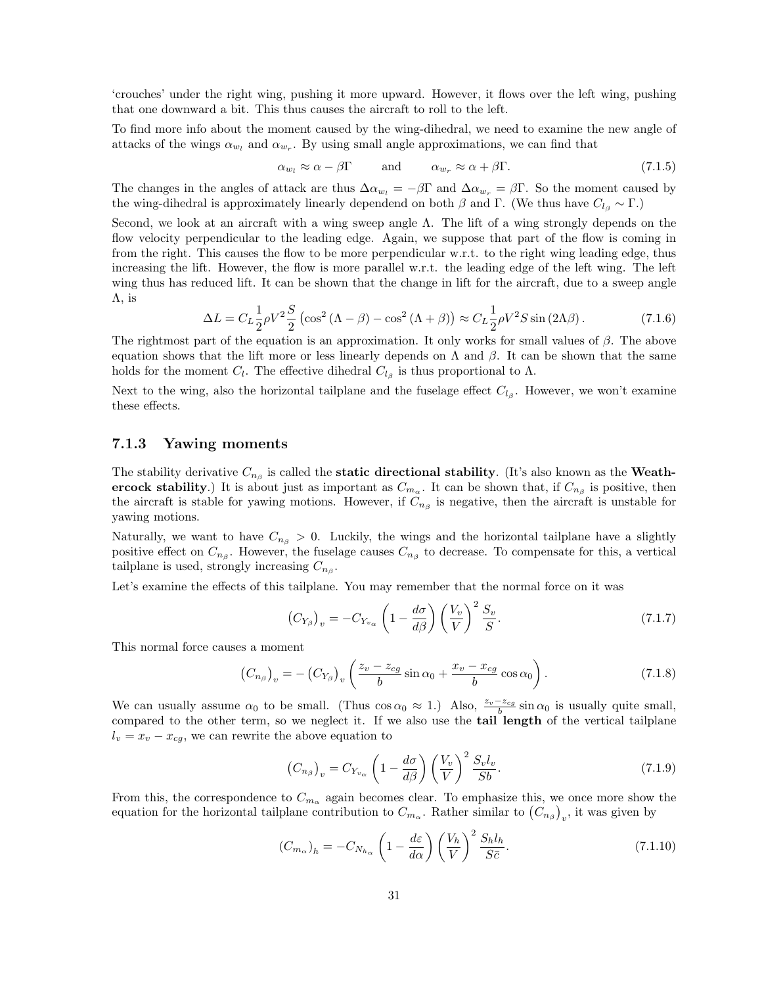'crouches' under the right wing, pushing it more upward. However, it flows over the left wing, pushing that one downward a bit. This thus causes the aircraft to roll to the left.

To find more info about the moment caused by the wing-dihedral, we need to examine the new angle of attacks of the wings  $\alpha_{w_l}$  and  $\alpha_{w_r}$ . By using small angle approximations, we can find that

$$
\alpha_{w_l} \approx \alpha - \beta \Gamma \qquad \text{and} \qquad \alpha_{w_r} \approx \alpha + \beta \Gamma. \tag{7.1.5}
$$

The changes in the angles of attack are thus  $\Delta \alpha_{w_l} = -\beta \Gamma$  and  $\Delta \alpha_{w_r} = \beta \Gamma$ . So the moment caused by the wing-dihedral is approximately linearly dependend on both  $\beta$  and Γ. (We thus have  $C_{l_{\beta}} \sim \Gamma$ .)

Second, we look at an aircraft with a wing sweep angle  $\Lambda$ . The lift of a wing strongly depends on the flow velocity perpendicular to the leading edge. Again, we suppose that part of the flow is coming in from the right. This causes the flow to be more perpendicular w.r.t. to the right wing leading edge, thus increasing the lift. However, the flow is more parallel w.r.t. the leading edge of the left wing. The left wing thus has reduced lift. It can be shown that the change in lift for the aircraft, due to a sweep angle  $\Lambda$ , is

$$
\Delta L = C_L \frac{1}{2} \rho V^2 \frac{S}{2} \left( \cos^2 \left( \Lambda - \beta \right) - \cos^2 \left( \Lambda + \beta \right) \right) \approx C_L \frac{1}{2} \rho V^2 S \sin \left( 2\Lambda \beta \right). \tag{7.1.6}
$$

The rightmost part of the equation is an approximation. It only works for small values of  $\beta$ . The above equation shows that the lift more or less linearly depends on  $\Lambda$  and  $\beta$ . It can be shown that the same holds for the moment  $C_l$ . The effective dihedral  $C_{l<sub>\beta</sub>}$  is thus proportional to  $\Lambda$ .

Next to the wing, also the horizontal tailplane and the fuselage effect  $C_{l_{\beta}}$ . However, we won't examine these effects.

#### 7.1.3 Yawing moments

The stability derivative  $C_{n_\beta}$  is called the **static directional stability**. (It's also known as the **Weath**ercock stability.) It is about just as important as  $C_{m_\alpha}$ . It can be shown that, if  $C_{n_\beta}$  is positive, then the aircraft is stable for yawing motions. However, if  $C_{n_\beta}$  is negative, then the aircraft is unstable for yawing motions.

Naturally, we want to have  $C_{n<sub>\beta</sub>} > 0$ . Luckily, the wings and the horizontal tailplane have a slightly positive effect on  $C_{n_\beta}$ . However, the fuselage causes  $C_{n_\beta}$  to decrease. To compensate for this, a vertical tailplane is used, strongly increasing  $C_{n<sub>\beta</sub>}$ .

Let's examine the effects of this tailplane. You may remember that the normal force on it was

$$
\left(C_{Y_{\beta}}\right)_{v} = -C_{Y_{v_{\alpha}}}\left(1 - \frac{d\sigma}{d\beta}\right)\left(\frac{V_{v}}{V}\right)^{2}\frac{S_{v}}{S}.
$$
\n(7.1.7)

This normal force causes a moment

$$
\left(C_{n_{\beta}}\right)_v = -\left(C_{Y_{\beta}}\right)_v \left(\frac{z_v - z_{cg}}{b}\sin\alpha_0 + \frac{x_v - x_{cg}}{b}\cos\alpha_0\right). \tag{7.1.8}
$$

We can usually assume  $\alpha_0$  to be small. (Thus  $\cos \alpha_0 \approx 1$ .) Also,  $\frac{z_v - z_{cg}}{b} \sin \alpha_0$  is usually quite small, compared to the other term, so we neglect it. If we also use the **tail length** of the vertical tailplane  $l_v = x_v - x_{cg}$ , we can rewrite the above equation to

$$
\left(C_{n_{\beta}}\right)_{v} = C_{Y_{v_{\alpha}}}\left(1 - \frac{d\sigma}{d\beta}\right)\left(\frac{V_{v}}{V}\right)^{2}\frac{S_{v}l_{v}}{Sb}.\tag{7.1.9}
$$

From this, the correspondence to  $C_{m_{\alpha}}$  again becomes clear. To emphasize this, we once more show the equation for the horizontal tailplane contribution to  $C_{m_\alpha}$ . Rather similar to  $(C_{n_\beta})_v$ , it was given by

$$
(C_{m_{\alpha}})_{h} = -C_{N_{h_{\alpha}}}\left(1 - \frac{d\varepsilon}{d\alpha}\right)\left(\frac{V_{h}}{V}\right)^{2} \frac{S_{h}l_{h}}{S\bar{c}}.
$$
\n(7.1.10)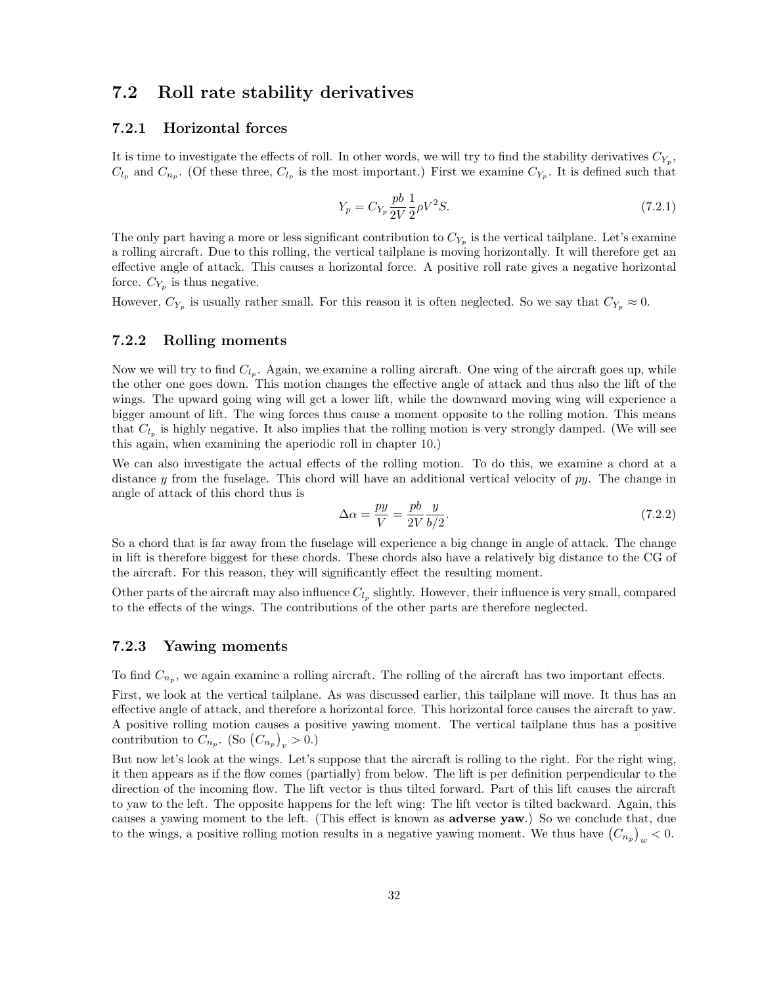## 7.2 Roll rate stability derivatives

#### 7.2.1 Horizontal forces

It is time to investigate the effects of roll. In other words, we will try to find the stability derivatives  $C_{Y_p}$ ,  $C_{l_p}$  and  $C_{n_p}$ . (Of these three,  $C_{l_p}$  is the most important.) First we examine  $C_{Y_p}$ . It is defined such that

$$
Y_p = C_{Y_p} \frac{pb}{2V} \frac{1}{2} \rho V^2 S. \tag{7.2.1}
$$

The only part having a more or less significant contribution to  $C_{Y_p}$  is the vertical tailplane. Let's examine a rolling aircraft. Due to this rolling, the vertical tailplane is moving horizontally. It will therefore get an effective angle of attack. This causes a horizontal force. A positive roll rate gives a negative horizontal force.  $C_{Y_p}$  is thus negative.

However,  $C_{Y_p}$  is usually rather small. For this reason it is often neglected. So we say that  $C_{Y_p} \approx 0$ .

#### 7.2.2 Rolling moments

Now we will try to find  $C_{l_p}$ . Again, we examine a rolling aircraft. One wing of the aircraft goes up, while the other one goes down. This motion changes the effective angle of attack and thus also the lift of the wings. The upward going wing will get a lower lift, while the downward moving wing will experience a bigger amount of lift. The wing forces thus cause a moment opposite to the rolling motion. This means that  $C_{l_p}$  is highly negative. It also implies that the rolling motion is very strongly damped. (We will see this again, when examining the aperiodic roll in chapter 10.)

We can also investigate the actual effects of the rolling motion. To do this, we examine a chord at a distance y from the fuselage. This chord will have an additional vertical velocity of  $py$ . The change in angle of attack of this chord thus is

$$
\Delta \alpha = \frac{py}{V} = \frac{pb}{2V} \frac{y}{b/2}.\tag{7.2.2}
$$

So a chord that is far away from the fuselage will experience a big change in angle of attack. The change in lift is therefore biggest for these chords. These chords also have a relatively big distance to the CG of the aircraft. For this reason, they will significantly effect the resulting moment.

Other parts of the aircraft may also influence  $C_{l_p}$  slightly. However, their influence is very small, compared to the effects of the wings. The contributions of the other parts are therefore neglected.

#### 7.2.3 Yawing moments

To find  $C_{n_p}$ , we again examine a rolling aircraft. The rolling of the aircraft has two important effects.

First, we look at the vertical tailplane. As was discussed earlier, this tailplane will move. It thus has an effective angle of attack, and therefore a horizontal force. This horizontal force causes the aircraft to yaw. A positive rolling motion causes a positive yawing moment. The vertical tailplane thus has a positive contribution to  $C_{n_p}$ . (So  $(C_{n_p})_v > 0$ .)

But now let's look at the wings. Let's suppose that the aircraft is rolling to the right. For the right wing, it then appears as if the flow comes (partially) from below. The lift is per definition perpendicular to the direction of the incoming flow. The lift vector is thus tilted forward. Part of this lift causes the aircraft to yaw to the left. The opposite happens for the left wing: The lift vector is tilted backward. Again, this causes a yawing moment to the left. (This effect is known as adverse yaw.) So we conclude that, due to the wings, a positive rolling motion results in a negative yawing moment. We thus have  $(C_{n_p})_w < 0$ .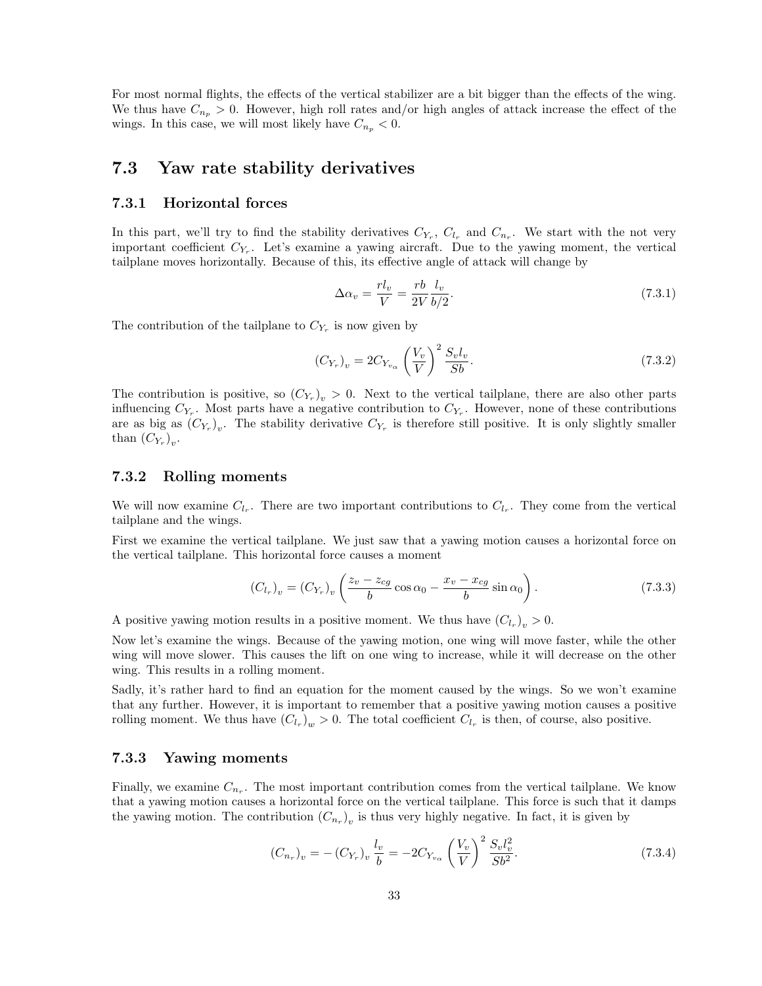For most normal flights, the effects of the vertical stabilizer are a bit bigger than the effects of the wing. We thus have  $C_{n_p} > 0$ . However, high roll rates and/or high angles of attack increase the effect of the wings. In this case, we will most likely have  $C_{n_p} < 0$ .

### 7.3 Yaw rate stability derivatives

#### 7.3.1 Horizontal forces

In this part, we'll try to find the stability derivatives  $C_{Y_r}$ ,  $C_{l_r}$  and  $C_{n_r}$ . We start with the not very important coefficient  $C_{Y_r}$ . Let's examine a yawing aircraft. Due to the yawing moment, the vertical tailplane moves horizontally. Because of this, its effective angle of attack will change by

$$
\Delta \alpha_v = \frac{rl_v}{V} = \frac{rb}{2V} \frac{l_v}{b/2}.
$$
\n(7.3.1)

The contribution of the tailplane to  $C_{Y_r}$  is now given by

$$
(C_{Y_r})_v = 2C_{Y_{v_\alpha}} \left(\frac{V_v}{V}\right)^2 \frac{S_v l_v}{Sb}.
$$
\n(7.3.2)

The contribution is positive, so  $(C_{Y_r})_v > 0$ . Next to the vertical tailplane, there are also other parts influencing  $C_{Y_r}$ . Most parts have a negative contribution to  $C_{Y_r}$ . However, none of these contributions are as big as  $(C_{Y_r})_v$ . The stability derivative  $C_{Y_r}$  is therefore still positive. It is only slightly smaller than  $(C_{Y_r})_v$ .

#### 7.3.2 Rolling moments

We will now examine  $C_{l_r}$ . There are two important contributions to  $C_{l_r}$ . They come from the vertical tailplane and the wings.

First we examine the vertical tailplane. We just saw that a yawing motion causes a horizontal force on the vertical tailplane. This horizontal force causes a moment

$$
(C_{l_r})_v = (C_{Y_r})_v \left(\frac{z_v - z_{cg}}{b} \cos \alpha_0 - \frac{x_v - x_{cg}}{b} \sin \alpha_0\right). \tag{7.3.3}
$$

A positive yawing motion results in a positive moment. We thus have  $(C_{l_r})_v > 0$ .

Now let's examine the wings. Because of the yawing motion, one wing will move faster, while the other wing will move slower. This causes the lift on one wing to increase, while it will decrease on the other wing. This results in a rolling moment.

Sadly, it's rather hard to find an equation for the moment caused by the wings. So we won't examine that any further. However, it is important to remember that a positive yawing motion causes a positive rolling moment. We thus have  $(C_{l_r})_w > 0$ . The total coefficient  $C_{l_r}$  is then, of course, also positive.

#### 7.3.3 Yawing moments

Finally, we examine  $C_{n_r}$ . The most important contribution comes from the vertical tailplane. We know that a yawing motion causes a horizontal force on the vertical tailplane. This force is such that it damps the yawing motion. The contribution  $(C_{n_r})_v$  is thus very highly negative. In fact, it is given by

$$
(C_{n_r})_v = -(C_{Y_r})_v \frac{l_v}{b} = -2C_{Y_{v_\alpha}} \left(\frac{V_v}{V}\right)^2 \frac{S_v l_v^2}{Sb^2}.
$$
\n(7.3.4)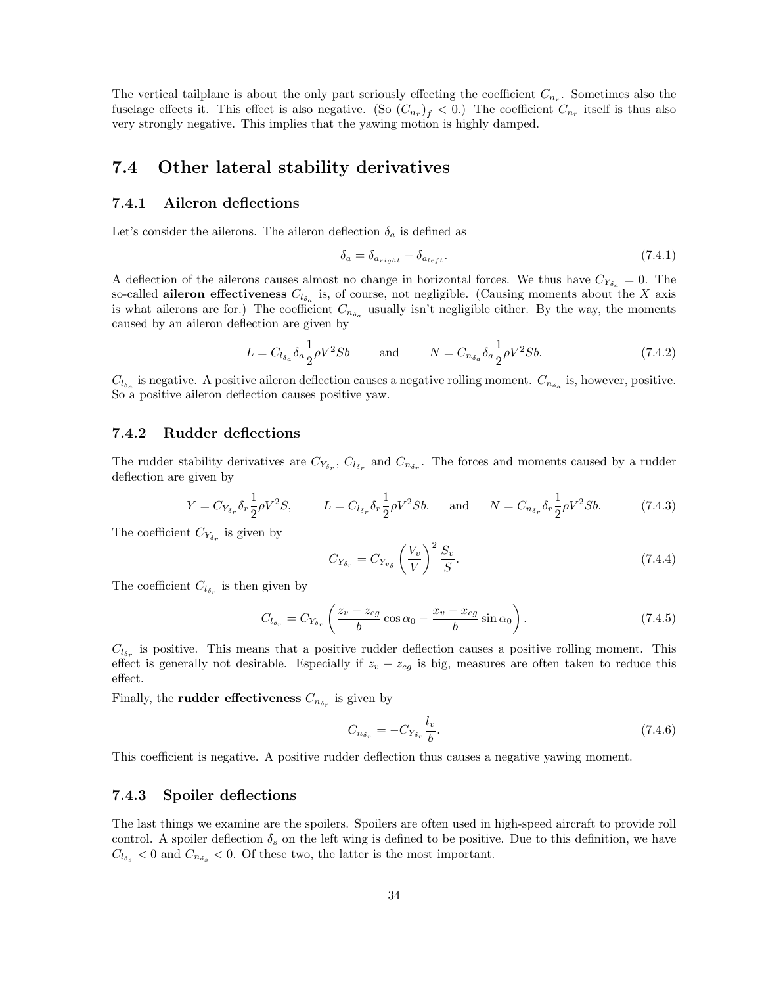The vertical tailplane is about the only part seriously effecting the coefficient  $C_{n_r}$ . Sometimes also the fuselage effects it. This effect is also negative. (So  $(C_{n_r})_f < 0$ .) The coefficient  $C_{n_r}$  itself is thus also very strongly negative. This implies that the yawing motion is highly damped.

## 7.4 Other lateral stability derivatives

#### 7.4.1 Aileron deflections

Let's consider the ailerons. The aileron deflection  $\delta_a$  is defined as

$$
\delta_a = \delta_{a_{right}} - \delta_{a_{left}}.\tag{7.4.1}
$$

A deflection of the ailerons causes almost no change in horizontal forces. We thus have  $C_{Y_{\delta_a}} = 0$ . The so-called **aileron effectiveness**  $C_{l_{\delta_a}}$  is, of course, not negligible. (Causing moments about the X axis is what ailerons are for.) The coefficient  $C_{n_{\delta_a}}$  usually isn't negligible either. By the way, the moments caused by an aileron deflection are given by

$$
L = C_{l_{\delta_a}} \delta_a \frac{1}{2} \rho V^2 S b \qquad \text{and} \qquad N = C_{n_{\delta_a}} \delta_a \frac{1}{2} \rho V^2 S b. \tag{7.4.2}
$$

 $C_{l_{\delta_a}}$  is negative. A positive aileron deflection causes a negative rolling moment.  $C_{n_{\delta_a}}$  is, however, positive. So a positive aileron deflection causes positive yaw.

#### 7.4.2 Rudder deflections

The rudder stability derivatives are  $C_{Y_{\delta_r}}$ ,  $C_{l_{\delta_r}}$  and  $C_{n_{\delta_r}}$ . The forces and moments caused by a rudder deflection are given by

$$
Y = C_{Y_{\delta_r}} \delta_r \frac{1}{2} \rho V^2 S, \qquad L = C_{l_{\delta_r}} \delta_r \frac{1}{2} \rho V^2 S b. \quad \text{and} \quad N = C_{n_{\delta_r}} \delta_r \frac{1}{2} \rho V^2 S b. \tag{7.4.3}
$$

The coefficient  $C_{Y_{\delta_r}}$  is given by

$$
C_{Y_{\delta_r}} = C_{Y_{v_\delta}} \left(\frac{V_v}{V}\right)^2 \frac{S_v}{S}.
$$
\n(7.4.4)

The coefficient  $C_{l_{\delta_r}}$  is then given by

$$
C_{l_{\delta_r}} = C_{Y_{\delta_r}} \left( \frac{z_v - z_{cg}}{b} \cos \alpha_0 - \frac{x_v - x_{cg}}{b} \sin \alpha_0 \right). \tag{7.4.5}
$$

 $C_{l_{\delta_r}}$  is positive. This means that a positive rudder deflection causes a positive rolling moment. This effect is generally not desirable. Especially if  $z_v - z_{cg}$  is big, measures are often taken to reduce this effect.

Finally, the **rudder effectiveness**  $C_{n_{\delta_r}}$  is given by

$$
C_{n_{\delta_r}} = -C_{Y_{\delta_r}} \frac{l_v}{b}.
$$
\n(7.4.6)

This coefficient is negative. A positive rudder deflection thus causes a negative yawing moment.

#### 7.4.3 Spoiler deflections

The last things we examine are the spoilers. Spoilers are often used in high-speed aircraft to provide roll control. A spoiler deflection  $\delta_s$  on the left wing is defined to be positive. Due to this definition, we have  $C_{l_{\delta_{s}}}$  < 0 and  $C_{n_{\delta_{s}}}$  < 0. Of these two, the latter is the most important.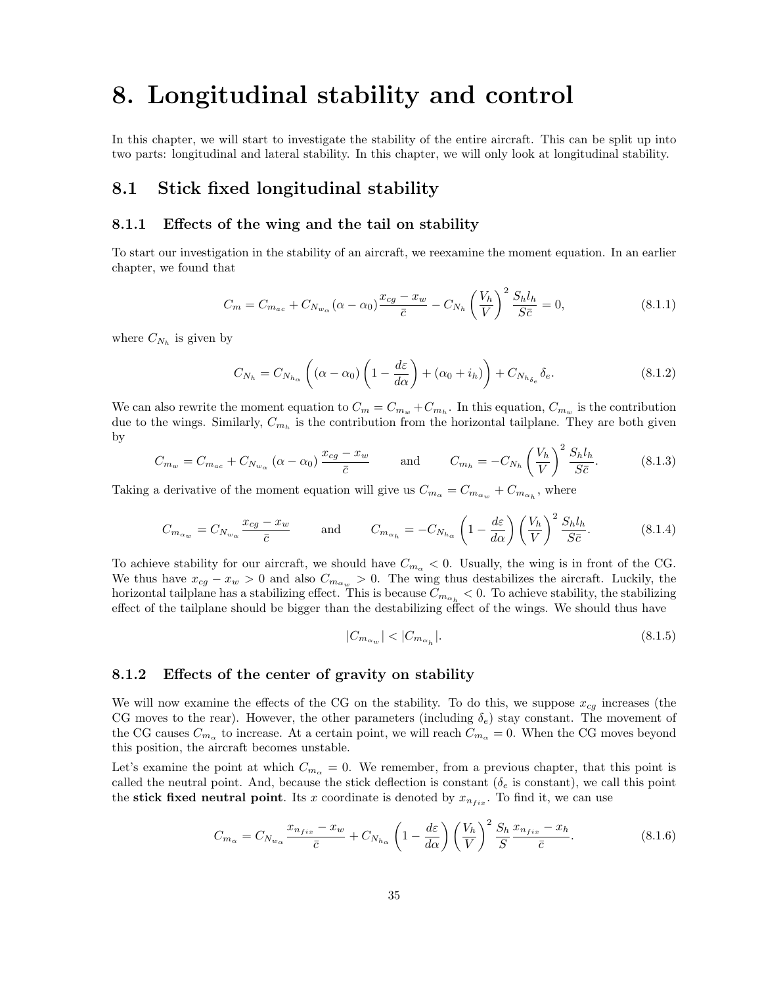## 8. Longitudinal stability and control

In this chapter, we will start to investigate the stability of the entire aircraft. This can be split up into two parts: longitudinal and lateral stability. In this chapter, we will only look at longitudinal stability.

## 8.1 Stick fixed longitudinal stability

#### 8.1.1 Effects of the wing and the tail on stability

To start our investigation in the stability of an aircraft, we reexamine the moment equation. In an earlier chapter, we found that

$$
C_m = C_{m_{ac}} + C_{N_{w_\alpha}} (\alpha - \alpha_0) \frac{x_{cg} - x_w}{\bar{c}} - C_{N_h} \left(\frac{V_h}{V}\right)^2 \frac{S_h l_h}{S \bar{c}} = 0,
$$
\n(8.1.1)

where  $C_{N_h}$  is given by

$$
C_{N_h} = C_{N_{h_\alpha}} \left( (\alpha - \alpha_0) \left( 1 - \frac{d\varepsilon}{d\alpha} \right) + (\alpha_0 + i_h) \right) + C_{N_{h_{\delta_e}}} \delta_e.
$$
 (8.1.2)

We can also rewrite the moment equation to  $C_m = C_{m_w} + C_{m_h}$ . In this equation,  $C_{m_w}$  is the contribution due to the wings. Similarly,  $C_{m_h}$  is the contribution from the horizontal tailplane. They are both given by

$$
C_{m_w} = C_{m_{ac}} + C_{N_{w_\alpha}} \left( \alpha - \alpha_0 \right) \frac{x_{cg} - x_w}{\bar{c}} \quad \text{and} \quad C_{m_h} = -C_{N_h} \left( \frac{V_h}{V} \right)^2 \frac{S_h l_h}{S \bar{c}}.
$$
 (8.1.3)

Taking a derivative of the moment equation will give us  $C_{m_\alpha} = C_{m_{\alpha_w}} + C_{m_{\alpha_h}}$ , where

$$
C_{m_{\alpha_w}} = C_{N_{w_{\alpha}}} \frac{x_{cg} - x_w}{\bar{c}} \quad \text{and} \quad C_{m_{\alpha_h}} = -C_{N_{h_{\alpha}}} \left(1 - \frac{d\varepsilon}{d\alpha}\right) \left(\frac{V_h}{V}\right)^2 \frac{S_h l_h}{S\bar{c}}.
$$
 (8.1.4)

To achieve stability for our aircraft, we should have  $C_{m<sub>o</sub>} < 0$ . Usually, the wing is in front of the CG. We thus have  $x_{cg} - x_w > 0$  and also  $C_{m_{\alpha_w}} > 0$ . The wing thus destabilizes the aircraft. Luckily, the horizontal tailplane has a stabilizing effect. This is because  $C_{m_{\alpha_h}} < 0$ . To achieve stability, the stabilizing effect of the tailplane should be bigger than the destabilizing effect of the wings. We should thus have

$$
|C_{m_{\alpha_w}}| < |C_{m_{\alpha_h}}|.\tag{8.1.5}
$$

#### 8.1.2 Effects of the center of gravity on stability

We will now examine the effects of the CG on the stability. To do this, we suppose  $x_{cg}$  increases (the CG moves to the rear). However, the other parameters (including  $\delta_e$ ) stay constant. The movement of the CG causes  $C_{m_\alpha}$  to increase. At a certain point, we will reach  $C_{m_\alpha}=0$ . When the CG moves beyond this position, the aircraft becomes unstable.

Let's examine the point at which  $C_{m_{\alpha}} = 0$ . We remember, from a previous chapter, that this point is called the neutral point. And, because the stick deflection is constant ( $\delta_e$  is constant), we call this point the stick fixed neutral point. Its x coordinate is denoted by  $x_{n_{fix}}$ . To find it, we can use

$$
C_{m_{\alpha}} = C_{N_{w_{\alpha}}} \frac{x_{n_{fix}} - x_w}{\bar{c}} + C_{N_{h_{\alpha}}} \left(1 - \frac{d\varepsilon}{d\alpha}\right) \left(\frac{V_h}{V}\right)^2 \frac{S_h}{S} \frac{x_{n_{fix}} - x_h}{\bar{c}}.
$$
 (8.1.6)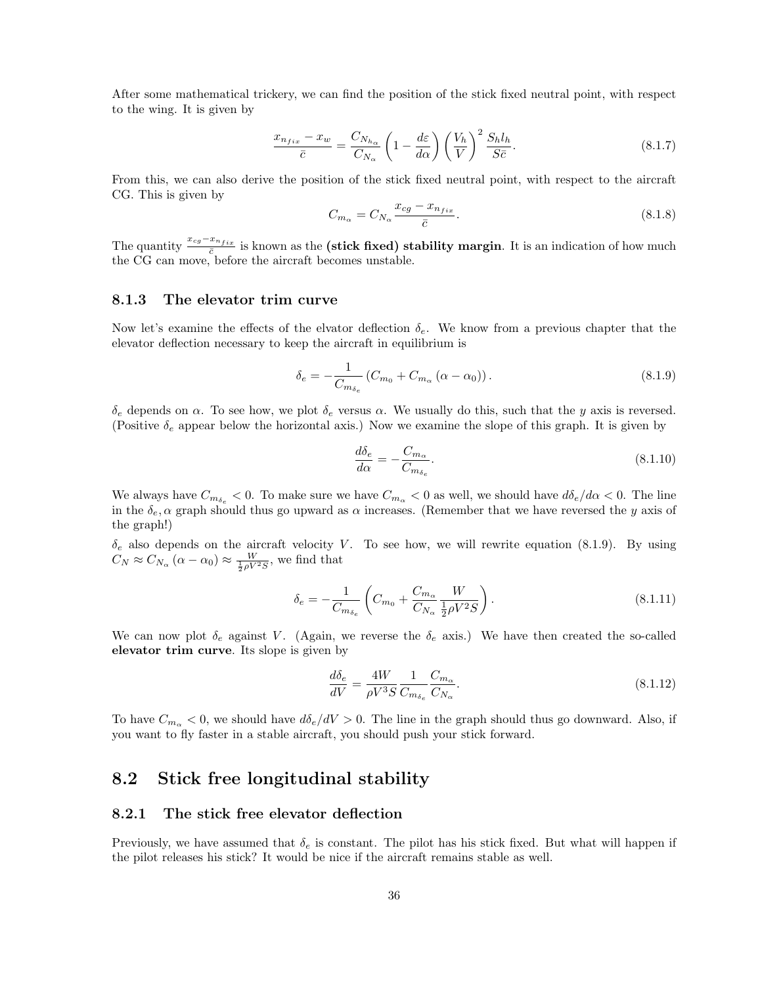After some mathematical trickery, we can find the position of the stick fixed neutral point, with respect to the wing. It is given by

$$
\frac{x_{n_{fix}} - x_w}{\bar{c}} = \frac{C_{N_{h\alpha}}}{C_{N_{\alpha}}} \left( 1 - \frac{d\varepsilon}{d\alpha} \right) \left( \frac{V_h}{V} \right)^2 \frac{S_h l_h}{S\bar{c}}.
$$
\n(8.1.7)

From this, we can also derive the position of the stick fixed neutral point, with respect to the aircraft CG. This is given by

$$
C_{m_{\alpha}} = C_{N_{\alpha}} \frac{x_{cg} - x_{n_{fix}}}{\bar{c}}.
$$
\n(8.1.8)

The quantity  $\frac{x_{cg}-x_{nfix}}{\bar{c}}$  is known as the (stick fixed) stability margin. It is an indication of how much the CG can move, before the aircraft becomes unstable.

#### 8.1.3 The elevator trim curve

Now let's examine the effects of the elvator deflection  $\delta_e$ . We know from a previous chapter that the elevator deflection necessary to keep the aircraft in equilibrium is

$$
\delta_e = -\frac{1}{C_{m_{\delta_e}}}(C_{m_0} + C_{m_\alpha}(\alpha - \alpha_0)).
$$
\n(8.1.9)

δ<sub>e</sub> depends on α. To see how, we plot δ<sub>e</sub> versus α. We usually do this, such that the y axis is reversed. (Positive  $\delta_e$  appear below the horizontal axis.) Now we examine the slope of this graph. It is given by

$$
\frac{d\delta_e}{d\alpha} = -\frac{C_{m_\alpha}}{C_{m_{\delta_e}}}.\tag{8.1.10}
$$

We always have  $C_{m_{\delta_e}} < 0$ . To make sure we have  $C_{m_\alpha} < 0$  as well, we should have  $d\delta_e/d\alpha < 0$ . The line in the  $\delta_e$ ,  $\alpha$  graph should thus go upward as  $\alpha$  increases. (Remember that we have reversed the y axis of the graph!)

 $\delta_e$  also depends on the aircraft velocity V. To see how, we will rewrite equation (8.1.9). By using  $C_N \approx C_{N_\alpha} (\alpha - \alpha_0) \approx \frac{W}{\frac{1}{2} \rho V^2 S}$ , we find that

$$
\delta_e = -\frac{1}{C_{m_{\delta_e}}} \left( C_{m_0} + \frac{C_{m_\alpha}}{C_{N_\alpha}} \frac{W}{\frac{1}{2} \rho V^2 S} \right). \tag{8.1.11}
$$

We can now plot  $\delta_e$  against V. (Again, we reverse the  $\delta_e$  axis.) We have then created the so-called elevator trim curve. Its slope is given by

$$
\frac{d\delta_e}{dV} = \frac{4W}{\rho V^3 S} \frac{1}{C_{m_{\delta_e}}} \frac{C_{m_\alpha}}{C_{N_\alpha}}.\tag{8.1.12}
$$

To have  $C_{m_{\alpha}} < 0$ , we should have  $d\delta_e/dV > 0$ . The line in the graph should thus go downward. Also, if you want to fly faster in a stable aircraft, you should push your stick forward.

## 8.2 Stick free longitudinal stability

#### 8.2.1 The stick free elevator deflection

Previously, we have assumed that  $\delta_e$  is constant. The pilot has his stick fixed. But what will happen if the pilot releases his stick? It would be nice if the aircraft remains stable as well.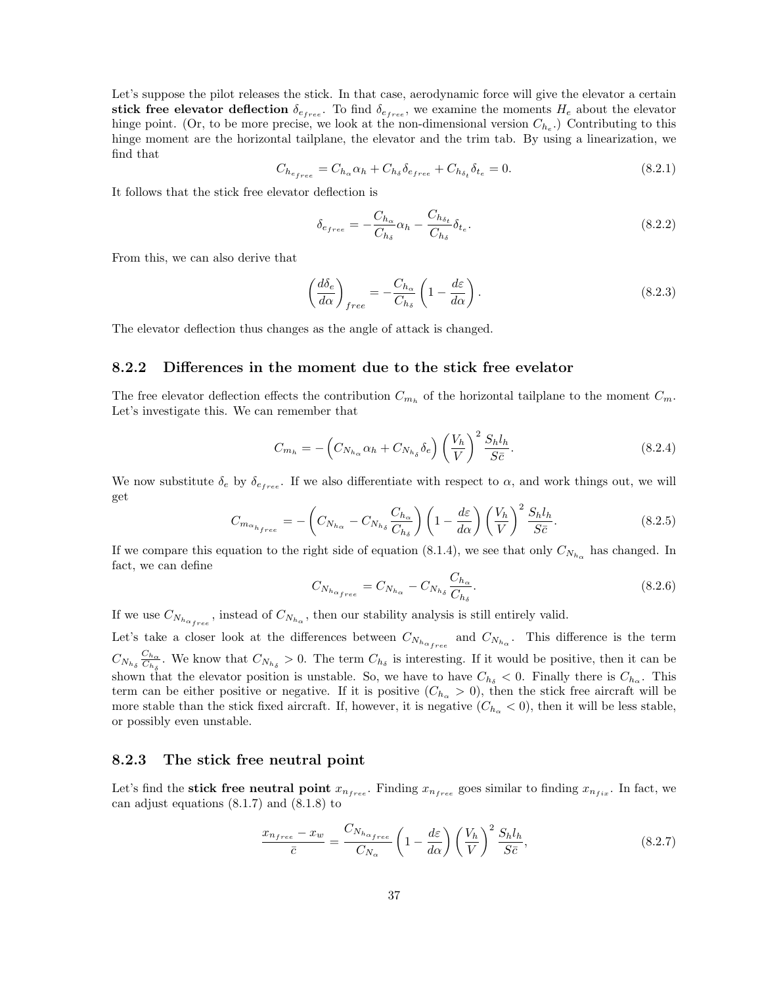Let's suppose the pilot releases the stick. In that case, aerodynamic force will give the elevator a certain stick free elevator deflection  $\delta_{e_{free}}$ . To find  $\delta_{e_{free}}$ , we examine the moments  $H_e$  about the elevator hinge point. (Or, to be more precise, we look at the non-dimensional version  $C_{h_e}$ .) Contributing to this hinge moment are the horizontal tailplane, the elevator and the trim tab. By using a linearization, we find that

$$
C_{h_{e_{free}}} = C_{h_{\alpha}} \alpha_h + C_{h_{\delta}} \delta_{e_{free}} + C_{h_{\delta_t}} \delta_{t_e} = 0.
$$
\n(8.2.1)

It follows that the stick free elevator deflection is

$$
\delta_{e_{free}} = -\frac{C_{h_{\alpha}}}{C_{h_{\delta}}} \alpha_h - \frac{C_{h_{\delta_t}}}{C_{h_{\delta}}} \delta_{t_e}.
$$
\n(8.2.2)

From this, we can also derive that

$$
\left(\frac{d\delta_e}{d\alpha}\right)_{free} = -\frac{C_{h_\alpha}}{C_{h_\delta}} \left(1 - \frac{d\varepsilon}{d\alpha}\right). \tag{8.2.3}
$$

The elevator deflection thus changes as the angle of attack is changed.

#### 8.2.2 Differences in the moment due to the stick free evelator

The free elevator deflection effects the contribution  $C_{m_h}$  of the horizontal tailplane to the moment  $C_m$ . Let's investigate this. We can remember that

$$
C_{m_h} = -\left(C_{N_{h_\alpha}}\alpha_h + C_{N_{h_\delta}}\delta_e\right)\left(\frac{V_h}{V}\right)^2\frac{S_h l_h}{S\bar{c}}.\tag{8.2.4}
$$

We now substitute  $\delta_e$  by  $\delta_{\epsilon_{free}}$ . If we also differentiate with respect to  $\alpha$ , and work things out, we will get

$$
C_{m_{\alpha_{h_{free}}} = -\left(C_{N_{h_{\alpha}}} - C_{N_{h_{\delta}}} \frac{C_{h_{\alpha}}}{C_{h_{\delta}}}\right) \left(1 - \frac{d\varepsilon}{d\alpha}\right) \left(\frac{V_h}{V}\right)^2 \frac{S_h l_h}{S\bar{c}}.
$$
\n(8.2.5)

If we compare this equation to the right side of equation (8.1.4), we see that only  $C_{N_{h_\alpha}}$  has changed. In fact, we can define

$$
C_{N_{h_{\alpha_{free}}}} = C_{N_{h_{\alpha}}} - C_{N_{h_{\delta}}} \frac{C_{h_{\alpha}}}{C_{h_{\delta}}}.
$$
\n
$$
(8.2.6)
$$

If we use  $C_{N_{h_{\alpha_{free}}}}$ , instead of  $C_{N_{h_{\alpha}}}$ , then our stability analysis is still entirely valid.

Let's take a closer look at the differences between  $C_{N_{h_{\alpha}}_{free}}$  and  $C_{N_{h_{\alpha}}}$ . This difference is the term  $C_{N_{h_\delta}} \frac{C_{h_\alpha}}{C_{h_\delta}}$  $\frac{C_{h_{\alpha}}}{C_{h_{\delta}}}$ . We know that  $C_{N_{h_{\delta}}} > 0$ . The term  $C_{h_{\delta}}$  is interesting. If it would be positive, then it can be shown that the elevator position is unstable. So, we have to have  $C_{h_{\delta}} < 0$ . Finally there is  $C_{h_{\alpha}}$ . This term can be either positive or negative. If it is positive  $(C_{h_{\alpha}} > 0)$ , then the stick free aircraft will be more stable than the stick fixed aircraft. If, however, it is negative  $(C_{h_\alpha} < 0)$ , then it will be less stable, or possibly even unstable.

#### 8.2.3 The stick free neutral point

Let's find the **stick free neutral point**  $x_{n_{free}}$ . Finding  $x_{n_{free}}$  goes similar to finding  $x_{n_{fix}}$ . In fact, we can adjust equations (8.1.7) and (8.1.8) to

$$
\frac{x_{n_{free}} - x_w}{\bar{c}} = \frac{C_{N_{h_{\alpha_{free}}}}}{C_{N_{\alpha}}} \left(1 - \frac{d\varepsilon}{d\alpha}\right) \left(\frac{V_h}{V}\right)^2 \frac{S_h l_h}{S\bar{c}},\tag{8.2.7}
$$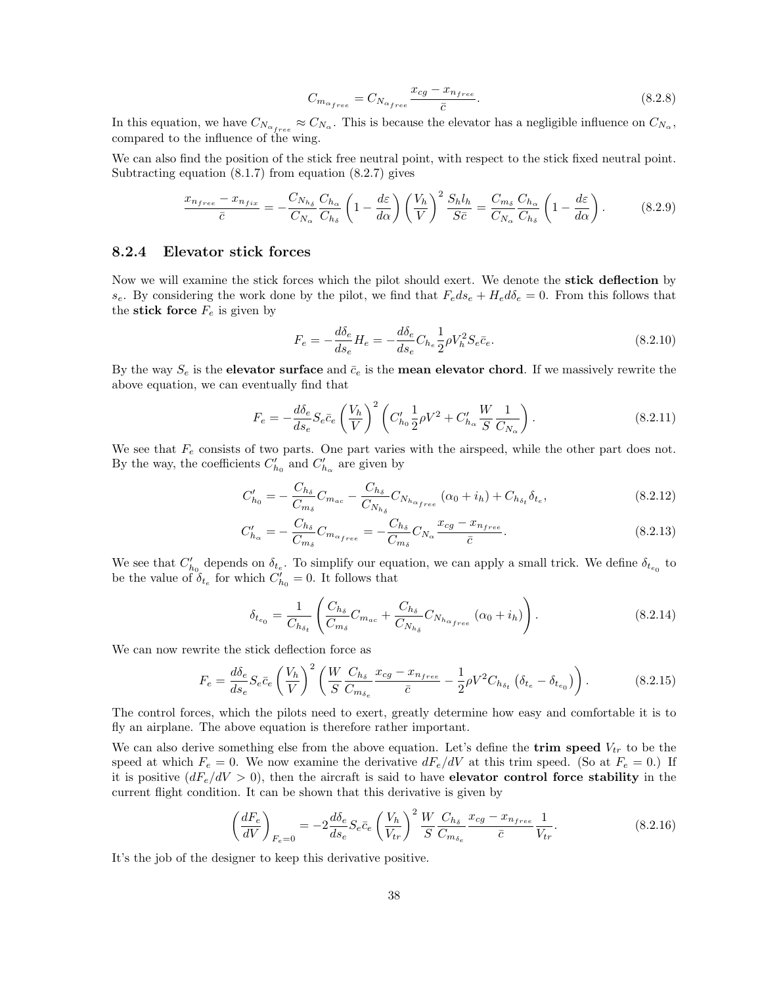$$
C_{m_{\alpha_{free}}} = C_{N_{\alpha_{free}}} \frac{x_{cg} - x_{nfree}}{\bar{c}}.
$$
\n(8.2.8)

In this equation, we have  $C_{N_{\alpha_{free}}} \approx C_{N_{\alpha}}$ . This is because the elevator has a negligible influence on  $C_{N_{\alpha}}$ , compared to the influence of the wing.

We can also find the position of the stick free neutral point, with respect to the stick fixed neutral point. Subtracting equation  $(8.1.7)$  from equation  $(8.2.7)$  gives

$$
\frac{x_{n_{free}} - x_{n_{fix}}}{\bar{c}} = -\frac{C_{N_{h_{\delta}}}}{C_{N_{\alpha}}} \frac{C_{h_{\alpha}}}{C_{h_{\delta}}} \left(1 - \frac{d\varepsilon}{d\alpha}\right) \left(\frac{V_h}{V}\right)^2 \frac{S_h l_h}{S\bar{c}} = \frac{C_{m_{\delta}}}{C_{N_{\alpha}}} \frac{C_{h_{\alpha}}}{C_{h_{\delta}}} \left(1 - \frac{d\varepsilon}{d\alpha}\right). \tag{8.2.9}
$$

#### 8.2.4 Elevator stick forces

Now we will examine the stick forces which the pilot should exert. We denote the **stick deflection** by  $s_e$ . By considering the work done by the pilot, we find that  $F_e ds_e + H_e d\delta_e = 0$ . From this follows that the stick force  $F_e$  is given by

$$
F_e = -\frac{d\delta_e}{ds_e} H_e = -\frac{d\delta_e}{ds_e} C_{h_e} \frac{1}{2} \rho V_h^2 S_e \bar{c}_e.
$$
\n(8.2.10)

By the way  $S_e$  is the **elevator surface** and  $\bar{c}_e$  is the **mean elevator chord**. If we massively rewrite the above equation, we can eventually find that

$$
F_e = -\frac{d\delta_e}{ds_e} S_e \bar{c}_e \left(\frac{V_h}{V}\right)^2 \left(C'_{h_0} \frac{1}{2} \rho V^2 + C'_{h_\alpha} \frac{W}{S} \frac{1}{C_{N_\alpha}}\right).
$$
 (8.2.11)

We see that  $F_e$  consists of two parts. One part varies with the airspeed, while the other part does not. By the way, the coefficients  $C'_{h_0}$  and  $C'_{h_\alpha}$  are given by

$$
C'_{h_0} = -\frac{C_{h_\delta}}{C_{m_\delta}} C_{m_{ac}} - \frac{C_{h_\delta}}{C_{N_{h_\delta}}} C_{N_{h_{\alpha_{free}}}} (\alpha_0 + i_h) + C_{h_{\delta_t}} \delta_{t_e},
$$
\n(8.2.12)

$$
C'_{h_{\alpha}} = -\frac{C_{h_{\delta}}}{C_{m_{\delta}}} C_{m_{\alpha_{free}}} = -\frac{C_{h_{\delta}}}{C_{m_{\delta}}} C_{N_{\alpha}} \frac{x_{cg} - x_{n_{free}}}{\bar{c}}.
$$
\n(8.2.13)

We see that  $C'_{h_0}$  depends on  $\delta_{t_e}$ . To simplify our equation, we can apply a small trick. We define  $\delta_{t_{e_0}}$  to be the value of  $\delta_{t_e}$  for which  $C'_{h_0} = 0$ . It follows that

$$
\delta_{t_{e_0}} = \frac{1}{C_{h_{\delta_t}}} \left( \frac{C_{h_{\delta}}}{C_{m_{\delta}}} C_{m_{ac}} + \frac{C_{h_{\delta}}}{C_{N_{h_{\delta}}} C_{N_{h_{\alpha}}}} \left( \alpha_0 + i_h \right) \right). \tag{8.2.14}
$$

We can now rewrite the stick deflection force as

$$
F_e = \frac{d\delta_e}{ds_e} S_e \bar{c}_e \left(\frac{V_h}{V}\right)^2 \left(\frac{W}{S} \frac{C_{h_\delta}}{C_{m_{\delta_e}}} \frac{x_{cg} - x_{n_{free}}}{\bar{c}} - \frac{1}{2} \rho V^2 C_{h_{\delta_t}} \left(\delta_{t_e} - \delta_{t_{e_0}}\right)\right).
$$
(8.2.15)

The control forces, which the pilots need to exert, greatly determine how easy and comfortable it is to fly an airplane. The above equation is therefore rather important.

We can also derive something else from the above equation. Let's define the **trim speed**  $V_{tr}$  to be the speed at which  $F_e = 0$ . We now examine the derivative  $dF_e/dV$  at this trim speed. (So at  $F_e = 0$ .) If it is positive  $(dF_e/dV > 0)$ , then the aircraft is said to have **elevator control force stability** in the current flight condition. It can be shown that this derivative is given by

$$
\left(\frac{dF_e}{dV}\right)_{F_e=0} = -2\frac{d\delta_e}{ds_e} S_e \bar{c}_e \left(\frac{V_h}{V_{tr}}\right)^2 \frac{W}{S} \frac{C_{h_\delta}}{C_{m_{\delta_e}}} \frac{x_{cg} - x_{n_{free}}}{\bar{c}} \frac{1}{V_{tr}}.\tag{8.2.16}
$$

It's the job of the designer to keep this derivative positive.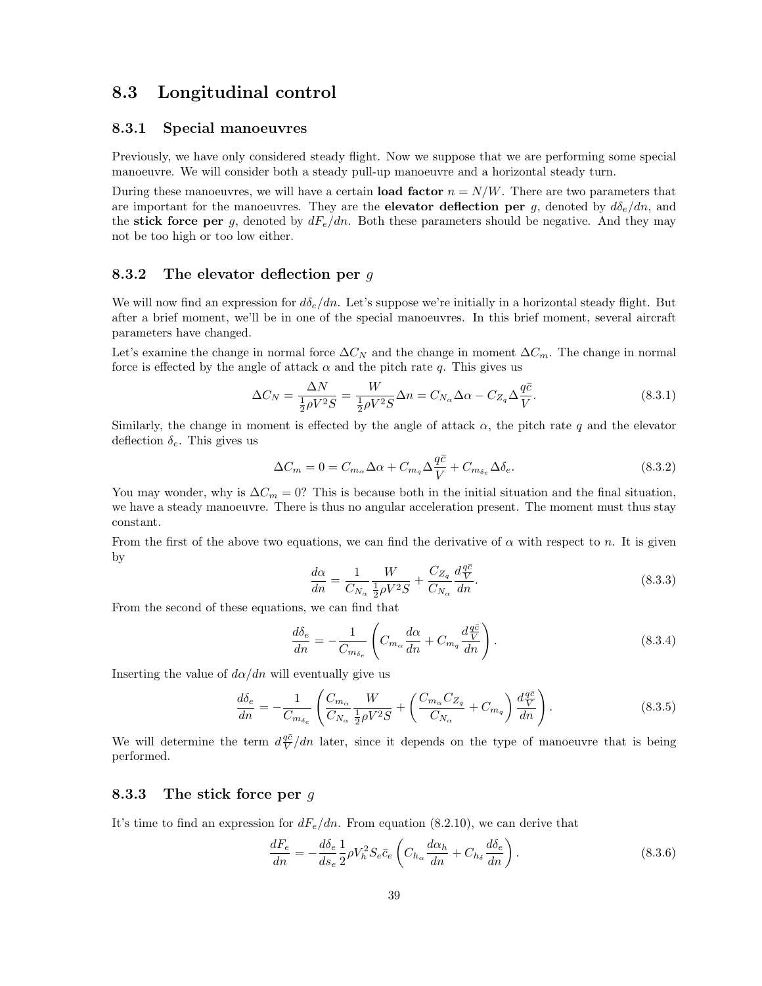## 8.3 Longitudinal control

#### 8.3.1 Special manoeuvres

Previously, we have only considered steady flight. Now we suppose that we are performing some special manoeuvre. We will consider both a steady pull-up manoeuvre and a horizontal steady turn.

During these manoeuvres, we will have a certain **load factor**  $n = N/W$ . There are two parameters that are important for the manoeuvres. They are the **elevator deflection per** g, denoted by  $d\delta_e/dn$ , and the stick force per g, denoted by  $dF_e/dn$ . Both these parameters should be negative. And they may not be too high or too low either.

#### 8.3.2 The elevator deflection per  $q$

We will now find an expression for  $d\delta_e/dn$ . Let's suppose we're initially in a horizontal steady flight. But after a brief moment, we'll be in one of the special manoeuvres. In this brief moment, several aircraft parameters have changed.

Let's examine the change in normal force  $\Delta C_N$  and the change in moment  $\Delta C_m$ . The change in normal force is effected by the angle of attack  $\alpha$  and the pitch rate q. This gives us

$$
\Delta C_N = \frac{\Delta N}{\frac{1}{2}\rho V^2 S} = \frac{W}{\frac{1}{2}\rho V^2 S} \Delta n = C_{N_\alpha} \Delta \alpha - C_{Z_q} \Delta \frac{q\bar{c}}{V}.
$$
\n(8.3.1)

Similarly, the change in moment is effected by the angle of attack  $\alpha$ , the pitch rate q and the elevator deflection  $\delta_e$ . This gives us

$$
\Delta C_m = 0 = C_{m_\alpha} \Delta \alpha + C_{m_q} \Delta \frac{q\bar{c}}{V} + C_{m_{\delta_e}} \Delta \delta_e.
$$
\n(8.3.2)

You may wonder, why is  $\Delta C_m = 0$ ? This is because both in the initial situation and the final situation, we have a steady manoeuvre. There is thus no angular acceleration present. The moment must thus stay constant.

From the first of the above two equations, we can find the derivative of  $\alpha$  with respect to n. It is given by

$$
\frac{d\alpha}{dn} = \frac{1}{C_{N_{\alpha}}} \frac{W}{\frac{1}{2}\rho V^2 S} + \frac{C_{Z_q}}{C_{N_{\alpha}}} \frac{d\frac{q\bar{c}}{V}}{dn}.
$$
\n(8.3.3)

From the second of these equations, we can find that

$$
\frac{d\delta_e}{dn} = -\frac{1}{C_{m\delta_e}} \left( C_{m_\alpha} \frac{d\alpha}{dn} + C_{m_q} \frac{d\frac{q\bar{c}}{V}}{dn} \right). \tag{8.3.4}
$$

Inserting the value of  $d\alpha/dn$  will eventually give us

$$
\frac{d\delta_e}{dn} = -\frac{1}{C_{m_{\delta_e}}} \left( \frac{C_{m_\alpha}}{C_{N_\alpha}} \frac{W}{\frac{1}{2} \rho V^2 S} + \left( \frac{C_{m_\alpha} C_{Z_q}}{C_{N_\alpha}} + C_{m_q} \right) \frac{d\frac{q\bar{c}}{V}}{dn} \right). \tag{8.3.5}
$$

We will determine the term  $d\frac{q\bar{c}}{V}$  and later, since it depends on the type of manoeuvre that is being performed.

#### 8.3.3 The stick force per  $q$

It's time to find an expression for  $dF_e/dn$ . From equation (8.2.10), we can derive that

$$
\frac{dF_e}{dn} = -\frac{d\delta_e}{ds_e} \frac{1}{2} \rho V_h^2 S_e \bar{c}_e \left( C_{h_\alpha} \frac{d\alpha_h}{dn} + C_{h_\delta} \frac{d\delta_e}{dn} \right). \tag{8.3.6}
$$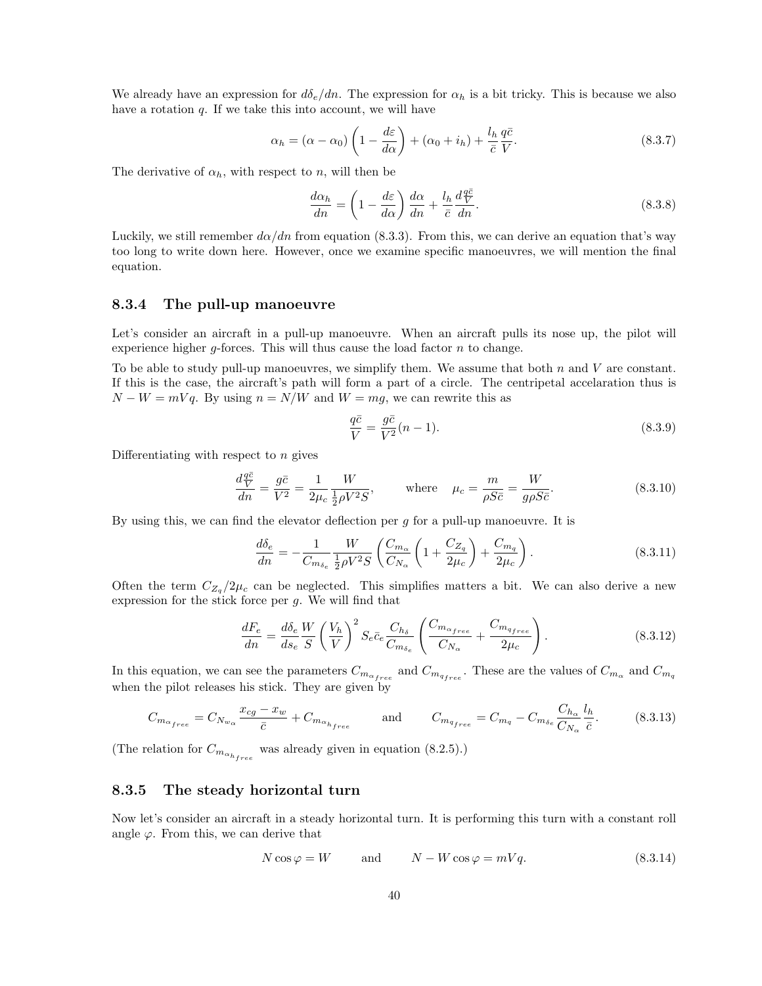We already have an expression for  $d\delta_e/dn$ . The expression for  $\alpha_h$  is a bit tricky. This is because we also have a rotation  $q$ . If we take this into account, we will have

$$
\alpha_h = (\alpha - \alpha_0) \left( 1 - \frac{d\varepsilon}{d\alpha} \right) + (\alpha_0 + i_h) + \frac{l_h}{\bar{c}} \frac{q\bar{c}}{V}.
$$
\n(8.3.7)

The derivative of  $\alpha_h$ , with respect to n, will then be

$$
\frac{d\alpha_h}{dn} = \left(1 - \frac{d\varepsilon}{d\alpha}\right)\frac{d\alpha}{dn} + \frac{l_h}{\bar{c}}\frac{d\frac{q\bar{c}}{V}}{dn}.
$$
\n(8.3.8)

Luckily, we still remember  $d\alpha/dn$  from equation (8.3.3). From this, we can derive an equation that's way too long to write down here. However, once we examine specific manoeuvres, we will mention the final equation.

#### 8.3.4 The pull-up manoeuvre

Let's consider an aircraft in a pull-up manoeuvre. When an aircraft pulls its nose up, the pilot will experience higher  $g$ -forces. This will thus cause the load factor  $n$  to change.

To be able to study pull-up manoeuvres, we simplify them. We assume that both  $n$  and  $V$  are constant. If this is the case, the aircraft's path will form a part of a circle. The centripetal accelaration thus is  $N - W = mVq$ . By using  $n = N/W$  and  $W = mg$ , we can rewrite this as

$$
\frac{q\bar{c}}{V} = \frac{g\bar{c}}{V^2}(n-1).
$$
\n(8.3.9)

Differentiating with respect to  $n$  gives

$$
\frac{d\frac{q\bar{c}}{V}}{dn} = \frac{g\bar{c}}{V^2} = \frac{1}{2\mu_c} \frac{W}{\frac{1}{2}\rho V^2 S}, \qquad \text{where} \quad \mu_c = \frac{m}{\rho S \bar{c}} = \frac{W}{g\rho S \bar{c}}.
$$
 (8.3.10)

By using this, we can find the elevator deflection per  $q$  for a pull-up manoeuvre. It is

$$
\frac{d\delta_e}{dn} = -\frac{1}{C_{m_{\delta_e}}} \frac{W}{\frac{1}{2}\rho V^2 S} \left( \frac{C_{m_{\alpha}}}{C_{N_{\alpha}}} \left( 1 + \frac{C_{Z_q}}{2\mu_c} \right) + \frac{C_{m_q}}{2\mu_c} \right). \tag{8.3.11}
$$

Often the term  $C_{Z_q}/2\mu_c$  can be neglected. This simplifies matters a bit. We can also derive a new expression for the stick force per  $g$ . We will find that

$$
\frac{dF_e}{dn} = \frac{d\delta_e}{ds_e} \frac{W}{S} \left(\frac{V_h}{V}\right)^2 S_e \bar{c}_e \frac{C_{h_\delta}}{C_{m_{\delta_e}}} \left(\frac{C_{m_{\alpha_{free}}}}{C_{N_\alpha}} + \frac{C_{m_{qfree}}}{2\mu_c}\right).
$$
\n(8.3.12)

In this equation, we can see the parameters  $C_{m_{\alpha_{free}}}$  and  $C_{m_{qfree}}$ . These are the values of  $C_{m_\alpha}$  and  $C_{m_q}$ when the pilot releases his stick. They are given by

$$
C_{m_{\alpha_{free}}} = C_{N_{w_{\alpha}}} \frac{x_{cg} - x_w}{\bar{c}} + C_{m_{\alpha_{h_{free}}}} \quad \text{and} \quad C_{m_{q_{free}}} = C_{m_q} - C_{m_{\delta_e}} \frac{C_{h_{\alpha}}}{C_{N_{\alpha}}} \frac{l_h}{\bar{c}}.
$$
 (8.3.13)

(The relation for  $C_{m_{\alpha_{h_{free}}}}$  was already given in equation (8.2.5).)

#### 8.3.5 The steady horizontal turn

Now let's consider an aircraft in a steady horizontal turn. It is performing this turn with a constant roll angle  $\varphi$ . From this, we can derive that

$$
N\cos\varphi = W \qquad \text{and} \qquad N - W\cos\varphi = mVq. \tag{8.3.14}
$$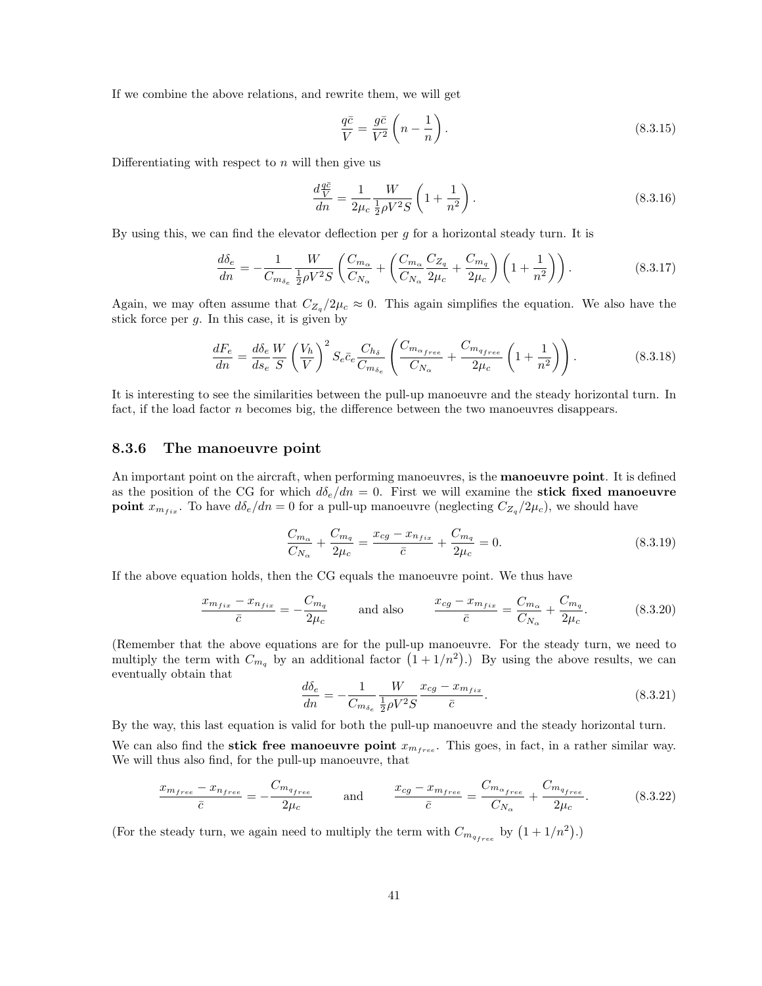If we combine the above relations, and rewrite them, we will get

$$
\frac{q\bar{c}}{V} = \frac{g\bar{c}}{V^2} \left( n - \frac{1}{n} \right). \tag{8.3.15}
$$

Differentiating with respect to  $n$  will then give us

$$
\frac{d\frac{q\bar{e}}{V}}{dn} = \frac{1}{2\mu_c} \frac{W}{\frac{1}{2}\rho V^2 S} \left(1 + \frac{1}{n^2}\right).
$$
\n(8.3.16)

By using this, we can find the elevator deflection per  $g$  for a horizontal steady turn. It is

$$
\frac{d\delta_e}{dn} = -\frac{1}{C_{m_{\delta_e}}} \frac{W}{\frac{1}{2}\rho V^2 S} \left( \frac{C_{m_{\alpha}}}{C_{N_{\alpha}}} + \left( \frac{C_{m_{\alpha}}}{C_{N_{\alpha}}} \frac{C_{Z_q}}{2\mu_c} + \frac{C_{m_q}}{2\mu_c} \right) \left( 1 + \frac{1}{n^2} \right) \right). \tag{8.3.17}
$$

Again, we may often assume that  $C_{Z_q}/2\mu_c \approx 0$ . This again simplifies the equation. We also have the stick force per  $g$ . In this case, it is given by

$$
\frac{dF_e}{dn} = \frac{d\delta_e}{ds_e} \frac{W}{S} \left(\frac{V_h}{V}\right)^2 S_e \bar{c}_e \frac{C_{h_\delta}}{C_{m_{\delta_e}}} \left(\frac{C_{m_{\alpha_{free}}}}{C_{N_\alpha}} + \frac{C_{m_{q_{free}}}}{2\mu_c} \left(1 + \frac{1}{n^2}\right)\right). \tag{8.3.18}
$$

It is interesting to see the similarities between the pull-up manoeuvre and the steady horizontal turn. In fact, if the load factor *n* becomes big, the difference between the two manoeuvres disappears.

#### 8.3.6 The manoeuvre point

An important point on the aircraft, when performing manoeuvres, is the **manoeuvre point**. It is defined as the position of the CG for which  $d\delta_e/dn = 0$ . First we will examine the **stick fixed manoeuvre point**  $x_{m_{fix}}$ . To have  $d\delta_e/dn = 0$  for a pull-up manoeuvre (neglecting  $C_{Z_q}/2\mu_c$ ), we should have

$$
\frac{C_{m_{\alpha}}}{C_{N_{\alpha}}} + \frac{C_{m_q}}{2\mu_c} = \frac{x_{cg} - x_{n_{fix}}}{\bar{c}} + \frac{C_{m_q}}{2\mu_c} = 0.
$$
\n(8.3.19)

If the above equation holds, then the CG equals the manoeuvre point. We thus have

$$
\frac{x_{m_{fix}} - x_{n_{fix}}}{\bar{c}} = -\frac{C_{m_q}}{2\mu_c} \quad \text{and also} \quad \frac{x_{cg} - x_{m_{fix}}}{\bar{c}} = \frac{C_{m_\alpha}}{C_{N_\alpha}} + \frac{C_{m_q}}{2\mu_c}.\tag{8.3.20}
$$

(Remember that the above equations are for the pull-up manoeuvre. For the steady turn, we need to multiply the term with  $C_{m_q}$  by an additional factor  $(1 + 1/n^2)$ .) By using the above results, we can eventually obtain that

$$
\frac{d\delta_e}{dn} = -\frac{1}{C_{m_{\delta_e}}} \frac{W}{\frac{1}{2}\rho V^2 S} \frac{x_{cg} - x_{m_{fix}}}{\bar{c}}.
$$
\n(8.3.21)

By the way, this last equation is valid for both the pull-up manoeuvre and the steady horizontal turn.

We can also find the **stick free manoeuvre point**  $x_{m_{free}}$ . This goes, in fact, in a rather similar way. We will thus also find, for the pull-up manoeuvre, that

$$
\frac{x_{m_{free}} - x_{n_{free}}}{\bar{c}} = -\frac{C_{m_{q_{free}}}}{2\mu_c} \quad \text{and} \quad \frac{x_{cg} - x_{m_{free}}}{\bar{c}} = \frac{C_{m_{\alpha_{free}}}}{C_{N_{\alpha}}} + \frac{C_{m_{q_{free}}}}{2\mu_c}.
$$
 (8.3.22)

(For the steady turn, we again need to multiply the term with  $C_{m_{q_{free}}}$  by  $(1 + 1/n^2)$ .)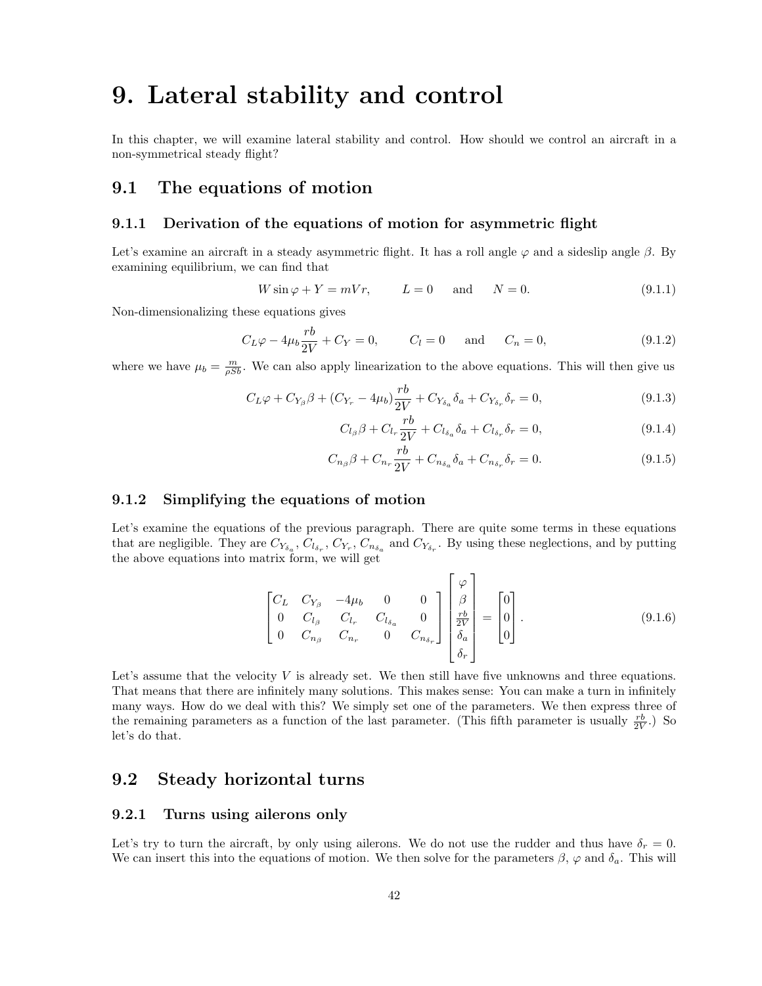## 9. Lateral stability and control

In this chapter, we will examine lateral stability and control. How should we control an aircraft in a non-symmetrical steady flight?

## 9.1 The equations of motion

### 9.1.1 Derivation of the equations of motion for asymmetric flight

Let's examine an aircraft in a steady asymmetric flight. It has a roll angle  $\varphi$  and a sideslip angle  $\beta$ . By examining equilibrium, we can find that

$$
W\sin\varphi + Y = mVr, \qquad L = 0 \quad \text{and} \quad N = 0. \tag{9.1.1}
$$

Non-dimensionalizing these equations gives

$$
C_L \varphi - 4\mu_b \frac{rb}{2V} + C_Y = 0, \qquad C_l = 0 \quad \text{and} \quad C_n = 0,
$$
 (9.1.2)

where we have  $\mu_b = \frac{m}{\rho S b}$ . We can also apply linearization to the above equations. This will then give us

$$
C_L \varphi + C_{Y_\beta} \beta + (C_{Y_r} - 4\mu_b) \frac{rb}{2V} + C_{Y_{\delta_a}} \delta_a + C_{Y_{\delta_r}} \delta_r = 0,
$$
\n(9.1.3)

$$
C_{l_{\beta}}\beta + C_{l_{r}}\frac{rb}{2V} + C_{l_{\delta_{a}}}\delta_{a} + C_{l_{\delta_{r}}}\delta_{r} = 0,
$$
\n(9.1.4)

$$
C_{n_{\beta}}\beta + C_{n_{r}}\frac{rb}{2V} + C_{n_{\delta_a}}\delta_a + C_{n_{\delta_r}}\delta_r = 0.
$$
 (9.1.5)

### 9.1.2 Simplifying the equations of motion

Let's examine the equations of the previous paragraph. There are quite some terms in these equations that are negligible. They are  $C_{Y_{\delta_a}}, C_{l_{\delta_r}}, C_{Y_r}, C_{n_{\delta_a}}$  and  $C_{Y_{\delta_r}}$ . By using these neglections, and by putting the above equations into matrix form, we will get

$$
\begin{bmatrix} C_L & C_{Y_{\beta}} & -4\mu_b & 0 & 0 \ 0 & C_{l_{\beta}} & C_{l_r} & C_{l_{\delta_a}} & 0 \ 0 & C_{n_{\beta}} & C_{n_r} & 0 & C_{n_{\delta_r}} \end{bmatrix} \begin{bmatrix} \varphi \\ \beta \\ \frac{rb}{2V} \\ \delta_a \\ \delta_r \end{bmatrix} = \begin{bmatrix} 0 \\ 0 \\ 0 \end{bmatrix}.
$$
 (9.1.6)

 $\mathbf{r}$ 

Let's assume that the velocity  $V$  is already set. We then still have five unknowns and three equations. That means that there are infinitely many solutions. This makes sense: You can make a turn in infinitely many ways. How do we deal with this? We simply set one of the parameters. We then express three of the remaining parameters as a function of the last parameter. (This fifth parameter is usually  $\frac{rb}{2V}$ .) So let's do that.

## 9.2 Steady horizontal turns

#### 9.2.1 Turns using ailerons only

Let's try to turn the aircraft, by only using ailerons. We do not use the rudder and thus have  $\delta_r = 0$ . We can insert this into the equations of motion. We then solve for the parameters  $\beta$ ,  $\varphi$  and  $\delta_a$ . This will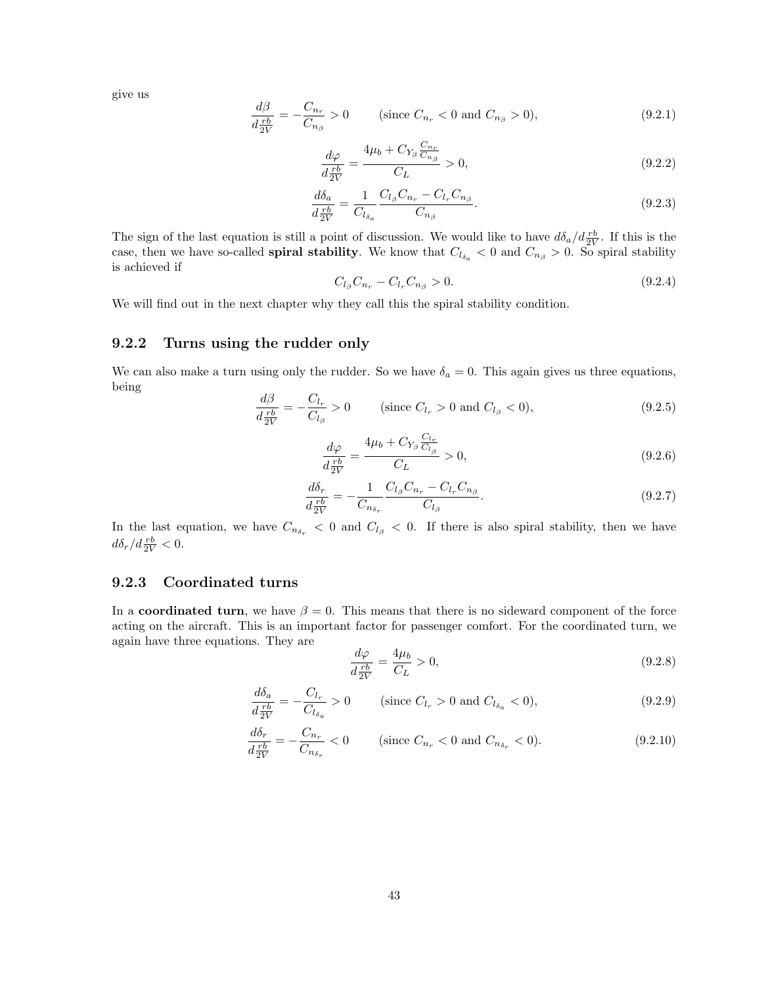give us

$$
\frac{d\beta}{d\frac{rb}{2V}} = -\frac{C_{n_r}}{C_{n_\beta}} > 0 \qquad \text{(since } C_{n_r} < 0 \text{ and } C_{n_\beta} > 0), \tag{9.2.1}
$$

$$
\frac{d\varphi}{d\frac{rb}{2V}} = \frac{4\mu_b + C_{Y_\beta} \frac{C_{n_r}}{C_{n_\beta}}}{C_L} > 0,
$$
\n(9.2.2)

$$
\frac{d\delta_a}{d\frac{rb}{2V}} = \frac{1}{C_{l_{\delta_a}}} \frac{C_{l_{\beta}}C_{n_r} - C_{l_r}C_{n_{\beta}}}{C_{n_{\beta}}}.
$$
\n(9.2.3)

The sign of the last equation is still a point of discussion. We would like to have  $d\delta_a/d\frac{rb}{2V}$ . If this is the case, then we have so-called **spiral stability**. We know that  $C_{l_{\delta_a}} < 0$  and  $C_{n_\beta} > 0$ . So spiral stability is achieved if

$$
C_{l_{\beta}}C_{n_{r}} - C_{l_{r}}C_{n_{\beta}} > 0. \tag{9.2.4}
$$

We will find out in the next chapter why they call this the spiral stability condition.

#### 9.2.2 Turns using the rudder only

We can also make a turn using only the rudder. So we have  $\delta_a = 0$ . This again gives us three equations, being dβ

$$
\frac{d\beta}{d\frac{rb}{2V}} = -\frac{C_{l_r}}{C_{l_\beta}} > 0 \qquad \text{(since } C_{l_r} > 0 \text{ and } C_{l_\beta} < 0\text{)},\tag{9.2.5}
$$

$$
\frac{d\varphi}{d\frac{rb}{2V}} = \frac{4\mu_b + C_{Y_\beta} \frac{C_{l_r}}{C_{l_\beta}}}{C_L} > 0,
$$
\n(9.2.6)

$$
\frac{d\delta_r}{d\frac{rb}{2V}} = -\frac{1}{C_{n_{\delta_r}}} \frac{C_{l_{\beta}}C_{n_r} - C_{l_r}C_{n_{\beta}}}{C_{l_{\beta}}}.
$$
\n(9.2.7)

In the last equation, we have  $C_{n_{\delta_r}} < 0$  and  $C_{l_\beta} < 0$ . If there is also spiral stability, then we have  $d\delta_r/d\frac{rb}{2V} < 0.$ 

### 9.2.3 Coordinated turns

In a coordinated turn, we have  $\beta = 0$ . This means that there is no sideward component of the force acting on the aircraft. This is an important factor for passenger comfort. For the coordinated turn, we again have three equations. They are

$$
\frac{d\varphi}{d\frac{rb}{2V}} = \frac{4\mu_b}{C_L} > 0,\tag{9.2.8}
$$

$$
\frac{d\delta_a}{d\frac{rb}{2V}} = -\frac{C_{l_r}}{C_{l_{\delta_a}}} > 0 \qquad \text{(since } C_{l_r} > 0 \text{ and } C_{l_{\delta_a}} < 0\text{)},\tag{9.2.9}
$$

$$
\frac{d\delta_r}{d\frac{rb}{2V}} = -\frac{C_{n_r}}{C_{n_{\delta_r}}} < 0 \qquad \text{(since } C_{n_r} < 0 \text{ and } C_{n_{\delta_r}} < 0\text{)}.\tag{9.2.10}
$$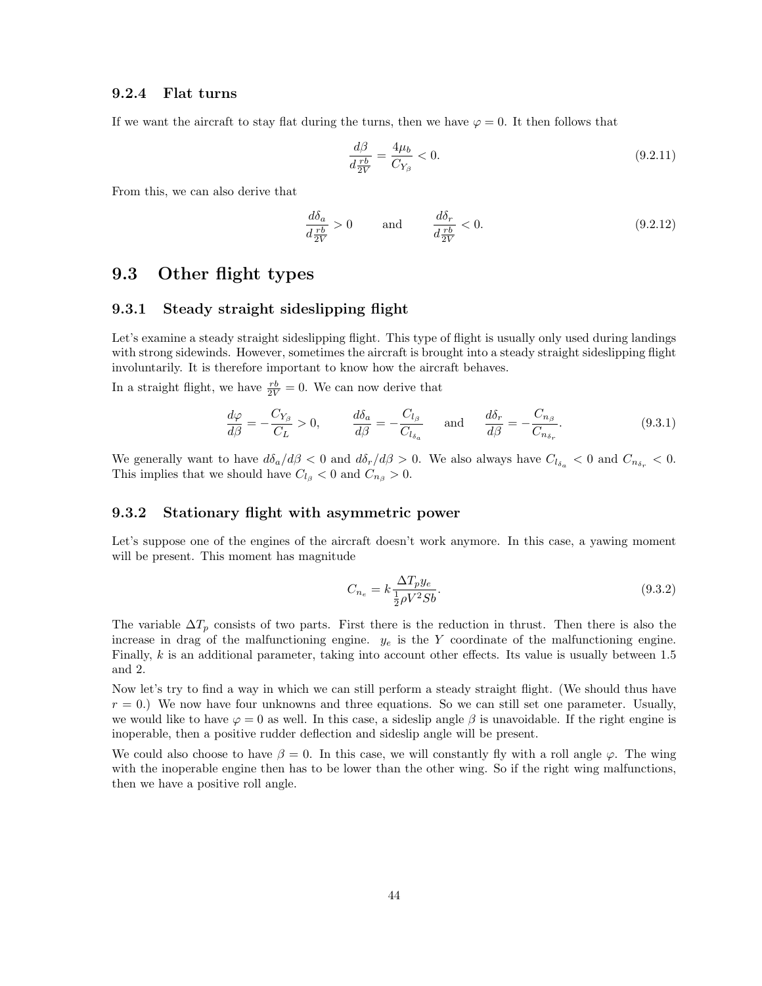#### 9.2.4 Flat turns

If we want the aircraft to stay flat during the turns, then we have  $\varphi = 0$ . It then follows that

$$
\frac{d\beta}{d\frac{rb}{2V}} = \frac{4\mu_b}{C_{Y_\beta}} < 0. \tag{9.2.11}
$$

From this, we can also derive that

$$
\frac{d\delta_a}{d\frac{rb}{2V}} > 0 \quad \text{and} \quad \frac{d\delta_r}{d\frac{rb}{2V}} < 0. \tag{9.2.12}
$$

## 9.3 Other flight types

#### 9.3.1 Steady straight sideslipping flight

Let's examine a steady straight sideslipping flight. This type of flight is usually only used during landings with strong sidewinds. However, sometimes the aircraft is brought into a steady straight sideslipping flight involuntarily. It is therefore important to know how the aircraft behaves.

In a straight flight, we have  $\frac{rb}{2V} = 0$ . We can now derive that

$$
\frac{d\varphi}{d\beta} = -\frac{C_{Y_{\beta}}}{C_{L}} > 0, \qquad \frac{d\delta_{a}}{d\beta} = -\frac{C_{l_{\beta}}}{C_{l_{\delta_{a}}}} \quad \text{and} \quad \frac{d\delta_{r}}{d\beta} = -\frac{C_{n_{\beta}}}{C_{n_{\delta_{r}}}}.
$$
\n(9.3.1)

We generally want to have  $d\delta_a/d\beta < 0$  and  $d\delta_r/d\beta > 0$ . We also always have  $C_{l_{\delta_a}} < 0$  and  $C_{n_{\delta_r}} < 0$ . This implies that we should have  $C_{l}$  < 0 and  $C_{n}$  > 0.

#### 9.3.2 Stationary flight with asymmetric power

Let's suppose one of the engines of the aircraft doesn't work anymore. In this case, a yawing moment will be present. This moment has magnitude

$$
C_{n_e} = k \frac{\Delta T_p y_e}{\frac{1}{2} \rho V^2 S b}.
$$
\n
$$
(9.3.2)
$$

The variable  $\Delta T_p$  consists of two parts. First there is the reduction in thrust. Then there is also the increase in drag of the malfunctioning engine.  $y_e$  is the Y coordinate of the malfunctioning engine. Finally, k is an additional parameter, taking into account other effects. Its value is usually between 1.5 and 2.

Now let's try to find a way in which we can still perform a steady straight flight. (We should thus have  $r = 0$ .) We now have four unknowns and three equations. So we can still set one parameter. Usually, we would like to have  $\varphi = 0$  as well. In this case, a sideslip angle  $\beta$  is unavoidable. If the right engine is inoperable, then a positive rudder deflection and sideslip angle will be present.

We could also choose to have  $\beta = 0$ . In this case, we will constantly fly with a roll angle  $\varphi$ . The wing with the inoperable engine then has to be lower than the other wing. So if the right wing malfunctions, then we have a positive roll angle.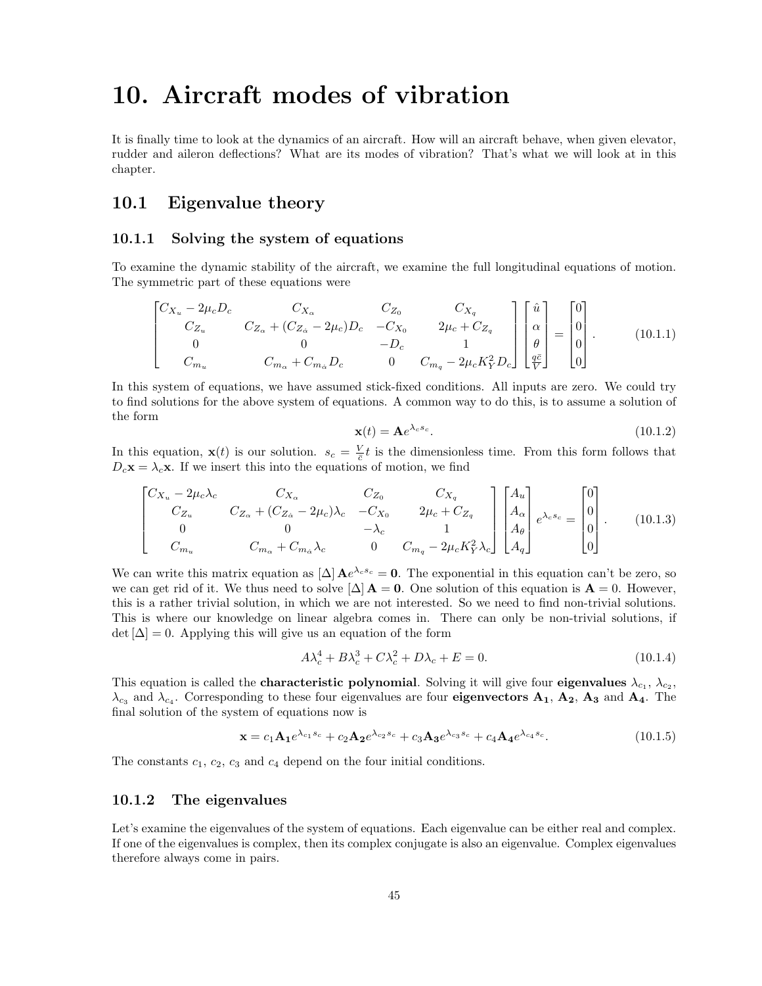## 10. Aircraft modes of vibration

It is finally time to look at the dynamics of an aircraft. How will an aircraft behave, when given elevator, rudder and aileron deflections? What are its modes of vibration? That's what we will look at in this chapter.

## 10.1 Eigenvalue theory

#### 10.1.1 Solving the system of equations

To examine the dynamic stability of the aircraft, we examine the full longitudinal equations of motion. The symmetric part of these equations were

$$
\begin{bmatrix} C_{X_u} - 2\mu_c D_c & C_{X_{\alpha}} & C_{Z_0} & C_{X_q} \\ C_{Z_u} & C_{Z_{\alpha}} + (C_{Z_{\alpha}} - 2\mu_c)D_c & -C_{X_0} & 2\mu_c + C_{Z_q} \\ 0 & 0 & -D_c & 1 \\ C_{m_u} & C_{m_{\alpha}} + C_{m_{\alpha}} D_c & 0 & C_{m_q} - 2\mu_c K_Y^2 D_c \end{bmatrix} \begin{bmatrix} \hat{u} \\ \alpha \\ \theta \\ \frac{q\bar{c}}{\bar{V}} \end{bmatrix} = \begin{bmatrix} 0 \\ 0 \\ 0 \\ 0 \end{bmatrix} .
$$
 (10.1.1)

In this system of equations, we have assumed stick-fixed conditions. All inputs are zero. We could try to find solutions for the above system of equations. A common way to do this, is to assume a solution of the form

$$
\mathbf{x}(t) = \mathbf{A}e^{\lambda_c s_c}.\tag{10.1.2}
$$

In this equation,  $\mathbf{x}(t)$  is our solution.  $s_c = \frac{V}{c}t$  is the dimensionless time. From this form follows that  $D_c\mathbf{x} = \lambda_c\mathbf{x}$ . If we insert this into the equations of motion, we find

$$
\begin{bmatrix} C_{X_u} - 2\mu_c \lambda_c & C_{X_{\alpha}} & C_{Z_0} & C_{X_q} \\ C_{Z_u} & C_{Z_{\alpha}} + (C_{Z_{\alpha}} - 2\mu_c) \lambda_c & -C_{X_0} & 2\mu_c + C_{Z_q} \\ 0 & 0 & -\lambda_c & 1 \\ C_{m_u} & C_{m_{\alpha}} + C_{m_{\alpha}} \lambda_c & 0 & C_{m_q} - 2\mu_c K_Y^2 \lambda_c \end{bmatrix} \begin{bmatrix} A_u \\ A_{\alpha} \\ A_{\theta} \\ A_q \end{bmatrix} e^{\lambda_c s_c} = \begin{bmatrix} 0 \\ 0 \\ 0 \\ 0 \end{bmatrix} .
$$
 (10.1.3)

We can write this matrix equation as  $[\Delta] \mathbf{A} e^{\lambda_c s_c} = \mathbf{0}$ . The exponential in this equation can't be zero, so we can get rid of it. We thus need to solve  $[\Delta] A = 0$ . One solution of this equation is  $A = 0$ . However, this is a rather trivial solution, in which we are not interested. So we need to find non-trivial solutions. This is where our knowledge on linear algebra comes in. There can only be non-trivial solutions, if  $\det[\Delta] = 0$ . Applying this will give us an equation of the form

$$
A\lambda_c^4 + B\lambda_c^3 + C\lambda_c^2 + D\lambda_c + E = 0.
$$
\n(10.1.4)

This equation is called the **characteristic polynomial**. Solving it will give four **eigenvalues**  $\lambda_{c_1}, \lambda_{c_2},$  $\lambda_{c_3}$  and  $\lambda_{c_4}$ . Corresponding to these four eigenvalues are four **eigenvectors A<sub>1</sub>, A<sub>2</sub>, A<sub>3</sub>** and **A**<sub>4</sub>. The final solution of the system of equations now is

$$
\mathbf{x} = c_1 \mathbf{A_1} e^{\lambda_{c_1} s_c} + c_2 \mathbf{A_2} e^{\lambda_{c_2} s_c} + c_3 \mathbf{A_3} e^{\lambda_{c_3} s_c} + c_4 \mathbf{A_4} e^{\lambda_{c_4} s_c}.
$$
 (10.1.5)

The constants  $c_1, c_2, c_3$  and  $c_4$  depend on the four initial conditions.

#### 10.1.2 The eigenvalues

Let's examine the eigenvalues of the system of equations. Each eigenvalue can be either real and complex. If one of the eigenvalues is complex, then its complex conjugate is also an eigenvalue. Complex eigenvalues therefore always come in pairs.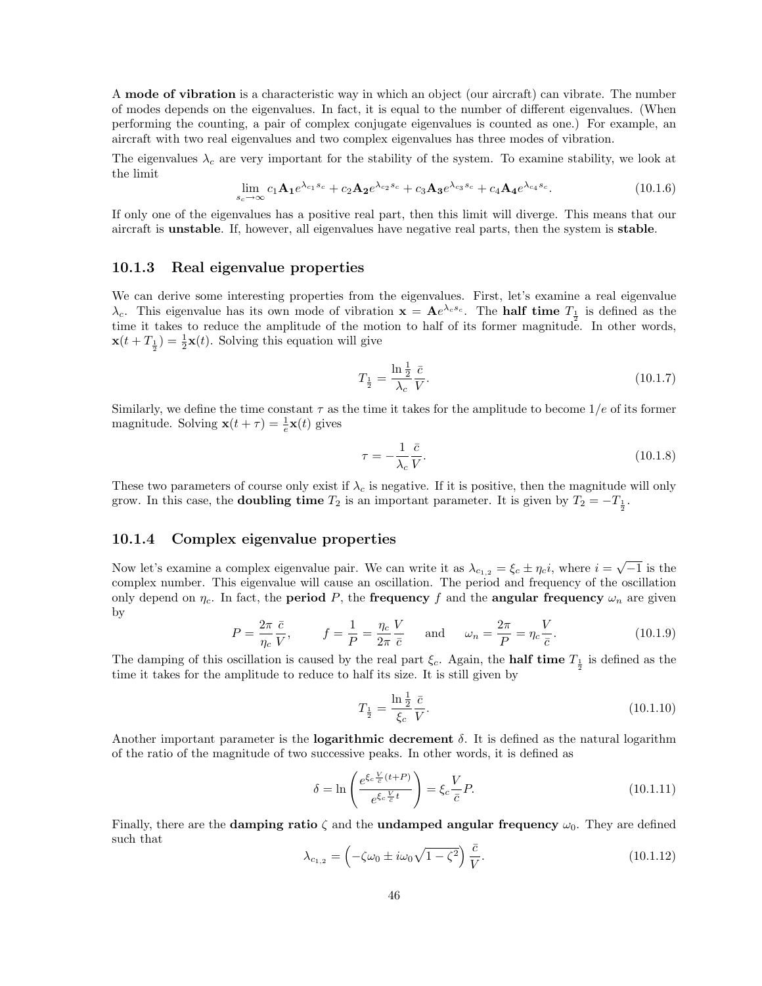A mode of vibration is a characteristic way in which an object (our aircraft) can vibrate. The number of modes depends on the eigenvalues. In fact, it is equal to the number of different eigenvalues. (When performing the counting, a pair of complex conjugate eigenvalues is counted as one.) For example, an aircraft with two real eigenvalues and two complex eigenvalues has three modes of vibration.

The eigenvalues  $\lambda_c$  are very important for the stability of the system. To examine stability, we look at the limit

$$
\lim_{s_c \to \infty} c_1 \mathbf{A_1} e^{\lambda_{c_1} s_c} + c_2 \mathbf{A_2} e^{\lambda_{c_2} s_c} + c_3 \mathbf{A_3} e^{\lambda_{c_3} s_c} + c_4 \mathbf{A_4} e^{\lambda_{c_4} s_c}.
$$
\n(10.1.6)

If only one of the eigenvalues has a positive real part, then this limit will diverge. This means that our aircraft is unstable. If, however, all eigenvalues have negative real parts, then the system is stable.

#### 10.1.3 Real eigenvalue properties

We can derive some interesting properties from the eigenvalues. First, let's examine a real eigenvalue  $\lambda_c$ . This eigenvalue has its own mode of vibration  $\mathbf{x} = \mathbf{A}e^{\lambda_c s_c}$ . The **half time**  $T_{\frac{1}{2}}$  is defined as the time it takes to reduce the amplitude of the motion to half of its former magnitude. In other words,  $\mathbf{x}(t+T_{\frac{1}{2}})=\frac{1}{2}\mathbf{x}(t)$ . Solving this equation will give

$$
T_{\frac{1}{2}} = \frac{\ln\frac{1}{2}}{\lambda_c} \frac{\bar{c}}{V}.
$$
\n
$$
(10.1.7)
$$

Similarly, we define the time constant  $\tau$  as the time it takes for the amplitude to become  $1/e$  of its former magnitude. Solving  $\mathbf{x}(t+\tau) = \frac{1}{e}\mathbf{x}(t)$  gives

$$
\tau = -\frac{1}{\lambda_c} \frac{\bar{c}}{V}.
$$
\n(10.1.8)

These two parameters of course only exist if  $\lambda_c$  is negative. If it is positive, then the magnitude will only grow. In this case, the **doubling time**  $T_2$  is an important parameter. It is given by  $T_2 = -T_{\frac{1}{2}}$ .

#### 10.1.4 Complex eigenvalue properties

Now let's examine a complex eigenvalue pair. We can write it as  $\lambda_{c_{1,2}} = \xi_c \pm \eta_c i$ , where  $i = \sqrt{-1}$  is the complex number. This eigenvalue will cause an oscillation. The period and frequency of the oscillation only depend on  $\eta_c$ . In fact, the **period** P, the **frequency** f and the **angular frequency**  $\omega_n$  are given by

$$
P = \frac{2\pi}{\eta_c} \frac{\bar{c}}{V}, \qquad f = \frac{1}{P} = \frac{\eta_c}{2\pi} \frac{V}{\bar{c}} \quad \text{and} \quad \omega_n = \frac{2\pi}{P} = \eta_c \frac{V}{\bar{c}}.
$$
 (10.1.9)

The damping of this oscillation is caused by the real part  $\xi_c$ . Again, the **half time**  $T_{\frac{1}{2}}$  is defined as the time it takes for the amplitude to reduce to half its size. It is still given by

$$
T_{\frac{1}{2}} = \frac{\ln \frac{1}{2}}{\xi_c} \frac{\bar{c}}{V}.
$$
\n(10.1.10)

Another important parameter is the **logarithmic decrement**  $\delta$ . It is defined as the natural logarithm of the ratio of the magnitude of two successive peaks. In other words, it is defined as

$$
\delta = \ln \left( \frac{e^{\xi_c \frac{V}{\bar{c}}(t+P)}}{e^{\xi_c \frac{V}{\bar{c}}t}} \right) = \xi_c \frac{V}{\bar{c}} P. \tag{10.1.11}
$$

Finally, there are the **damping ratio**  $\zeta$  and the **undamped angular frequency**  $\omega_0$ . They are defined such that

$$
\lambda_{c_{1,2}} = \left(-\zeta\omega_0 \pm i\omega_0\sqrt{1-\zeta^2}\right)\frac{\bar{c}}{V}.\tag{10.1.12}
$$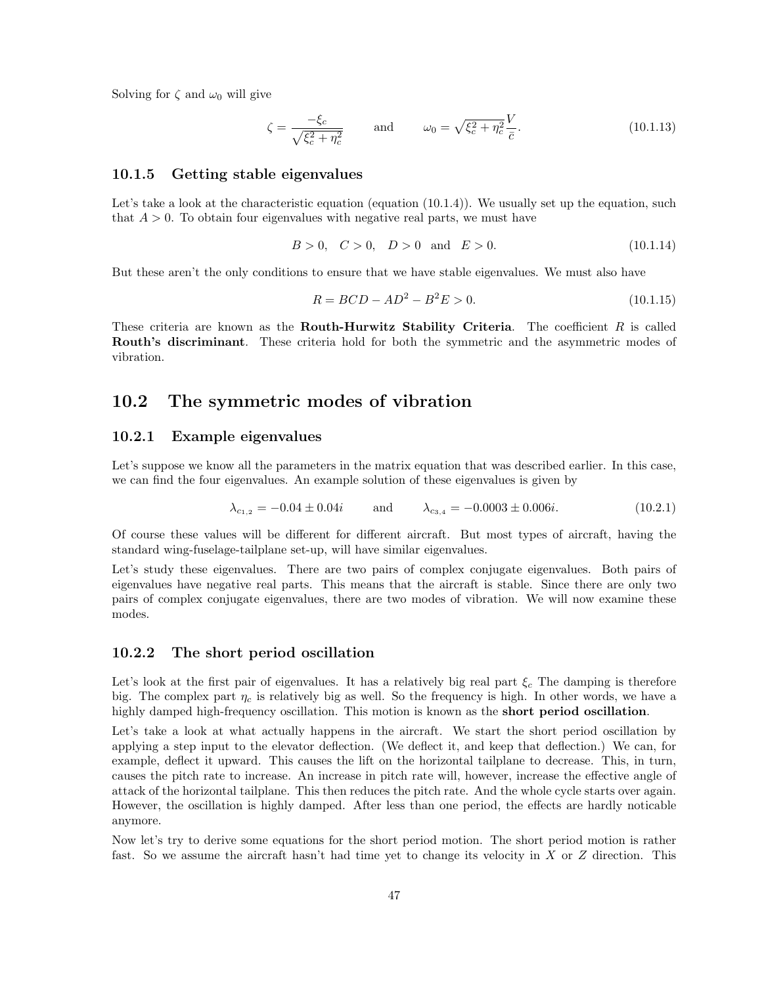Solving for  $\zeta$  and  $\omega_0$  will give

$$
\zeta = \frac{-\xi_c}{\sqrt{\xi_c^2 + \eta_c^2}} \quad \text{and} \quad \omega_0 = \sqrt{\xi_c^2 + \eta_c^2} \frac{V}{\bar{c}}.
$$
 (10.1.13)

#### 10.1.5 Getting stable eigenvalues

Let's take a look at the characteristic equation (equation  $(10.1.4)$ ). We usually set up the equation, such that  $A > 0$ . To obtain four eigenvalues with negative real parts, we must have

$$
B > 0, \quad C > 0, \quad D > 0 \quad \text{and} \quad E > 0. \tag{10.1.14}
$$

But these aren't the only conditions to ensure that we have stable eigenvalues. We must also have

$$
R = BCD - AD^2 - B^2E > 0.
$$
\n(10.1.15)

These criteria are known as the **Routh-Hurwitz Stability Criteria**. The coefficient  $R$  is called Routh's discriminant. These criteria hold for both the symmetric and the asymmetric modes of vibration.

### 10.2 The symmetric modes of vibration

#### 10.2.1 Example eigenvalues

Let's suppose we know all the parameters in the matrix equation that was described earlier. In this case, we can find the four eigenvalues. An example solution of these eigenvalues is given by

$$
\lambda_{c_{1,2}} = -0.04 \pm 0.04i \qquad \text{and} \qquad \lambda_{c_{3,4}} = -0.0003 \pm 0.006i. \tag{10.2.1}
$$

Of course these values will be different for different aircraft. But most types of aircraft, having the standard wing-fuselage-tailplane set-up, will have similar eigenvalues.

Let's study these eigenvalues. There are two pairs of complex conjugate eigenvalues. Both pairs of eigenvalues have negative real parts. This means that the aircraft is stable. Since there are only two pairs of complex conjugate eigenvalues, there are two modes of vibration. We will now examine these modes.

#### 10.2.2 The short period oscillation

Let's look at the first pair of eigenvalues. It has a relatively big real part  $\xi_c$ . The damping is therefore big. The complex part  $\eta_c$  is relatively big as well. So the frequency is high. In other words, we have a highly damped high-frequency oscillation. This motion is known as the **short period oscillation**.

Let's take a look at what actually happens in the aircraft. We start the short period oscillation by applying a step input to the elevator deflection. (We deflect it, and keep that deflection.) We can, for example, deflect it upward. This causes the lift on the horizontal tailplane to decrease. This, in turn, causes the pitch rate to increase. An increase in pitch rate will, however, increase the effective angle of attack of the horizontal tailplane. This then reduces the pitch rate. And the whole cycle starts over again. However, the oscillation is highly damped. After less than one period, the effects are hardly noticable anymore.

Now let's try to derive some equations for the short period motion. The short period motion is rather fast. So we assume the aircraft hasn't had time yet to change its velocity in X or Z direction. This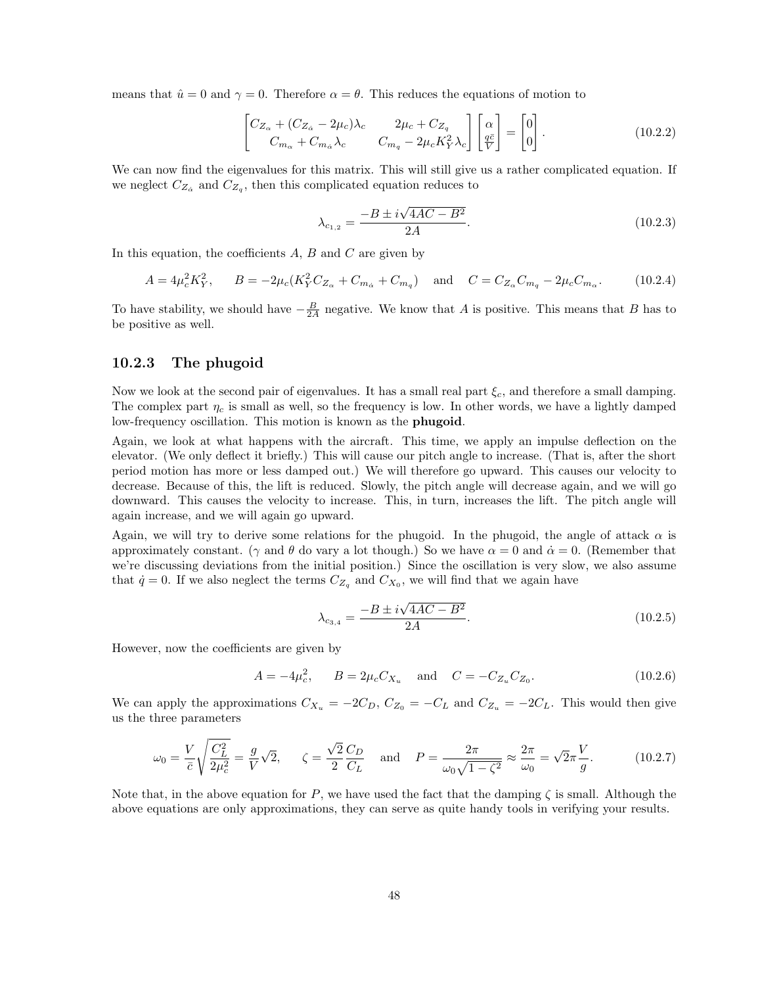means that  $\hat{u} = 0$  and  $\gamma = 0$ . Therefore  $\alpha = \theta$ . This reduces the equations of motion to

$$
\begin{bmatrix} C_{Z_{\alpha}} + (C_{Z_{\dot{\alpha}}} - 2\mu_c)\lambda_c & 2\mu_c + C_{Z_q} \\ C_{m_{\alpha}} + C_{m_{\dot{\alpha}}}\lambda_c & C_{m_q} - 2\mu_c K_Y^2 \lambda_c \end{bmatrix} \begin{bmatrix} \alpha \\ \frac{q\bar{c}}{V} \end{bmatrix} = \begin{bmatrix} 0 \\ 0 \end{bmatrix}.
$$
 (10.2.2)

We can now find the eigenvalues for this matrix. This will still give us a rather complicated equation. If we neglect  $C_{Z_{\alpha}}$  and  $C_{Z_q}$ , then this complicated equation reduces to

$$
\lambda_{c_{1,2}} = \frac{-B \pm i\sqrt{4AC - B^2}}{2A}.
$$
\n(10.2.3)

In this equation, the coefficients  $A, B$  and  $C$  are given by

$$
A = 4\mu_c^2 K_Y^2, \qquad B = -2\mu_c (K_Y^2 C_{Z_\alpha} + C_{m_\alpha} + C_{m_q}) \quad \text{and} \quad C = C_{Z_\alpha} C_{m_q} - 2\mu_c C_{m_\alpha}.
$$
 (10.2.4)

To have stability, we should have  $-\frac{B}{2A}$  negative. We know that A is positive. This means that B has to be positive as well.

### 10.2.3 The phugoid

Now we look at the second pair of eigenvalues. It has a small real part  $\xi_c$ , and therefore a small damping. The complex part  $\eta_c$  is small as well, so the frequency is low. In other words, we have a lightly damped low-frequency oscillation. This motion is known as the **phugoid**.

Again, we look at what happens with the aircraft. This time, we apply an impulse deflection on the elevator. (We only deflect it briefly.) This will cause our pitch angle to increase. (That is, after the short period motion has more or less damped out.) We will therefore go upward. This causes our velocity to decrease. Because of this, the lift is reduced. Slowly, the pitch angle will decrease again, and we will go downward. This causes the velocity to increase. This, in turn, increases the lift. The pitch angle will again increase, and we will again go upward.

Again, we will try to derive some relations for the phugoid. In the phugoid, the angle of attack  $\alpha$  is approximately constant. ( $\gamma$  and  $\theta$  do vary a lot though.) So we have  $\alpha = 0$  and  $\dot{\alpha} = 0$ . (Remember that we're discussing deviations from the initial position.) Since the oscillation is very slow, we also assume that  $\dot{q} = 0$ . If we also neglect the terms  $C_{Z_q}$  and  $C_{X_0}$ , we will find that we again have

$$
\lambda_{c_{3,4}} = \frac{-B \pm i\sqrt{4AC - B^2}}{2A}.
$$
\n(10.2.5)

However, now the coefficients are given by

$$
A = -4\mu_c^2, \qquad B = 2\mu_c C_{X_u} \quad \text{and} \quad C = -C_{Z_u} C_{Z_0}.
$$
 (10.2.6)

We can apply the approximations  $C_{X_u} = -2C_D$ ,  $C_{Z_0} = -C_L$  and  $C_{Z_u} = -2C_L$ . This would then give us the three parameters

$$
\omega_0 = \frac{V}{\bar{c}} \sqrt{\frac{C_L^2}{2\mu_c^2}} = \frac{g}{V} \sqrt{2}, \qquad \zeta = \frac{\sqrt{2}}{2} \frac{C_D}{C_L} \quad \text{and} \quad P = \frac{2\pi}{\omega_0 \sqrt{1 - \zeta^2}} \approx \frac{2\pi}{\omega_0} = \sqrt{2\pi} \frac{V}{g}.
$$
 (10.2.7)

Note that, in the above equation for P, we have used the fact that the damping  $\zeta$  is small. Although the above equations are only approximations, they can serve as quite handy tools in verifying your results.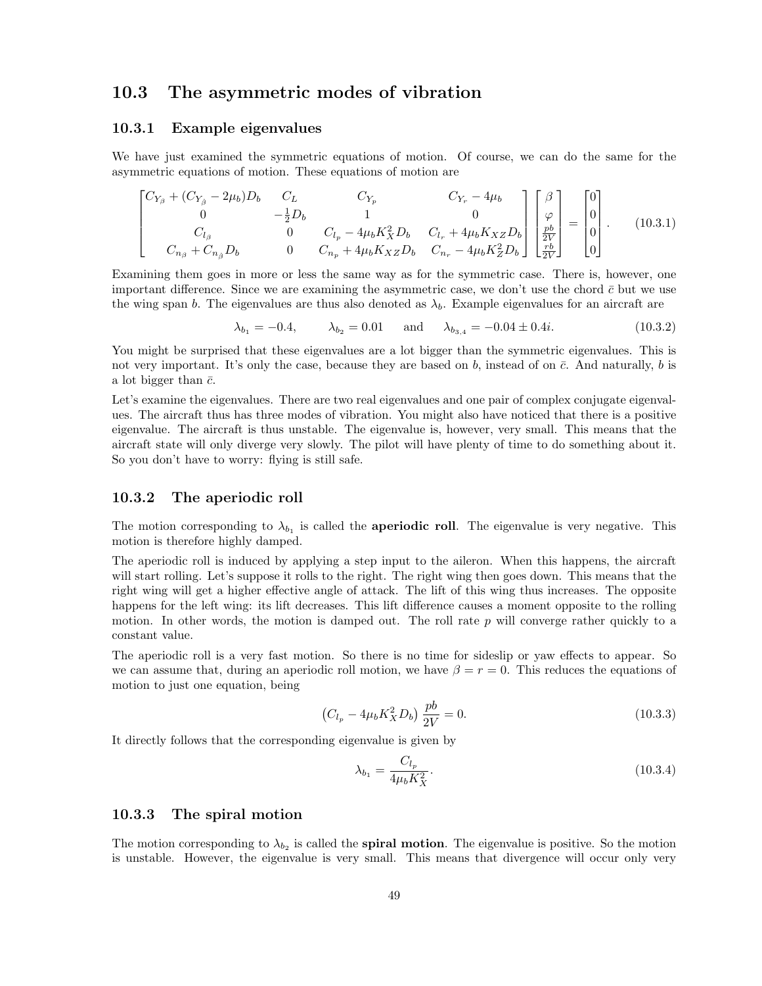## 10.3 The asymmetric modes of vibration

#### 10.3.1 Example eigenvalues

We have just examined the symmetric equations of motion. Of course, we can do the same for the asymmetric equations of motion. These equations of motion are

$$
\begin{bmatrix}\nC_{Y_{\beta}} + (C_{Y_{\dot{\beta}}} - 2\mu_b)D_b & C_L & C_{Y_p} & C_{Y_r} - 4\mu_b \\
0 & -\frac{1}{2}D_b & 1 & 0 \\
C_{l_{\beta}} & 0 & C_{l_p} - 4\mu_b K_X^2 D_b & C_{l_r} + 4\mu_b K_{XZ} D_b \\
C_{n_{\beta}} + C_{n_{\dot{\beta}}} D_b & 0 & C_{n_p} + 4\mu_b K_{XZ} D_b & C_{n_r} - 4\mu_b K_Z^2 D_b\n\end{bmatrix}\n\begin{bmatrix}\n\beta \\
\varphi \\
\frac{pb}{2V}\n\end{bmatrix} =\n\begin{bmatrix}\n0 \\
0 \\
0 \\
0\n\end{bmatrix}.
$$
\n(10.3.1)

Examining them goes in more or less the same way as for the symmetric case. There is, however, one important difference. Since we are examining the asymmetric case, we don't use the chord  $\bar{c}$  but we use the wing span b. The eigenvalues are thus also denoted as  $\lambda_b$ . Example eigenvalues for an aircraft are

$$
\lambda_{b_1} = -0.4,
$$
\n $\lambda_{b_2} = 0.01$  and  $\lambda_{b_{3,4}} = -0.04 \pm 0.4i.$ \n(10.3.2)

You might be surprised that these eigenvalues are a lot bigger than the symmetric eigenvalues. This is not very important. It's only the case, because they are based on b, instead of on  $\bar{c}$ . And naturally, b is a lot bigger than  $\bar{c}$ .

Let's examine the eigenvalues. There are two real eigenvalues and one pair of complex conjugate eigenvalues. The aircraft thus has three modes of vibration. You might also have noticed that there is a positive eigenvalue. The aircraft is thus unstable. The eigenvalue is, however, very small. This means that the aircraft state will only diverge very slowly. The pilot will have plenty of time to do something about it. So you don't have to worry: flying is still safe.

#### 10.3.2 The aperiodic roll

The motion corresponding to  $\lambda_{b_1}$  is called the **aperiodic roll**. The eigenvalue is very negative. This motion is therefore highly damped.

The aperiodic roll is induced by applying a step input to the aileron. When this happens, the aircraft will start rolling. Let's suppose it rolls to the right. The right wing then goes down. This means that the right wing will get a higher effective angle of attack. The lift of this wing thus increases. The opposite happens for the left wing: its lift decreases. This lift difference causes a moment opposite to the rolling motion. In other words, the motion is damped out. The roll rate p will converge rather quickly to a constant value.

The aperiodic roll is a very fast motion. So there is no time for sideslip or yaw effects to appear. So we can assume that, during an aperiodic roll motion, we have  $\beta = r = 0$ . This reduces the equations of motion to just one equation, being

$$
(C_{l_p} - 4\mu_b K_X^2 D_b) \frac{pb}{2V} = 0.
$$
\n(10.3.3)

It directly follows that the corresponding eigenvalue is given by

$$
\lambda_{b_1} = \frac{C_{l_p}}{4\mu_b K_X^2}.
$$
\n(10.3.4)

#### 10.3.3 The spiral motion

The motion corresponding to  $\lambda_{b_2}$  is called the **spiral motion**. The eigenvalue is positive. So the motion is unstable. However, the eigenvalue is very small. This means that divergence will occur only very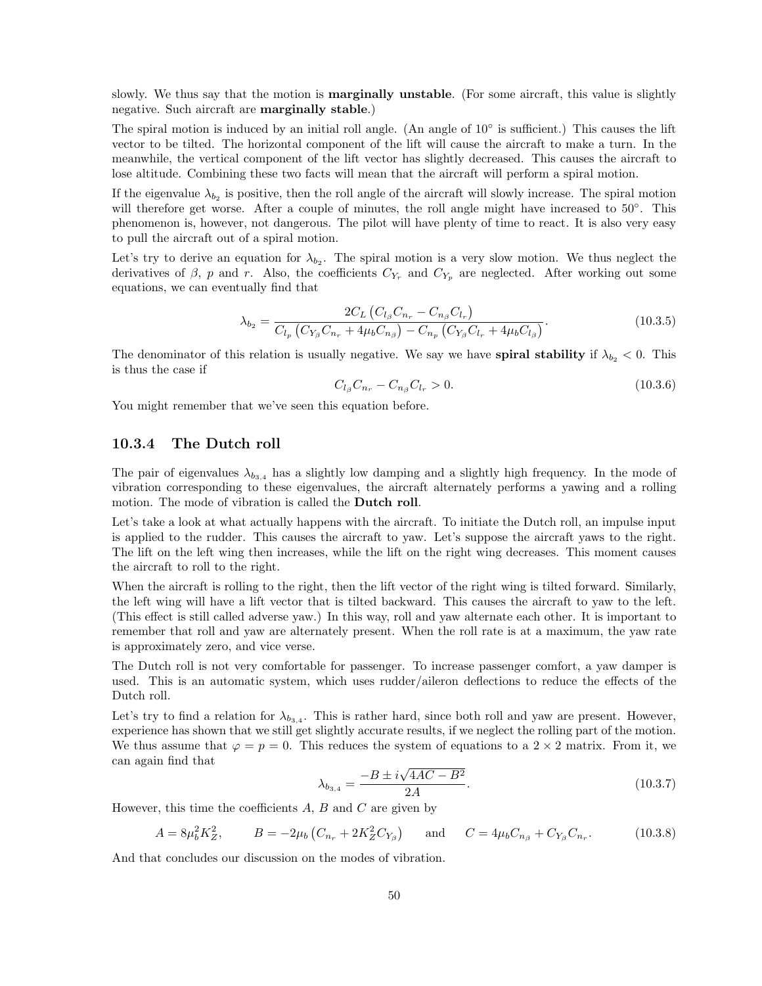slowly. We thus say that the motion is **marginally unstable**. (For some aircraft, this value is slightly negative. Such aircraft are marginally stable.)

The spiral motion is induced by an initial roll angle. (An angle of 10◦ is sufficient.) This causes the lift vector to be tilted. The horizontal component of the lift will cause the aircraft to make a turn. In the meanwhile, the vertical component of the lift vector has slightly decreased. This causes the aircraft to lose altitude. Combining these two facts will mean that the aircraft will perform a spiral motion.

If the eigenvalue  $\lambda_{b_2}$  is positive, then the roll angle of the aircraft will slowly increase. The spiral motion will therefore get worse. After a couple of minutes, the roll angle might have increased to 50°. This phenomenon is, however, not dangerous. The pilot will have plenty of time to react. It is also very easy to pull the aircraft out of a spiral motion.

Let's try to derive an equation for  $\lambda_{b_2}$ . The spiral motion is a very slow motion. We thus neglect the derivatives of  $\beta$ , p and r. Also, the coefficients  $C_{Y_r}$  and  $C_{Y_p}$  are neglected. After working out some equations, we can eventually find that

$$
\lambda_{b_2} = \frac{2C_L \left( C_{l_\beta} C_{n_r} - C_{n_\beta} C_{l_r} \right)}{C_{l_p} \left( C_{Y_\beta} C_{n_r} + 4\mu_b C_{n_\beta} \right) - C_{n_p} \left( C_{Y_\beta} C_{l_r} + 4\mu_b C_{l_\beta} \right)}.
$$
(10.3.5)

The denominator of this relation is usually negative. We say we have **spiral stability** if  $\lambda_{b_2} < 0$ . This is thus the case if

$$
C_{l_{\beta}}C_{n_{r}} - C_{n_{\beta}}C_{l_{r}} > 0. \tag{10.3.6}
$$

You might remember that we've seen this equation before.

### 10.3.4 The Dutch roll

The pair of eigenvalues  $\lambda_{b_{3,4}}$  has a slightly low damping and a slightly high frequency. In the mode of vibration corresponding to these eigenvalues, the aircraft alternately performs a yawing and a rolling motion. The mode of vibration is called the **Dutch roll**.

Let's take a look at what actually happens with the aircraft. To initiate the Dutch roll, an impulse input is applied to the rudder. This causes the aircraft to yaw. Let's suppose the aircraft yaws to the right. The lift on the left wing then increases, while the lift on the right wing decreases. This moment causes the aircraft to roll to the right.

When the aircraft is rolling to the right, then the lift vector of the right wing is tilted forward. Similarly, the left wing will have a lift vector that is tilted backward. This causes the aircraft to yaw to the left. (This effect is still called adverse yaw.) In this way, roll and yaw alternate each other. It is important to remember that roll and yaw are alternately present. When the roll rate is at a maximum, the yaw rate is approximately zero, and vice verse.

The Dutch roll is not very comfortable for passenger. To increase passenger comfort, a yaw damper is used. This is an automatic system, which uses rudder/aileron deflections to reduce the effects of the Dutch roll.

Let's try to find a relation for  $\lambda_{b_{3,4}}$ . This is rather hard, since both roll and yaw are present. However, experience has shown that we still get slightly accurate results, if we neglect the rolling part of the motion. We thus assume that  $\varphi = p = 0$ . This reduces the system of equations to a 2 × 2 matrix. From it, we can again find that √

$$
\lambda_{b_{3,4}} = \frac{-B \pm i\sqrt{4AC - B^2}}{2A}.
$$
\n(10.3.7)

However, this time the coefficients  $A, B$  and  $C$  are given by

$$
A = 8\mu_b^2 K_Z^2, \qquad B = -2\mu_b \left( C_{n_r} + 2K_Z^2 C_{Y_\beta} \right) \quad \text{and} \quad C = 4\mu_b C_{n_\beta} + C_{Y_\beta} C_{n_r}.
$$
 (10.3.8)

And that concludes our discussion on the modes of vibration.